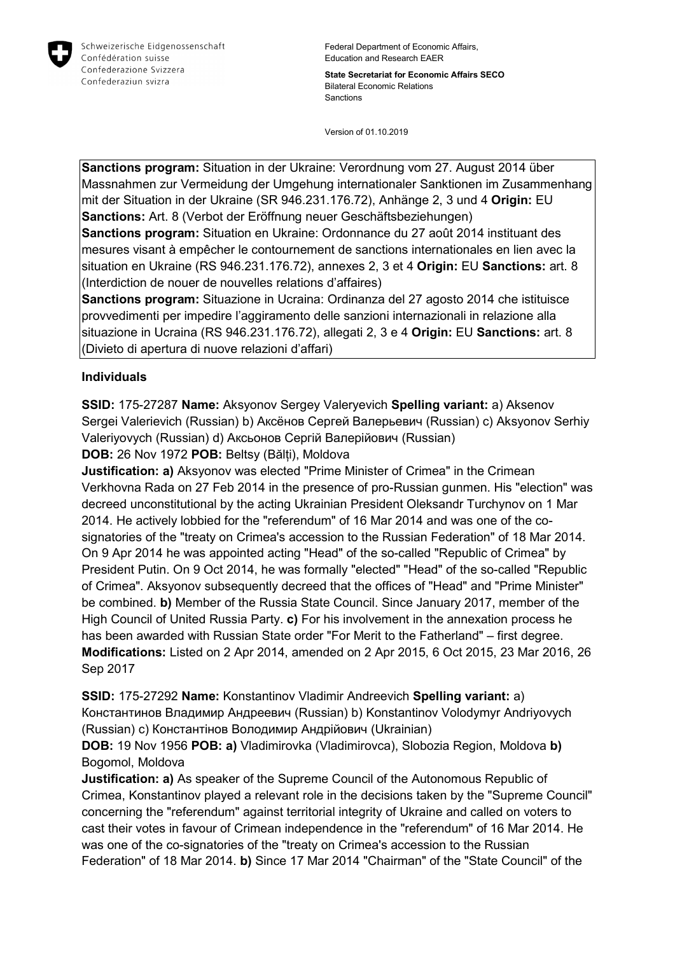

Federal Department of Economic Affairs, Education and Research EAER

**State Secretariat for Economic Affairs SECO** Bilateral Economic Relations Sanctions

Version of 01.10.2019

**Sanctions program:** Situation in der Ukraine: Verordnung vom 27. August 2014 über Massnahmen zur Vermeidung der Umgehung internationaler Sanktionen im Zusammenhang mit der Situation in der Ukraine (SR 946.231.176.72), Anhänge 2, 3 und 4 **Origin:** EU **Sanctions:** Art. 8 (Verbot der Eröffnung neuer Geschäftsbeziehungen)

**Sanctions program:** Situation en Ukraine: Ordonnance du 27 août 2014 instituant des mesures visant à empêcher le contournement de sanctions internationales en lien avec la situation en Ukraine (RS 946.231.176.72), annexes 2, 3 et 4 **Origin:** EU **Sanctions:** art. 8 (Interdiction de nouer de nouvelles relations d'affaires)

**Sanctions program:** Situazione in Ucraina: Ordinanza del 27 agosto 2014 che istituisce provvedimenti per impedire l'aggiramento delle sanzioni internazionali in relazione alla situazione in Ucraina (RS 946.231.176.72), allegati 2, 3 e 4 **Origin:** EU **Sanctions:** art. 8 (Divieto di apertura di nuove relazioni d'affari)

## **Individuals**

**SSID:** 175-27287 **Name:** Aksyonov Sergey Valeryevich **Spelling variant:** a) Aksenov Sergei Valerievich (Russian) b) Аксёнов Сергей Валерьевич (Russian) c) Aksyonov Serhiy Valeriyovych (Russian) d) Аксьонов Сергій Валерійович (Russian)

**DOB:** 26 Nov 1972 **POB:** Beltsy (Bălți), Moldova

**Justification: a)** Aksyonov was elected "Prime Minister of Crimea" in the Crimean Verkhovna Rada on 27 Feb 2014 in the presence of pro-Russian gunmen. His "election" was decreed unconstitutional by the acting Ukrainian President Oleksandr Turchynov on 1 Mar 2014. He actively lobbied for the "referendum" of 16 Mar 2014 and was one of the cosignatories of the "treaty on Crimea's accession to the Russian Federation" of 18 Mar 2014. On 9 Apr 2014 he was appointed acting "Head" of the so-called "Republic of Crimea" by President Putin. On 9 Oct 2014, he was formally "elected" "Head" of the so-called "Republic of Crimea". Aksyonov subsequently decreed that the offices of "Head" and "Prime Minister" be combined. **b)** Member of the Russia State Council. Since January 2017, member of the High Council of United Russia Party. **c)** For his involvement in the annexation process he has been awarded with Russian State order "For Merit to the Fatherland" – first degree. **Modifications:** Listed on 2 Apr 2014, amended on 2 Apr 2015, 6 Oct 2015, 23 Mar 2016, 26 Sep 2017

**SSID:** 175-27292 **Name:** Konstantinov Vladimir Andreevich **Spelling variant:** a) Константинов Владимир Андреевич (Russian) b) Konstantinov Volodymyr Andriyovych (Russian) c) Константiнов Володимир Андрійович (Ukrainian)

**DOB:** 19 Nov 1956 **POB: a)** Vladimirovka (Vladimirovca), Slobozia Region, Moldova **b)**  Bogomol, Moldova

**Justification: a)** As speaker of the Supreme Council of the Autonomous Republic of Crimea, Konstantinov played a relevant role in the decisions taken by the "Supreme Council" concerning the "referendum" against territorial integrity of Ukraine and called on voters to cast their votes in favour of Crimean independence in the "referendum" of 16 Mar 2014. He was one of the co-signatories of the "treaty on Crimea's accession to the Russian Federation" of 18 Mar 2014. **b)** Since 17 Mar 2014 "Chairman" of the "State Council" of the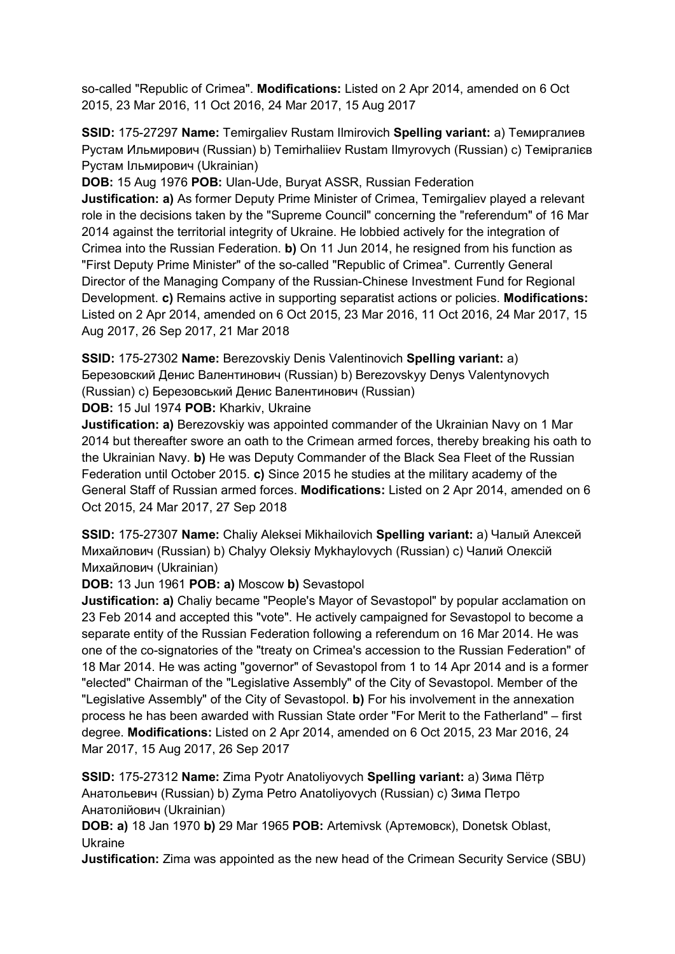so-called "Republic of Crimea". **Modifications:** Listed on 2 Apr 2014, amended on 6 Oct 2015, 23 Mar 2016, 11 Oct 2016, 24 Mar 2017, 15 Aug 2017

**SSID:** 175-27297 **Name:** Temirgaliev Rustam Ilmirovich **Spelling variant:** a) Темиргалиев Рустам Ильмирович (Russian) b) Temirhaliiev Rustam Ilmyrovych (Russian) c) Темiргалiєв Рустам Iльмирович (Ukrainian)

**DOB:** 15 Aug 1976 **POB:** Ulan-Ude, Buryat ASSR, Russian Federation **Justification: a)** As former Deputy Prime Minister of Crimea, Temirgaliev played a relevant role in the decisions taken by the "Supreme Council" concerning the "referendum" of 16 Mar 2014 against the territorial integrity of Ukraine. He lobbied actively for the integration of Crimea into the Russian Federation. **b)** On 11 Jun 2014, he resigned from his function as "First Deputy Prime Minister" of the so-called "Republic of Crimea". Currently General Director of the Managing Company of the Russian-Chinese Investment Fund for Regional Development. **c)** Remains active in supporting separatist actions or policies. **Modifications:**  Listed on 2 Apr 2014, amended on 6 Oct 2015, 23 Mar 2016, 11 Oct 2016, 24 Mar 2017, 15 Aug 2017, 26 Sep 2017, 21 Mar 2018

**SSID:** 175-27302 **Name:** Berezovskiy Denis Valentinovich **Spelling variant:** a) Березовский Денис Валентинович (Russian) b) Berezovskyy Denys Valentynovych (Russian) c) Березовський Денис Валентинович (Russian) **DOB:** 15 Jul 1974 **POB:** Kharkiv, Ukraine

**Justification: a)** Berezovskiy was appointed commander of the Ukrainian Navy on 1 Mar 2014 but thereafter swore an oath to the Crimean armed forces, thereby breaking his oath to the Ukrainian Navy. **b)** He was Deputy Commander of the Black Sea Fleet of the Russian Federation until October 2015. **c)** Since 2015 he studies at the military academy of the General Staff of Russian armed forces. **Modifications:** Listed on 2 Apr 2014, amended on 6 Oct 2015, 24 Mar 2017, 27 Sep 2018

**SSID:** 175-27307 **Name:** Chaliy Aleksei Mikhailovich **Spelling variant:** a) Чалый Алексей Михайлович (Russian) b) Chalyy Oleksiy Mykhaylovych (Russian) c) Чалий Олексій Михайлович (Ukrainian)

**DOB:** 13 Jun 1961 **POB: a)** Moscow **b)** Sevastopol

**Justification: a)** Chaliy became "People's Mayor of Sevastopol" by popular acclamation on 23 Feb 2014 and accepted this "vote". He actively campaigned for Sevastopol to become a separate entity of the Russian Federation following a referendum on 16 Mar 2014. He was one of the co-signatories of the "treaty on Crimea's accession to the Russian Federation" of 18 Mar 2014. He was acting "governor" of Sevastopol from 1 to 14 Apr 2014 and is a former "elected" Chairman of the "Legislative Assembly" of the City of Sevastopol. Member of the "Legislative Assembly" of the City of Sevastopol. **b)** For his involvement in the annexation process he has been awarded with Russian State order "For Merit to the Fatherland" – first degree. **Modifications:** Listed on 2 Apr 2014, amended on 6 Oct 2015, 23 Mar 2016, 24 Mar 2017, 15 Aug 2017, 26 Sep 2017

**SSID:** 175-27312 **Name:** Zima Pyotr Anatoliyovych **Spelling variant:** a) Зима Пётр Анатольевич (Russian) b) Zyma Petro Anatoliyovych (Russian) c) Зима Петро Анатолійович (Ukrainian)

**DOB: a)** 18 Jan 1970 **b)** 29 Mar 1965 **POB:** Artemivsk (Артемовск), Donetsk Oblast, Ukraine

**Justification:** Zima was appointed as the new head of the Crimean Security Service (SBU)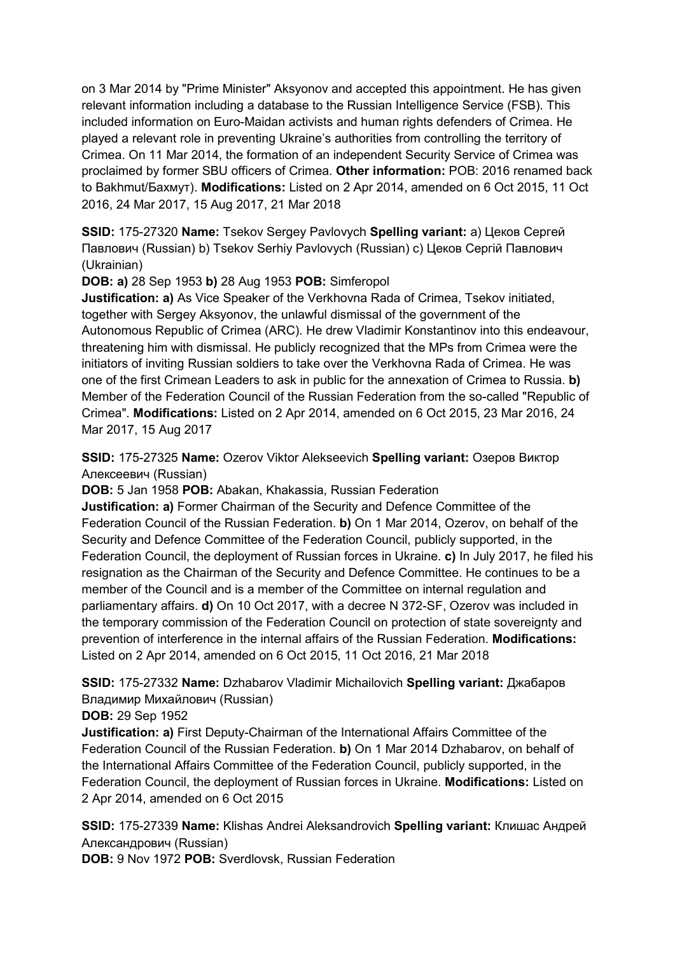on 3 Mar 2014 by "Prime Minister" Aksyonov and accepted this appointment. He has given relevant information including a database to the Russian Intelligence Service (FSB). This included information on Euro-Maidan activists and human rights defenders of Crimea. He played a relevant role in preventing Ukraine's authorities from controlling the territory of Crimea. On 11 Mar 2014, the formation of an independent Security Service of Crimea was proclaimed by former SBU officers of Crimea. **Other information:** POB: 2016 renamed back to Bakhmut/Бахмут). **Modifications:** Listed on 2 Apr 2014, amended on 6 Oct 2015, 11 Oct 2016, 24 Mar 2017, 15 Aug 2017, 21 Mar 2018

**SSID:** 175-27320 **Name:** Tsekov Sergey Pavlovych **Spelling variant:** a) Цеков Сергей Павлович (Russian) b) Tsekov Serhiy Pavlovych (Russian) c) Цеков Сергій Павлович (Ukrainian)

**DOB: a)** 28 Sep 1953 **b)** 28 Aug 1953 **POB:** Simferopol

**Justification: a)** As Vice Speaker of the Verkhovna Rada of Crimea, Tsekov initiated, together with Sergey Aksyonov, the unlawful dismissal of the government of the Autonomous Republic of Crimea (ARC). He drew Vladimir Konstantinov into this endeavour, threatening him with dismissal. He publicly recognized that the MPs from Crimea were the initiators of inviting Russian soldiers to take over the Verkhovna Rada of Crimea. He was one of the first Crimean Leaders to ask in public for the annexation of Crimea to Russia. **b)**  Member of the Federation Council of the Russian Federation from the so-called "Republic of Crimea". **Modifications:** Listed on 2 Apr 2014, amended on 6 Oct 2015, 23 Mar 2016, 24 Mar 2017, 15 Aug 2017

**SSID:** 175-27325 **Name:** Ozerov Viktor Alekseevich **Spelling variant:** Озеров Виктор Алексеевич (Russian)

**DOB:** 5 Jan 1958 **POB:** Abakan, Khakassia, Russian Federation

**Justification: a)** Former Chairman of the Security and Defence Committee of the Federation Council of the Russian Federation. **b)** On 1 Mar 2014, Ozerov, on behalf of the Security and Defence Committee of the Federation Council, publicly supported, in the Federation Council, the deployment of Russian forces in Ukraine. **c)** In July 2017, he filed his resignation as the Chairman of the Security and Defence Committee. He continues to be a member of the Council and is a member of the Committee on internal regulation and parliamentary affairs. **d)** On 10 Oct 2017, with a decree N 372-SF, Ozerov was included in the temporary commission of the Federation Council on protection of state sovereignty and prevention of interference in the internal affairs of the Russian Federation. **Modifications:**  Listed on 2 Apr 2014, amended on 6 Oct 2015, 11 Oct 2016, 21 Mar 2018

**SSID:** 175-27332 **Name:** Dzhabarov Vladimir Michailovich **Spelling variant:** Джабаров Владимир Михайлович (Russian)

**DOB:** 29 Sep 1952

**Justification: a)** First Deputy-Chairman of the International Affairs Committee of the Federation Council of the Russian Federation. **b)** On 1 Mar 2014 Dzhabarov, on behalf of the International Affairs Committee of the Federation Council, publicly supported, in the Federation Council, the deployment of Russian forces in Ukraine. **Modifications:** Listed on 2 Apr 2014, amended on 6 Oct 2015

**SSID:** 175-27339 **Name:** Klishas Andrei Aleksandrovich **Spelling variant:** Клишас Андрей Александрович (Russian)

**DOB:** 9 Nov 1972 **POB:** Sverdlovsk, Russian Federation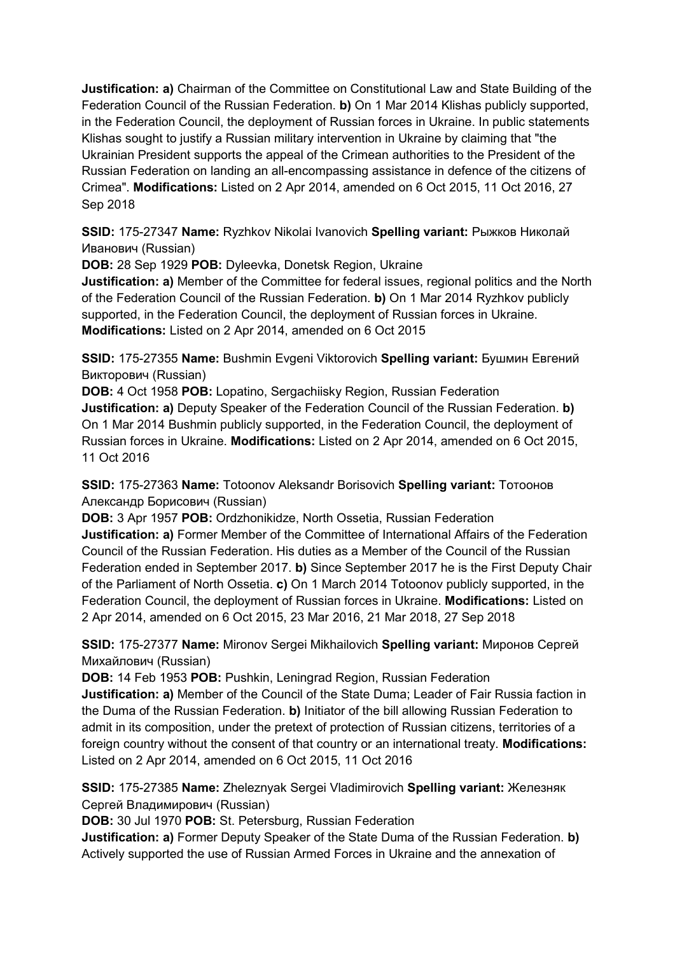**Justification: a)** Chairman of the Committee on Constitutional Law and State Building of the Federation Council of the Russian Federation. **b)** On 1 Mar 2014 Klishas publicly supported, in the Federation Council, the deployment of Russian forces in Ukraine. In public statements Klishas sought to justify a Russian military intervention in Ukraine by claiming that "the Ukrainian President supports the appeal of the Crimean authorities to the President of the Russian Federation on landing an all-encompassing assistance in defence of the citizens of Crimea". **Modifications:** Listed on 2 Apr 2014, amended on 6 Oct 2015, 11 Oct 2016, 27 Sep 2018

**SSID:** 175-27347 **Name:** Ryzhkov Nikolai Ivanovich **Spelling variant:** Рыжков Николай Иванович (Russian)

**DOB:** 28 Sep 1929 **POB:** Dyleevka, Donetsk Region, Ukraine

**Justification: a)** Member of the Committee for federal issues, regional politics and the North of the Federation Council of the Russian Federation. **b)** On 1 Mar 2014 Ryzhkov publicly supported, in the Federation Council, the deployment of Russian forces in Ukraine. **Modifications:** Listed on 2 Apr 2014, amended on 6 Oct 2015

**SSID:** 175-27355 **Name:** Bushmin Evgeni Viktorovich **Spelling variant:** Бушмин Евгений Викторович (Russian)

**DOB:** 4 Oct 1958 **POB:** Lopatino, Sergachiisky Region, Russian Federation **Justification: a)** Deputy Speaker of the Federation Council of the Russian Federation. **b)**  On 1 Mar 2014 Bushmin publicly supported, in the Federation Council, the deployment of Russian forces in Ukraine. **Modifications:** Listed on 2 Apr 2014, amended on 6 Oct 2015, 11 Oct 2016

**SSID:** 175-27363 **Name:** Totoonov Aleksandr Borisovich **Spelling variant:** Тотоонов Александр Борисович (Russian)

**DOB:** 3 Apr 1957 **POB:** Ordzhonikidze, North Ossetia, Russian Federation **Justification: a)** Former Member of the Committee of International Affairs of the Federation Council of the Russian Federation. His duties as a Member of the Council of the Russian Federation ended in September 2017. **b)** Since September 2017 he is the First Deputy Chair of the Parliament of North Ossetia. **c)** On 1 March 2014 Totoonov publicly supported, in the Federation Council, the deployment of Russian forces in Ukraine. **Modifications:** Listed on 2 Apr 2014, amended on 6 Oct 2015, 23 Mar 2016, 21 Mar 2018, 27 Sep 2018

**SSID:** 175-27377 **Name:** Mironov Sergei Mikhailovich **Spelling variant:** Миронов Сергей Михайлович (Russian)

**DOB:** 14 Feb 1953 **POB:** Pushkin, Leningrad Region, Russian Federation **Justification: a)** Member of the Council of the State Duma; Leader of Fair Russia faction in the Duma of the Russian Federation. **b)** Initiator of the bill allowing Russian Federation to admit in its composition, under the pretext of protection of Russian citizens, territories of a foreign country without the consent of that country or an international treaty. **Modifications:**  Listed on 2 Apr 2014, amended on 6 Oct 2015, 11 Oct 2016

**SSID:** 175-27385 **Name:** Zheleznyak Sergei Vladimirovich **Spelling variant:** Железняк Сергей Владимирович (Russian)

**DOB:** 30 Jul 1970 **POB:** St. Petersburg, Russian Federation

**Justification: a)** Former Deputy Speaker of the State Duma of the Russian Federation. **b)**  Actively supported the use of Russian Armed Forces in Ukraine and the annexation of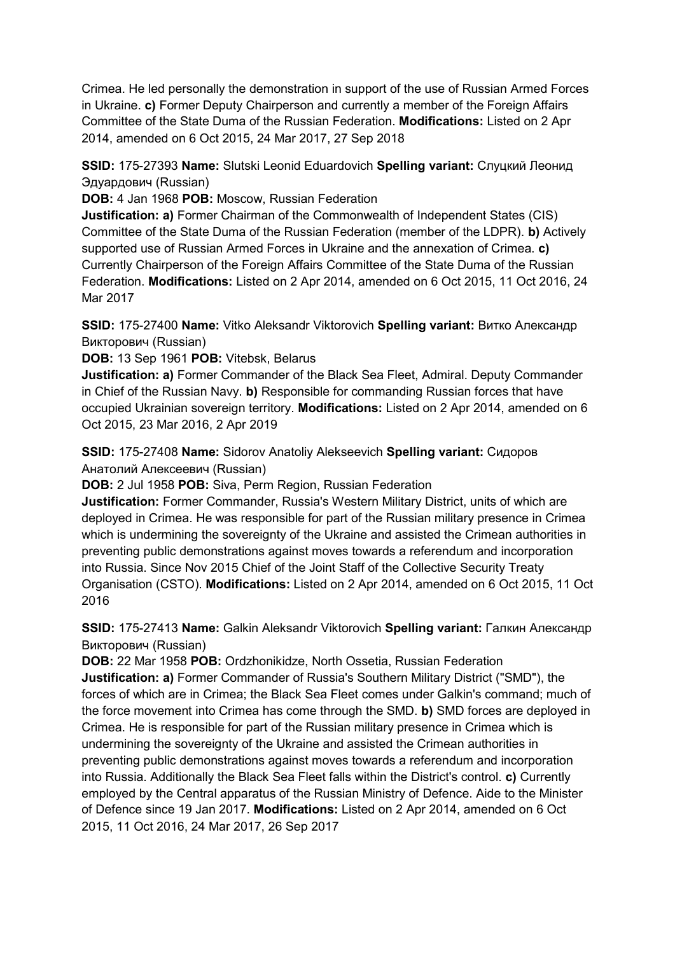Crimea. He led personally the demonstration in support of the use of Russian Armed Forces in Ukraine. **c)** Former Deputy Chairperson and currently a member of the Foreign Affairs Committee of the State Duma of the Russian Federation. **Modifications:** Listed on 2 Apr 2014, amended on 6 Oct 2015, 24 Mar 2017, 27 Sep 2018

**SSID:** 175-27393 **Name:** Slutski Leonid Eduardovich **Spelling variant:** Слуцкий Леонид Эдуардович (Russian)

**DOB:** 4 Jan 1968 **POB:** Moscow, Russian Federation

**Justification: a)** Former Chairman of the Commonwealth of Independent States (CIS) Committee of the State Duma of the Russian Federation (member of the LDPR). **b)** Actively supported use of Russian Armed Forces in Ukraine and the annexation of Crimea. **c)**  Currently Chairperson of the Foreign Affairs Committee of the State Duma of the Russian Federation. **Modifications:** Listed on 2 Apr 2014, amended on 6 Oct 2015, 11 Oct 2016, 24 Mar 2017

**SSID:** 175-27400 **Name:** Vitko Aleksandr Viktorovich **Spelling variant:** Витко Александр Викторович (Russian)

**DOB:** 13 Sep 1961 **POB:** Vitebsk, Belarus

**Justification: a)** Former Commander of the Black Sea Fleet, Admiral. Deputy Commander in Chief of the Russian Navy. **b)** Responsible for commanding Russian forces that have occupied Ukrainian sovereign territory. **Modifications:** Listed on 2 Apr 2014, amended on 6 Oct 2015, 23 Mar 2016, 2 Apr 2019

**SSID:** 175-27408 **Name:** Sidorov Anatoliy Alekseevich **Spelling variant:** Сидоров Анатолий Алексеевич (Russian)

**DOB:** 2 Jul 1958 **POB:** Siva, Perm Region, Russian Federation

**Justification:** Former Commander, Russia's Western Military District, units of which are deployed in Crimea. He was responsible for part of the Russian military presence in Crimea which is undermining the sovereignty of the Ukraine and assisted the Crimean authorities in preventing public demonstrations against moves towards a referendum and incorporation into Russia. Since Nov 2015 Chief of the Joint Staff of the Collective Security Treaty Organisation (CSTO). **Modifications:** Listed on 2 Apr 2014, amended on 6 Oct 2015, 11 Oct 2016

**SSID:** 175-27413 **Name:** Galkin Aleksandr Viktorovich **Spelling variant:** Галкин Александр Викторович (Russian)

**DOB:** 22 Mar 1958 **POB:** Ordzhonikidze, North Ossetia, Russian Federation **Justification: a)** Former Commander of Russia's Southern Military District ("SMD"), the forces of which are in Crimea; the Black Sea Fleet comes under Galkin's command; much of the force movement into Crimea has come through the SMD. **b)** SMD forces are deployed in Crimea. He is responsible for part of the Russian military presence in Crimea which is undermining the sovereignty of the Ukraine and assisted the Crimean authorities in preventing public demonstrations against moves towards a referendum and incorporation into Russia. Additionally the Black Sea Fleet falls within the District's control. **c)** Currently employed by the Central apparatus of the Russian Ministry of Defence. Aide to the Minister of Defence since 19 Jan 2017. **Modifications:** Listed on 2 Apr 2014, amended on 6 Oct 2015, 11 Oct 2016, 24 Mar 2017, 26 Sep 2017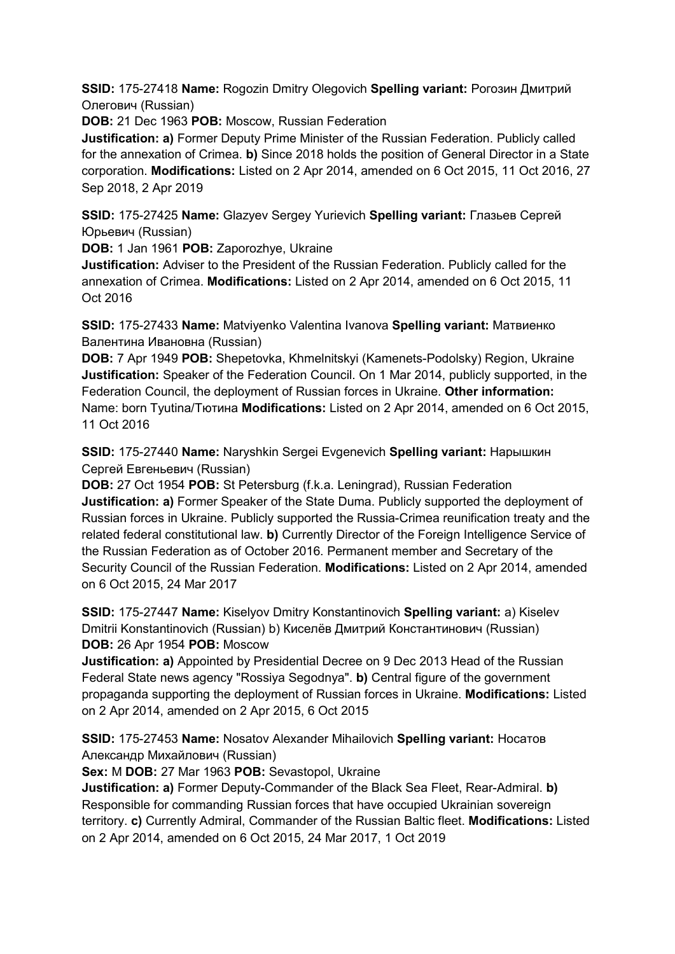**SSID:** 175-27418 **Name:** Rogozin Dmitry Olegovich **Spelling variant:** Рогозин Дмитрий Олегович (Russian)

**DOB:** 21 Dec 1963 **POB:** Moscow, Russian Federation

**Justification: a)** Former Deputy Prime Minister of the Russian Federation. Publicly called for the annexation of Crimea. **b)** Since 2018 holds the position of General Director in a State corporation. **Modifications:** Listed on 2 Apr 2014, amended on 6 Oct 2015, 11 Oct 2016, 27 Sep 2018, 2 Apr 2019

**SSID:** 175-27425 **Name:** Glazyev Sergey Yurievich **Spelling variant:** Глазьев Сергей Юрьевич (Russian)

**DOB:** 1 Jan 1961 **POB:** Zaporozhye, Ukraine

**Justification:** Adviser to the President of the Russian Federation. Publicly called for the annexation of Crimea. **Modifications:** Listed on 2 Apr 2014, amended on 6 Oct 2015, 11 Oct 2016

**SSID:** 175-27433 **Name:** Matviyenko Valentina Ivanova **Spelling variant:** Матвиенко Валентина Ивановна (Russian)

**DOB:** 7 Apr 1949 **POB:** Shepetovka, Khmelnitskyi (Kamenets-Podolsky) Region, Ukraine **Justification:** Speaker of the Federation Council. On 1 Mar 2014, publicly supported, in the Federation Council, the deployment of Russian forces in Ukraine. **Other information:** Name: born Tyutina/Тютина **Modifications:** Listed on 2 Apr 2014, amended on 6 Oct 2015, 11 Oct 2016

**SSID:** 175-27440 **Name:** Naryshkin Sergei Evgenevich **Spelling variant:** Нарышкин Сергей Евгеньевич (Russian)

**DOB:** 27 Oct 1954 **POB:** St Petersburg (f.k.a. Leningrad), Russian Federation **Justification: a)** Former Speaker of the State Duma. Publicly supported the deployment of Russian forces in Ukraine. Publicly supported the Russia-Crimea reunification treaty and the related federal constitutional law. **b)** Currently Director of the Foreign Intelligence Service of the Russian Federation as of October 2016. Permanent member and Secretary of the Security Council of the Russian Federation. **Modifications:** Listed on 2 Apr 2014, amended on 6 Oct 2015, 24 Mar 2017

**SSID:** 175-27447 **Name:** Kiselyov Dmitry Konstantinovich **Spelling variant:** a) Kiselev Dmitrii Konstantinovich (Russian) b) Киселёв Дмитрий Константинович (Russian) **DOB:** 26 Apr 1954 **POB:** Moscow

**Justification: a)** Appointed by Presidential Decree on 9 Dec 2013 Head of the Russian Federal State news agency "Rossiya Segodnya". **b)** Central figure of the government propaganda supporting the deployment of Russian forces in Ukraine. **Modifications:** Listed on 2 Apr 2014, amended on 2 Apr 2015, 6 Oct 2015

**SSID:** 175-27453 **Name:** Nosatov Alexander Mihailovich **Spelling variant:** Носатов Александр Михайлович (Russian)

**Sex:** M **DOB:** 27 Mar 1963 **POB:** Sevastopol, Ukraine

**Justification: a)** Former Deputy-Commander of the Black Sea Fleet, Rear-Admiral. **b)**  Responsible for commanding Russian forces that have occupied Ukrainian sovereign territory. **c)** Currently Admiral, Commander of the Russian Baltic fleet. **Modifications:** Listed on 2 Apr 2014, amended on 6 Oct 2015, 24 Mar 2017, 1 Oct 2019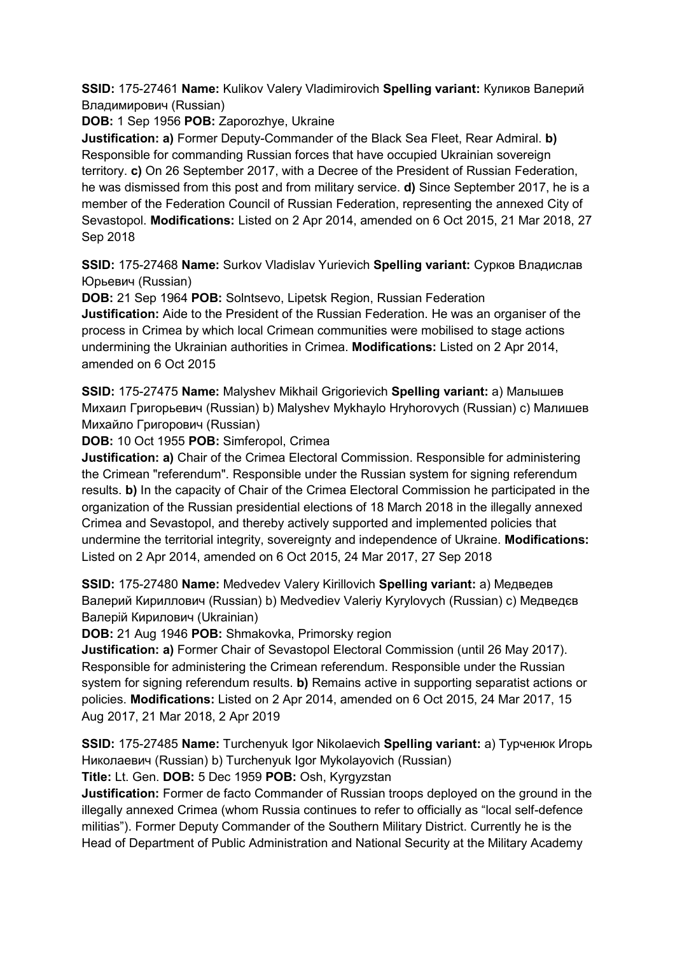**SSID:** 175-27461 **Name:** Kulikov Valery Vladimirovich **Spelling variant:** Куликов Валерий Владимирович (Russian)

**DOB:** 1 Sep 1956 **POB:** Zaporozhye, Ukraine

**Justification: a)** Former Deputy-Commander of the Black Sea Fleet, Rear Admiral. **b)**  Responsible for commanding Russian forces that have occupied Ukrainian sovereign territory. **c)** On 26 September 2017, with a Decree of the President of Russian Federation, he was dismissed from this post and from military service. **d)** Since September 2017, he is a member of the Federation Council of Russian Federation, representing the annexed City of Sevastopol. **Modifications:** Listed on 2 Apr 2014, amended on 6 Oct 2015, 21 Mar 2018, 27 Sep 2018

**SSID:** 175-27468 **Name:** Surkov Vladislav Yurievich **Spelling variant:** Сурков Владислав Юрьевич (Russian)

**DOB:** 21 Sep 1964 **POB:** Solntsevo, Lipetsk Region, Russian Federation **Justification:** Aide to the President of the Russian Federation. He was an organiser of the process in Crimea by which local Crimean communities were mobilised to stage actions undermining the Ukrainian authorities in Crimea. **Modifications:** Listed on 2 Apr 2014, amended on 6 Oct 2015

**SSID:** 175-27475 **Name:** Malyshev Mikhail Grigorievich **Spelling variant:** a) Малышев Михаил Григорьевич (Russian) b) Malyshev Mykhaylo Hryhorovych (Russian) c) Малишев Михайло Григорович (Russian)

**DOB:** 10 Oct 1955 **POB:** Simferopol, Crimea

**Justification: a)** Chair of the Crimea Electoral Commission. Responsible for administering the Crimean "referendum". Responsible under the Russian system for signing referendum results. **b)** In the capacity of Chair of the Crimea Electoral Commission he participated in the organization of the Russian presidential elections of 18 March 2018 in the illegally annexed Crimea and Sevastopol, and thereby actively supported and implemented policies that undermine the territorial integrity, sovereignty and independence of Ukraine. **Modifications:**  Listed on 2 Apr 2014, amended on 6 Oct 2015, 24 Mar 2017, 27 Sep 2018

**SSID:** 175-27480 **Name:** Medvedev Valery Kirillovich **Spelling variant:** a) Медведев Валерий Кириллович (Russian) b) Medvediev Valeriy Kyrylovych (Russian) c) Медведєв Валерій Кирилович (Ukrainian)

**DOB:** 21 Aug 1946 **POB:** Shmakovka, Primorsky region

**Justification: a)** Former Chair of Sevastopol Electoral Commission (until 26 May 2017). Responsible for administering the Crimean referendum. Responsible under the Russian system for signing referendum results. **b)** Remains active in supporting separatist actions or policies. **Modifications:** Listed on 2 Apr 2014, amended on 6 Oct 2015, 24 Mar 2017, 15 Aug 2017, 21 Mar 2018, 2 Apr 2019

**SSID:** 175-27485 **Name:** Turchenyuk Igor Nikolaevich **Spelling variant:** a) Турченюк Игорь Николаевич (Russian) b) Turchenyuk Igor Mykolayovich (Russian)

**Title:** Lt. Gen. **DOB:** 5 Dec 1959 **POB:** Osh, Kyrgyzstan

**Justification:** Former de facto Commander of Russian troops deployed on the ground in the illegally annexed Crimea (whom Russia continues to refer to officially as "local self-defence militias"). Former Deputy Commander of the Southern Military District. Currently he is the Head of Department of Public Administration and National Security at the Military Academy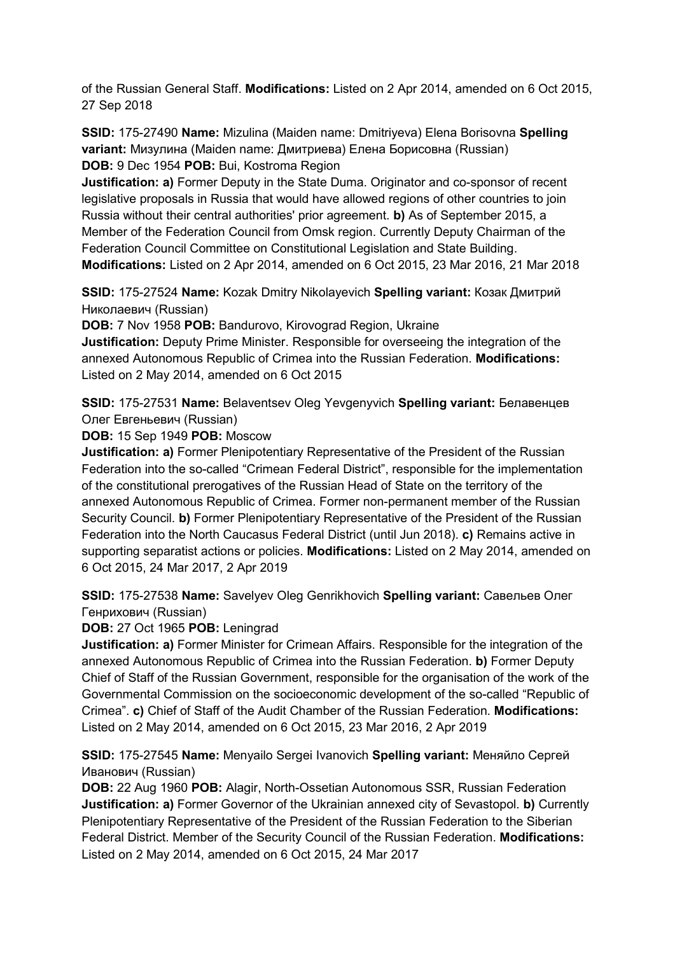of the Russian General Staff. **Modifications:** Listed on 2 Apr 2014, amended on 6 Oct 2015, 27 Sep 2018

**SSID:** 175-27490 **Name:** Mizulina (Maiden name: Dmitriyeva) Elena Borisovna **Spelling variant:** Мизулина (Maiden name: Дмитриева) Елена Борисовна (Russian) **DOB:** 9 Dec 1954 **POB:** Bui, Kostroma Region

**Justification: a)** Former Deputy in the State Duma. Originator and co-sponsor of recent legislative proposals in Russia that would have allowed regions of other countries to join Russia without their central authorities' prior agreement. **b)** As of September 2015, a Member of the Federation Council from Omsk region. Currently Deputy Chairman of the Federation Council Committee on Constitutional Legislation and State Building. **Modifications:** Listed on 2 Apr 2014, amended on 6 Oct 2015, 23 Mar 2016, 21 Mar 2018

**SSID:** 175-27524 **Name:** Kozak Dmitry Nikolayevich **Spelling variant:** Козак Дмитрий Николаевич (Russian)

**DOB:** 7 Nov 1958 **POB:** Bandurovo, Kirovograd Region, Ukraine

**Justification:** Deputy Prime Minister. Responsible for overseeing the integration of the annexed Autonomous Republic of Crimea into the Russian Federation. **Modifications:**  Listed on 2 May 2014, amended on 6 Oct 2015

**SSID:** 175-27531 **Name:** Belaventsev Oleg Yevgenyvich **Spelling variant:** Белавенцев Олег Евгеньевич (Russian)

**DOB:** 15 Sep 1949 **POB:** Moscow

**Justification: a)** Former Plenipotentiary Representative of the President of the Russian Federation into the so-called "Crimean Federal District", responsible for the implementation of the constitutional prerogatives of the Russian Head of State on the territory of the annexed Autonomous Republic of Crimea. Former non-permanent member of the Russian Security Council. **b)** Former Plenipotentiary Representative of the President of the Russian Federation into the North Caucasus Federal District (until Jun 2018). **c)** Remains active in supporting separatist actions or policies. **Modifications:** Listed on 2 May 2014, amended on 6 Oct 2015, 24 Mar 2017, 2 Apr 2019

**SSID:** 175-27538 **Name:** Savelyev Oleg Genrikhovich **Spelling variant:** Савельев Олег Генрихович (Russian)

**DOB:** 27 Oct 1965 **POB:** Leningrad

**Justification: a)** Former Minister for Crimean Affairs. Responsible for the integration of the annexed Autonomous Republic of Crimea into the Russian Federation. **b)** Former Deputy Chief of Staff of the Russian Government, responsible for the organisation of the work of the Governmental Commission on the socioeconomic development of the so-called "Republic of Crimea". **c)** Chief of Staff of the Audit Chamber of the Russian Federation. **Modifications:**  Listed on 2 May 2014, amended on 6 Oct 2015, 23 Mar 2016, 2 Apr 2019

**SSID:** 175-27545 **Name:** Menyailo Sergei Ivanovich **Spelling variant:** Меняйло Сергей Иванович (Russian)

**DOB:** 22 Aug 1960 **POB:** Alagir, North-Ossetian Autonomous SSR, Russian Federation **Justification: a)** Former Governor of the Ukrainian annexed city of Sevastopol. **b)** Currently Plenipotentiary Representative of the President of the Russian Federation to the Siberian Federal District. Member of the Security Council of the Russian Federation. **Modifications:**  Listed on 2 May 2014, amended on 6 Oct 2015, 24 Mar 2017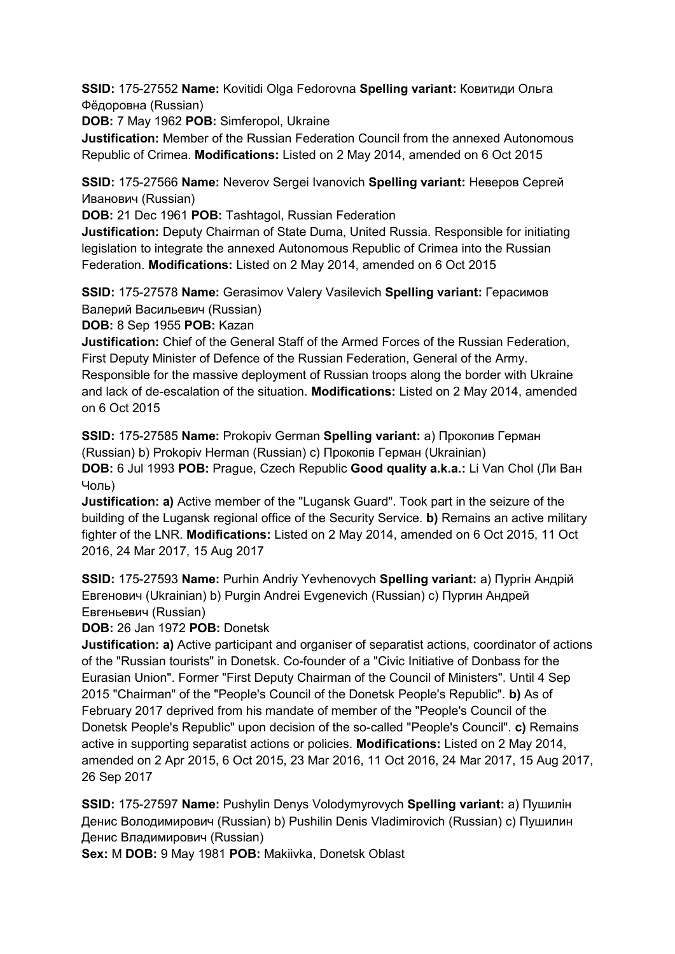**SSID:** 175-27552 **Name:** Kovitidi Olga Fedorovna **Spelling variant:** Ковитиди Ольга Фёдоровна (Russian)

**DOB:** 7 May 1962 **POB:** Simferopol, Ukraine

**Justification:** Member of the Russian Federation Council from the annexed Autonomous Republic of Crimea. **Modifications:** Listed on 2 May 2014, amended on 6 Oct 2015

**SSID:** 175-27566 **Name:** Neverov Sergei Ivanovich **Spelling variant:** Неверов Сергей Иванович (Russian)

**DOB:** 21 Dec 1961 **POB:** Tashtagol, Russian Federation

**Justification:** Deputy Chairman of State Duma, United Russia. Responsible for initiating legislation to integrate the annexed Autonomous Republic of Crimea into the Russian Federation. **Modifications:** Listed on 2 May 2014, amended on 6 Oct 2015

**SSID:** 175-27578 **Name:** Gerasimov Valery Vasilevich **Spelling variant:** Герасимов Валерий Васильевич (Russian)

**DOB:** 8 Sep 1955 **POB:** Kazan

**Justification:** Chief of the General Staff of the Armed Forces of the Russian Federation, First Deputy Minister of Defence of the Russian Federation, General of the Army. Responsible for the massive deployment of Russian troops along the border with Ukraine and lack of de-escalation of the situation. **Modifications:** Listed on 2 May 2014, amended on 6 Oct 2015

**SSID:** 175-27585 **Name:** Prokopiv German **Spelling variant:** a) Прокопив Герман (Russian) b) Prokopiv Herman (Russian) c) Прокопiв Герман (Ukrainian) **DOB:** 6 Jul 1993 **POB:** Prague, Czech Republic **Good quality a.k.a.:** Li Van Chol (Ли Ван Чоль)

**Justification: a)** Active member of the "Lugansk Guard". Took part in the seizure of the building of the Lugansk regional office of the Security Service. **b)** Remains an active military fighter of the LNR. **Modifications:** Listed on 2 May 2014, amended on 6 Oct 2015, 11 Oct 2016, 24 Mar 2017, 15 Aug 2017

**SSID:** 175-27593 **Name:** Purhin Andriy Yevhenovych **Spelling variant:** a) Пургін Андрій Eвгенович (Ukrainian) b) Purgin Andrei Evgenevich (Russian) c) Пургин Андрей Евгеньевич (Russian)

**DOB:** 26 Jan 1972 **POB:** Donetsk

**Justification: a)** Active participant and organiser of separatist actions, coordinator of actions of the "Russian tourists" in Donetsk. Co-founder of a "Civic Initiative of Donbass for the Eurasian Union". Former "First Deputy Chairman of the Council of Ministers". Until 4 Sep 2015 "Chairman" of the "People's Council of the Donetsk People's Republic". **b)** As of February 2017 deprived from his mandate of member of the "People's Council of the Donetsk People's Republic" upon decision of the so-called "People's Council". **c)** Remains active in supporting separatist actions or policies. **Modifications:** Listed on 2 May 2014, amended on 2 Apr 2015, 6 Oct 2015, 23 Mar 2016, 11 Oct 2016, 24 Mar 2017, 15 Aug 2017, 26 Sep 2017

**SSID:** 175-27597 **Name:** Pushylin Denys Volodymyrovych **Spelling variant:** a) Пушилін Денис Володимирович (Russian) b) Pushilin Denis Vladimirovich (Russian) c) Пушилин Денис Владимирович (Russian)

**Sex:** M **DOB:** 9 May 1981 **POB:** Makiivka, Donetsk Oblast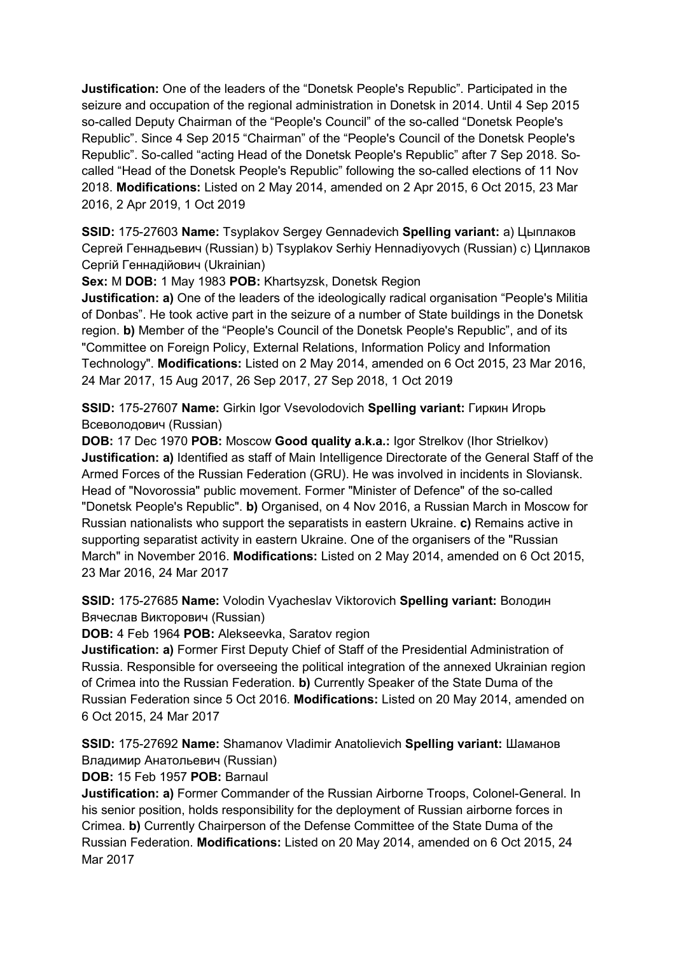**Justification:** One of the leaders of the "Donetsk People's Republic". Participated in the seizure and occupation of the regional administration in Donetsk in 2014. Until 4 Sep 2015 so-called Deputy Chairman of the "People's Council" of the so-called "Donetsk People's Republic". Since 4 Sep 2015 "Chairman" of the "People's Council of the Donetsk People's Republic". So-called "acting Head of the Donetsk People's Republic" after 7 Sep 2018. Socalled "Head of the Donetsk People's Republic" following the so-called elections of 11 Nov 2018. **Modifications:** Listed on 2 May 2014, amended on 2 Apr 2015, 6 Oct 2015, 23 Mar 2016, 2 Apr 2019, 1 Oct 2019

**SSID:** 175-27603 **Name:** Tsyplakov Sergey Gennadevich **Spelling variant:** a) Цыплаков Сергей Геннадьевич (Russian) b) Tsyplakov Serhiy Hennadiyovych (Russian) c) Циплаков Сергій Геннадійович (Ukrainian)

**Sex:** M **DOB:** 1 May 1983 **POB:** Khartsyzsk, Donetsk Region

**Justification: a)** One of the leaders of the ideologically radical organisation "People's Militia of Donbas". He took active part in the seizure of a number of State buildings in the Donetsk region. **b)** Member of the "People's Council of the Donetsk People's Republic", and of its "Committee on Foreign Policy, External Relations, Information Policy and Information Technology". **Modifications:** Listed on 2 May 2014, amended on 6 Oct 2015, 23 Mar 2016, 24 Mar 2017, 15 Aug 2017, 26 Sep 2017, 27 Sep 2018, 1 Oct 2019

**SSID:** 175-27607 **Name:** Girkin Igor Vsevolodovich **Spelling variant:** Гиркин Игорь Всеволодович (Russian)

**DOB:** 17 Dec 1970 **POB:** Moscow **Good quality a.k.a.:** Igor Strelkov (Ihor Strielkov) **Justification: a)** Identified as staff of Main Intelligence Directorate of the General Staff of the Armed Forces of the Russian Federation (GRU). He was involved in incidents in Sloviansk. Head of "Novorossia" public movement. Former "Minister of Defence" of the so-called "Donetsk People's Republic". **b)** Organised, on 4 Nov 2016, a Russian March in Moscow for Russian nationalists who support the separatists in eastern Ukraine. **c)** Remains active in supporting separatist activity in eastern Ukraine. One of the organisers of the "Russian March" in November 2016. **Modifications:** Listed on 2 May 2014, amended on 6 Oct 2015, 23 Mar 2016, 24 Mar 2017

**SSID:** 175-27685 **Name:** Volodin Vyacheslav Viktorovich **Spelling variant:** Володин Вячеслав Викторович (Russian)

**DOB:** 4 Feb 1964 **POB:** Alekseevka, Saratov region

**Justification: a)** Former First Deputy Chief of Staff of the Presidential Administration of Russia. Responsible for overseeing the political integration of the annexed Ukrainian region of Crimea into the Russian Federation. **b)** Currently Speaker of the State Duma of the Russian Federation since 5 Oct 2016. **Modifications:** Listed on 20 May 2014, amended on 6 Oct 2015, 24 Mar 2017

**SSID:** 175-27692 **Name:** Shamanov Vladimir Anatolievich **Spelling variant:** Шаманов Владимир Анатольевич (Russian)

**DOB:** 15 Feb 1957 **POB:** Barnaul

**Justification: a)** Former Commander of the Russian Airborne Troops, Colonel-General. In his senior position, holds responsibility for the deployment of Russian airborne forces in Crimea. **b)** Currently Chairperson of the Defense Committee of the State Duma of the Russian Federation. **Modifications:** Listed on 20 May 2014, amended on 6 Oct 2015, 24 Mar 2017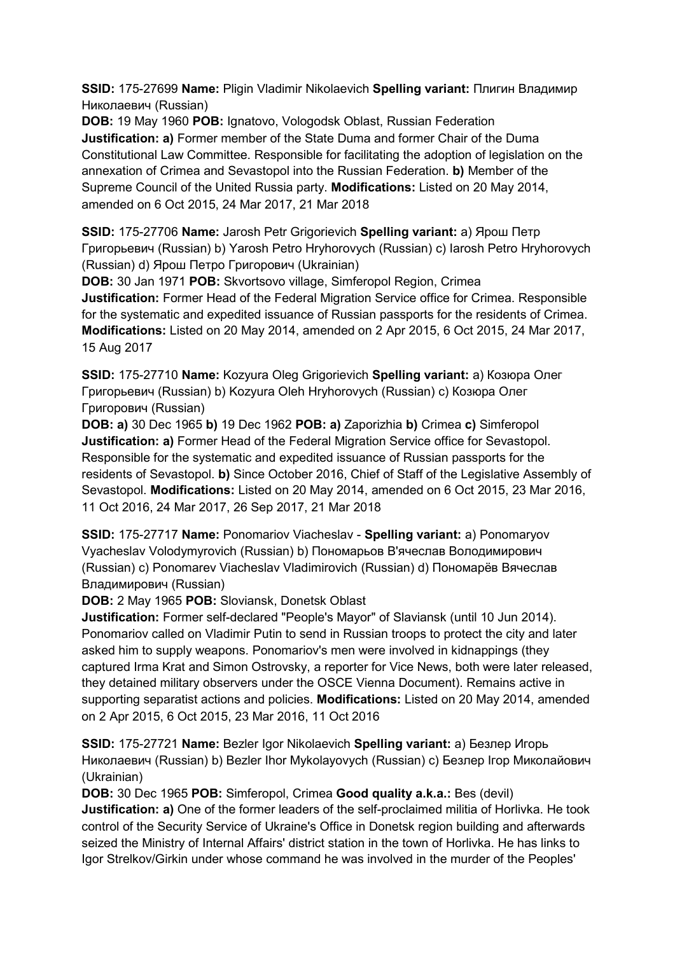**SSID:** 175-27699 **Name:** Pligin Vladimir Nikolaevich **Spelling variant:** Плигин Владимир Николаевич (Russian)

**DOB:** 19 May 1960 **POB:** Ignatovo, Vologodsk Oblast, Russian Federation **Justification: a)** Former member of the State Duma and former Chair of the Duma Constitutional Law Committee. Responsible for facilitating the adoption of legislation on the annexation of Crimea and Sevastopol into the Russian Federation. **b)** Member of the Supreme Council of the United Russia party. **Modifications:** Listed on 20 May 2014, amended on 6 Oct 2015, 24 Mar 2017, 21 Mar 2018

**SSID:** 175-27706 **Name:** Jarosh Petr Grigorievich **Spelling variant:** a) Ярош Петр Григорьевич (Russian) b) Yarosh Petro Hryhorovych (Russian) c) Iarosh Petro Hryhorovych (Russian) d) Ярош Петро Григорович (Ukrainian)

**DOB:** 30 Jan 1971 **POB:** Skvortsovo village, Simferopol Region, Crimea **Justification:** Former Head of the Federal Migration Service office for Crimea. Responsible for the systematic and expedited issuance of Russian passports for the residents of Crimea. **Modifications:** Listed on 20 May 2014, amended on 2 Apr 2015, 6 Oct 2015, 24 Mar 2017, 15 Aug 2017

**SSID:** 175-27710 **Name:** Kozyura Oleg Grigorievich **Spelling variant:** a) Козюра Олег Григорьевич (Russian) b) Kozyura Oleh Hryhorovych (Russian) c) Козюра Олег Григорович (Russian)

**DOB: a)** 30 Dec 1965 **b)** 19 Dec 1962 **POB: a)** Zaporizhia **b)** Crimea **c)** Simferopol **Justification: a)** Former Head of the Federal Migration Service office for Sevastopol. Responsible for the systematic and expedited issuance of Russian passports for the residents of Sevastopol. **b)** Since October 2016, Chief of Staff of the Legislative Assembly of Sevastopol. **Modifications:** Listed on 20 May 2014, amended on 6 Oct 2015, 23 Mar 2016, 11 Oct 2016, 24 Mar 2017, 26 Sep 2017, 21 Mar 2018

**SSID:** 175-27717 **Name:** Ponomariov Viacheslav - **Spelling variant:** a) Ponomaryov Vyacheslav Volodymyrovich (Russian) b) Пономарьов В'ячеслав Володимирович (Russian) c) Ponomarev Viacheslav Vladimirovich (Russian) d) Пономарёв Вячеслав Владимирович (Russian)

**DOB:** 2 May 1965 **POB:** Sloviansk, Donetsk Oblast

**Justification:** Former self-declared "People's Mayor" of Slaviansk (until 10 Jun 2014). Ponomariov called on Vladimir Putin to send in Russian troops to protect the city and later asked him to supply weapons. Ponomariov's men were involved in kidnappings (they captured Irma Krat and Simon Ostrovsky, a reporter for Vice News, both were later released, they detained military observers under the OSCE Vienna Document). Remains active in supporting separatist actions and policies. **Modifications:** Listed on 20 May 2014, amended on 2 Apr 2015, 6 Oct 2015, 23 Mar 2016, 11 Oct 2016

**SSID:** 175-27721 **Name:** Bezler Igor Nikolaevich **Spelling variant:** a) Безлер Игорь Николаевич (Russian) b) Bezler Ihor Mykolayovych (Russian) c) Безлер Iгор Миколайович (Ukrainian)

**DOB:** 30 Dec 1965 **POB:** Simferopol, Crimea **Good quality a.k.a.:** Bes (devil)

**Justification: a)** One of the former leaders of the self-proclaimed militia of Horlivka. He took control of the Security Service of Ukraine's Office in Donetsk region building and afterwards seized the Ministry of Internal Affairs' district station in the town of Horlivka. He has links to Igor Strelkov/Girkin under whose command he was involved in the murder of the Peoples'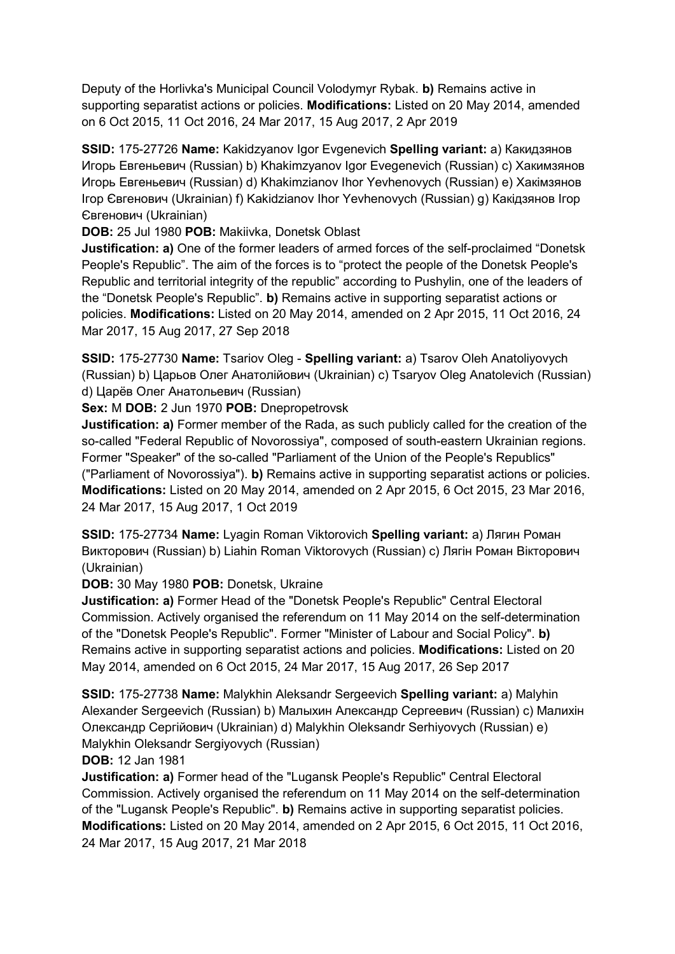Deputy of the Horlivka's Municipal Council Volodymyr Rybak. **b)** Remains active in supporting separatist actions or policies. **Modifications:** Listed on 20 May 2014, amended on 6 Oct 2015, 11 Oct 2016, 24 Mar 2017, 15 Aug 2017, 2 Apr 2019

**SSID:** 175-27726 **Name:** Kakidzyanov Igor Evgenevich **Spelling variant:** a) Какидзянов Игорь Евгеньевич (Russian) b) Khakimzyanov Igor Evegenevich (Russian) c) Хакимзянов Игорь Евгеньевич (Russian) d) Khakimzianov Ihor Yevhenovych (Russian) e) Хакiмзянов Iгор Євгенович (Ukrainian) f) Kakidzianov Ihor Yevhenovych (Russian) g) Какiдзянов Iгор Євгенович (Ukrainian)

**DOB:** 25 Jul 1980 **POB:** Makiivka, Donetsk Oblast

**Justification: a)** One of the former leaders of armed forces of the self-proclaimed "Donetsk People's Republic". The aim of the forces is to "protect the people of the Donetsk People's Republic and territorial integrity of the republic" according to Pushylin, one of the leaders of the "Donetsk People's Republic". **b)** Remains active in supporting separatist actions or policies. **Modifications:** Listed on 20 May 2014, amended on 2 Apr 2015, 11 Oct 2016, 24 Mar 2017, 15 Aug 2017, 27 Sep 2018

**SSID:** 175-27730 **Name:** Tsariov Oleg - **Spelling variant:** a) Tsarov Oleh Anatoliyovych (Russian) b) Царьов Олег Анатолiйович (Ukrainian) c) Tsaryov Oleg Anatolevich (Russian) d) Царёв Олег Анатольевич (Russian)

**Sex:** M **DOB:** 2 Jun 1970 **POB:** Dnepropetrovsk

**Justification: a)** Former member of the Rada, as such publicly called for the creation of the so-called "Federal Republic of Novorossiya", composed of south-eastern Ukrainian regions. Former "Speaker" of the so-called "Parliament of the Union of the People's Republics" ("Parliament of Novorossiya"). **b)** Remains active in supporting separatist actions or policies. **Modifications:** Listed on 20 May 2014, amended on 2 Apr 2015, 6 Oct 2015, 23 Mar 2016, 24 Mar 2017, 15 Aug 2017, 1 Oct 2019

**SSID:** 175-27734 **Name:** Lyagin Roman Viktorovich **Spelling variant:** a) Лягин Роман Викторович (Russian) b) Liahin Roman Viktorovych (Russian) c) Лягiн Роман Вікторович (Ukrainian)

**DOB:** 30 May 1980 **POB:** Donetsk, Ukraine

**Justification: a)** Former Head of the "Donetsk People's Republic" Central Electoral Commission. Actively organised the referendum on 11 May 2014 on the self-determination of the "Donetsk People's Republic". Former "Minister of Labour and Social Policy". **b)**  Remains active in supporting separatist actions and policies. **Modifications:** Listed on 20 May 2014, amended on 6 Oct 2015, 24 Mar 2017, 15 Aug 2017, 26 Sep 2017

**SSID:** 175-27738 **Name:** Malykhin Aleksandr Sergeevich **Spelling variant:** a) Malyhin Alexander Sergeevich (Russian) b) Малыхин Александр Сергеевич (Russian) c) Малихін Олександр Сергійович (Ukrainian) d) Malykhin Oleksandr Serhiyovych (Russian) e) Malykhin Oleksandr Sergiyovych (Russian)

**DOB:** 12 Jan 1981

**Justification: a)** Former head of the "Lugansk People's Republic" Central Electoral Commission. Actively organised the referendum on 11 May 2014 on the self-determination of the "Lugansk People's Republic". **b)** Remains active in supporting separatist policies. **Modifications:** Listed on 20 May 2014, amended on 2 Apr 2015, 6 Oct 2015, 11 Oct 2016, 24 Mar 2017, 15 Aug 2017, 21 Mar 2018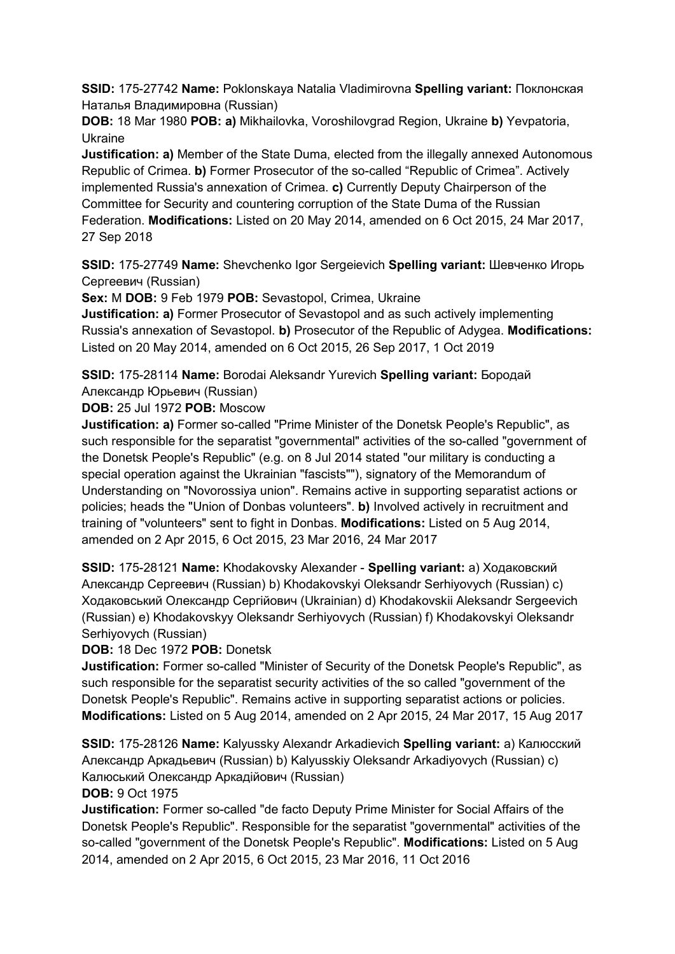**SSID:** 175-27742 **Name:** Poklonskaya Natalia Vladimirovna **Spelling variant:** Поклонская Наталья Владимировна (Russian)

**DOB:** 18 Mar 1980 **POB: a)** Mikhailovka, Voroshilovgrad Region, Ukraine **b)** Yevpatoria, Ukraine

**Justification: a)** Member of the State Duma, elected from the illegally annexed Autonomous Republic of Crimea. **b)** Former Prosecutor of the so-called "Republic of Crimea". Actively implemented Russia's annexation of Crimea. **c)** Currently Deputy Chairperson of the Committee for Security and countering corruption of the State Duma of the Russian Federation. **Modifications:** Listed on 20 May 2014, amended on 6 Oct 2015, 24 Mar 2017, 27 Sep 2018

**SSID:** 175-27749 **Name:** Shevchenko Igor Sergeievich **Spelling variant:** Шевченко Игорь Сергеевич (Russian)

**Sex:** M **DOB:** 9 Feb 1979 **POB:** Sevastopol, Crimea, Ukraine

**Justification: a)** Former Prosecutor of Sevastopol and as such actively implementing Russia's annexation of Sevastopol. **b)** Prosecutor of the Republic of Adygea. **Modifications:**  Listed on 20 May 2014, amended on 6 Oct 2015, 26 Sep 2017, 1 Oct 2019

**SSID:** 175-28114 **Name:** Borodai Aleksandr Yurevich **Spelling variant:** Бородай Александр Юрьевич (Russian)

**DOB:** 25 Jul 1972 **POB:** Moscow

**Justification: a)** Former so-called "Prime Minister of the Donetsk People's Republic", as such responsible for the separatist "governmental" activities of the so-called "government of the Donetsk People's Republic" (e.g. on 8 Jul 2014 stated "our military is conducting a special operation against the Ukrainian "fascists""), signatory of the Memorandum of Understanding on "Novorossiya union". Remains active in supporting separatist actions or policies; heads the "Union of Donbas volunteers". **b)** Involved actively in recruitment and training of "volunteers" sent to fight in Donbas. **Modifications:** Listed on 5 Aug 2014, amended on 2 Apr 2015, 6 Oct 2015, 23 Mar 2016, 24 Mar 2017

**SSID:** 175-28121 **Name:** Khodakovsky Alexander - **Spelling variant:** a) Ходаковский Александр Сергеевич (Russian) b) Khodakovskyi Oleksandr Serhiyovych (Russian) c) Ходаковський Олександр Сергійович (Ukrainian) d) Khodakovskii Aleksandr Sergeevich (Russian) e) Khodakovskyy Oleksandr Serhiyovych (Russian) f) Khodakovskyi Oleksandr Serhiyovych (Russian)

**DOB:** 18 Dec 1972 **POB:** Donetsk

**Justification:** Former so-called "Minister of Security of the Donetsk People's Republic", as such responsible for the separatist security activities of the so called "government of the Donetsk People's Republic". Remains active in supporting separatist actions or policies. **Modifications:** Listed on 5 Aug 2014, amended on 2 Apr 2015, 24 Mar 2017, 15 Aug 2017

**SSID:** 175-28126 **Name:** Kalyussky Alexandr Arkadievich **Spelling variant:** a) Калюсский Александр Аркадьевич (Russian) b) Kalyusskiy Oleksandr Arkadiyovych (Russian) c) Калюський Олександр Аркадійович (Russian)

**DOB:** 9 Oct 1975

**Justification:** Former so-called "de facto Deputy Prime Minister for Social Affairs of the Donetsk People's Republic". Responsible for the separatist "governmental" activities of the so-called "government of the Donetsk People's Republic". **Modifications:** Listed on 5 Aug 2014, amended on 2 Apr 2015, 6 Oct 2015, 23 Mar 2016, 11 Oct 2016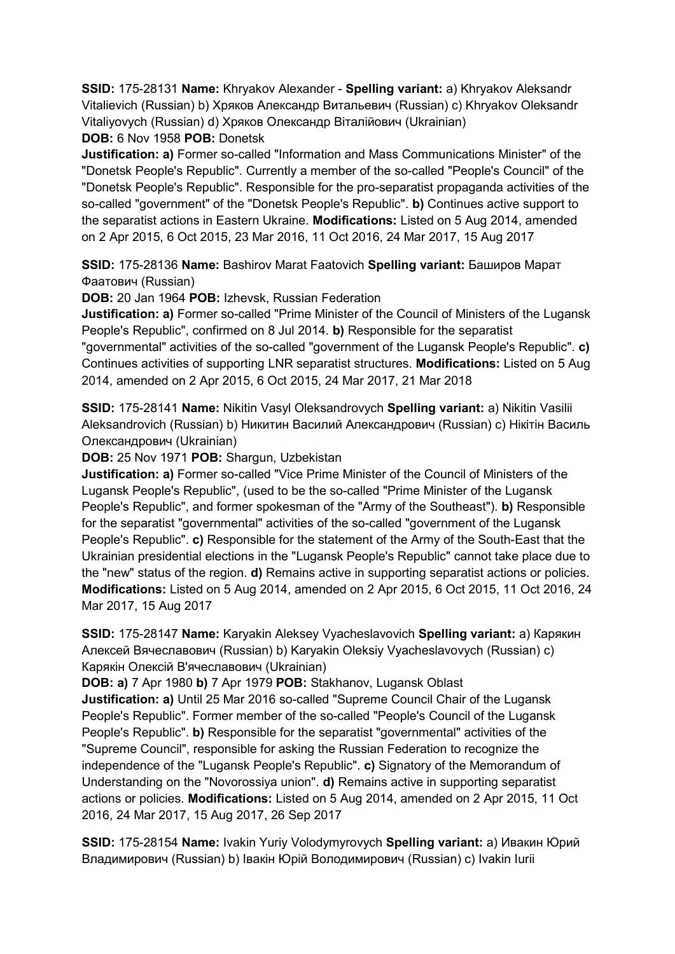**SSID:** 175-28131 **Name:** Khryakov Alexander - **Spelling variant:** a) Khryakov Aleksandr Vitalievich (Russian) b) Хряков Александр Витальевич (Russian) c) Khryakov Oleksandr Vitaliyovych (Russian) d) Хряков Олександр Віталійович (Ukrainian)

**DOB:** 6 Nov 1958 **POB:** Donetsk

**Justification: a)** Former so-called "Information and Mass Communications Minister" of the "Donetsk People's Republic". Currently a member of the so-called "People's Council" of the "Donetsk People's Republic". Responsible for the pro-separatist propaganda activities of the so-called "government" of the "Donetsk People's Republic". **b)** Continues active support to the separatist actions in Eastern Ukraine. **Modifications:** Listed on 5 Aug 2014, amended on 2 Apr 2015, 6 Oct 2015, 23 Mar 2016, 11 Oct 2016, 24 Mar 2017, 15 Aug 2017

**SSID:** 175-28136 **Name:** Bashirov Marat Faatovich **Spelling variant:** Баширов Марат Фаатович (Russian)

**DOB:** 20 Jan 1964 **POB:** Izhevsk, Russian Federation

**Justification: a)** Former so-called "Prime Minister of the Council of Ministers of the Lugansk People's Republic", confirmed on 8 Jul 2014. **b)** Responsible for the separatist "governmental" activities of the so-called "government of the Lugansk People's Republic". **c)** 

Continues activities of supporting LNR separatist structures. **Modifications:** Listed on 5 Aug 2014, amended on 2 Apr 2015, 6 Oct 2015, 24 Mar 2017, 21 Mar 2018

**SSID:** 175-28141 **Name:** Nikitin Vasyl Oleksandrovych **Spelling variant:** a) Nikitin Vasilii Aleksandrovich (Russian) b) Никитин Василий Александрович (Russian) c) Нікітін Василь Олександрович (Ukrainian)

**DOB:** 25 Nov 1971 **POB:** Shargun, Uzbekistan

**Justification: a)** Former so-called "Vice Prime Minister of the Council of Ministers of the Lugansk People's Republic", (used to be the so-called "Prime Minister of the Lugansk People's Republic", and former spokesman of the "Army of the Southeast"). **b)** Responsible for the separatist "governmental" activities of the so-called "government of the Lugansk People's Republic". **c)** Responsible for the statement of the Army of the South-East that the Ukrainian presidential elections in the "Lugansk People's Republic" cannot take place due to the "new" status of the region. **d)** Remains active in supporting separatist actions or policies. **Modifications:** Listed on 5 Aug 2014, amended on 2 Apr 2015, 6 Oct 2015, 11 Oct 2016, 24 Mar 2017, 15 Aug 2017

**SSID:** 175-28147 **Name:** Karyakin Aleksey Vyacheslavovich **Spelling variant:** a) Карякин Алексей Вячеславович (Russian) b) Karyakin Oleksiy Vyacheslavovych (Russian) c) Карякiн Олексій В'ячеславович (Ukrainian)

**DOB: a)** 7 Apr 1980 **b)** 7 Apr 1979 **POB:** Stakhanov, Lugansk Oblast

**Justification: a)** Until 25 Mar 2016 so-called "Supreme Council Chair of the Lugansk People's Republic". Former member of the so-called "People's Council of the Lugansk People's Republic". **b)** Responsible for the separatist "governmental" activities of the "Supreme Council", responsible for asking the Russian Federation to recognize the independence of the "Lugansk People's Republic". **c)** Signatory of the Memorandum of Understanding on the "Novorossiya union". **d)** Remains active in supporting separatist actions or policies. **Modifications:** Listed on 5 Aug 2014, amended on 2 Apr 2015, 11 Oct 2016, 24 Mar 2017, 15 Aug 2017, 26 Sep 2017

**SSID:** 175-28154 **Name:** Ivakin Yuriy Volodymyrovych **Spelling variant:** a) Ивакин Юрий Владимирович (Russian) b) Івакін Юрій Володимирович (Russian) c) Ivakin Iurii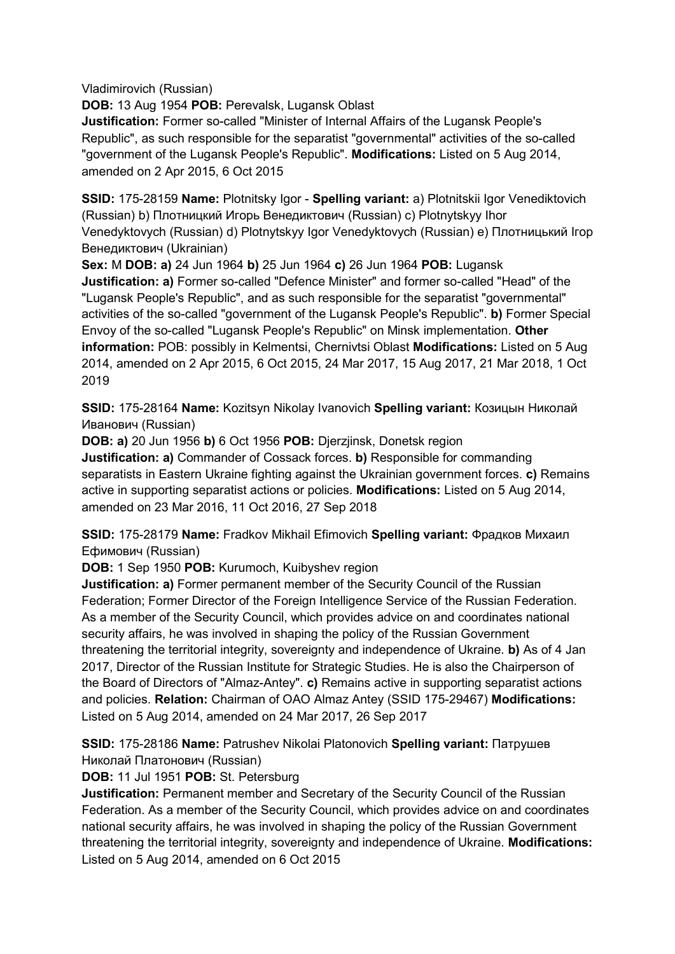Vladimirovich (Russian)

**DOB:** 13 Aug 1954 **POB:** Perevalsk, Lugansk Oblast

**Justification:** Former so-called "Minister of Internal Affairs of the Lugansk People's Republic", as such responsible for the separatist "governmental" activities of the so-called "government of the Lugansk People's Republic". **Modifications:** Listed on 5 Aug 2014, amended on 2 Apr 2015, 6 Oct 2015

**SSID:** 175-28159 **Name:** Plotnitsky Igor - **Spelling variant:** a) Plotnitskii Igor Venediktovich (Russian) b) Плотницкий Игорь Венедиктович (Russian) c) Plotnytskyy Ihor Venedyktovych (Russian) d) Plotnytskyy Igor Venedyktovych (Russian) e) Плотницький Iгор Венедиктович (Ukrainian)

**Sex:** M **DOB: a)** 24 Jun 1964 **b)** 25 Jun 1964 **c)** 26 Jun 1964 **POB:** Lugansk

**Justification: a)** Former so-called "Defence Minister" and former so-called "Head" of the "Lugansk People's Republic", and as such responsible for the separatist "governmental" activities of the so-called "government of the Lugansk People's Republic". **b)** Former Special Envoy of the so-called "Lugansk People's Republic" on Minsk implementation. **Other information:** POB: possibly in Kelmentsi, Chernivtsi Oblast **Modifications:** Listed on 5 Aug 2014, amended on 2 Apr 2015, 6 Oct 2015, 24 Mar 2017, 15 Aug 2017, 21 Mar 2018, 1 Oct 2019

**SSID:** 175-28164 **Name:** Kozitsyn Nikolay Ivanovich **Spelling variant:** Козицын Николай Иванович (Russian)

**DOB: a)** 20 Jun 1956 **b)** 6 Oct 1956 **POB:** Djerzjinsk, Donetsk region

**Justification: a)** Commander of Cossack forces. **b)** Responsible for commanding separatists in Eastern Ukraine fighting against the Ukrainian government forces. **c)** Remains active in supporting separatist actions or policies. **Modifications:** Listed on 5 Aug 2014, amended on 23 Mar 2016, 11 Oct 2016, 27 Sep 2018

**SSID:** 175-28179 **Name:** Fradkov Mikhail Efimovich **Spelling variant:** Фрадков Михаил Ефимович (Russian)

**DOB:** 1 Sep 1950 **POB:** Kurumoch, Kuibyshev region

**Justification: a)** Former permanent member of the Security Council of the Russian Federation; Former Director of the Foreign Intelligence Service of the Russian Federation. As a member of the Security Council, which provides advice on and coordinates national security affairs, he was involved in shaping the policy of the Russian Government threatening the territorial integrity, sovereignty and independence of Ukraine. **b)** As of 4 Jan 2017, Director of the Russian Institute for Strategic Studies. He is also the Chairperson of the Board of Directors of "Almaz-Antey". **c)** Remains active in supporting separatist actions and policies. **Relation:** Chairman of OAO Almaz Antey (SSID 175-29467) **Modifications:**  Listed on 5 Aug 2014, amended on 24 Mar 2017, 26 Sep 2017

**SSID:** 175-28186 **Name:** Patrushev Nikolai Platonovich **Spelling variant:** Патрушев Николай Платонович (Russian)

**DOB:** 11 Jul 1951 **POB:** St. Petersburg

**Justification:** Permanent member and Secretary of the Security Council of the Russian Federation. As a member of the Security Council, which provides advice on and coordinates national security affairs, he was involved in shaping the policy of the Russian Government threatening the territorial integrity, sovereignty and independence of Ukraine. **Modifications:**  Listed on 5 Aug 2014, amended on 6 Oct 2015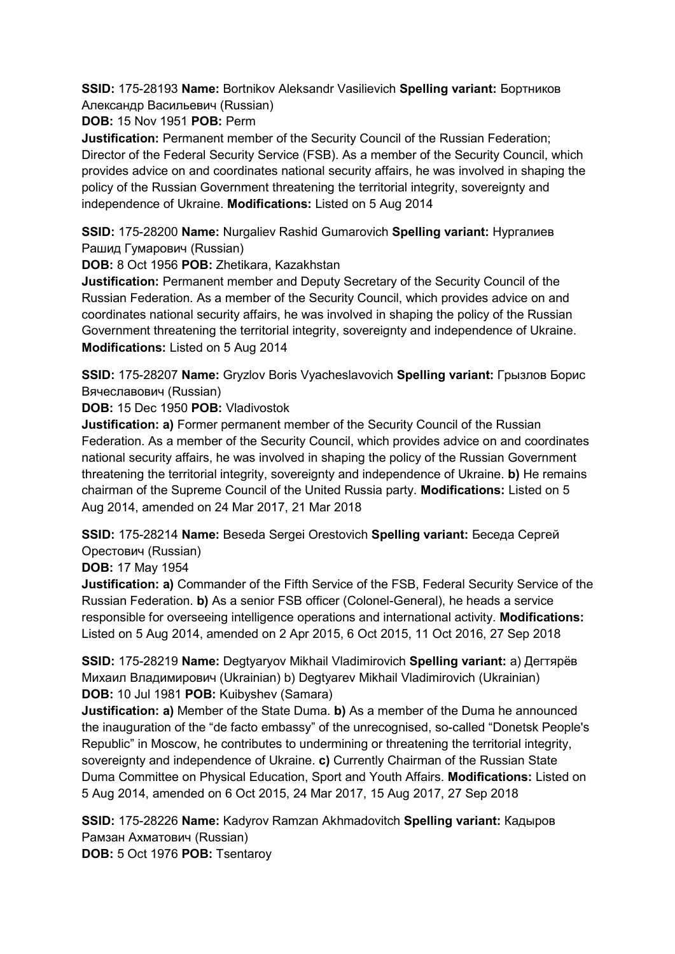**SSID:** 175-28193 **Name:** Bortnikov Aleksandr Vasilievich **Spelling variant:** Бортников Александр Васильевич (Russian)

**DOB:** 15 Nov 1951 **POB:** Perm

**Justification:** Permanent member of the Security Council of the Russian Federation; Director of the Federal Security Service (FSB). As a member of the Security Council, which provides advice on and coordinates national security affairs, he was involved in shaping the policy of the Russian Government threatening the territorial integrity, sovereignty and independence of Ukraine. **Modifications:** Listed on 5 Aug 2014

**SSID:** 175-28200 **Name:** Nurgaliev Rashid Gumarovich **Spelling variant:** Нургалиев Рашид Гумарович (Russian)

**DOB:** 8 Oct 1956 **POB:** Zhetikara, Kazakhstan

**Justification:** Permanent member and Deputy Secretary of the Security Council of the Russian Federation. As a member of the Security Council, which provides advice on and coordinates national security affairs, he was involved in shaping the policy of the Russian Government threatening the territorial integrity, sovereignty and independence of Ukraine. **Modifications:** Listed on 5 Aug 2014

**SSID:** 175-28207 **Name:** Gryzlov Boris Vyacheslavovich **Spelling variant:** Грызлов Борис Вячеславович (Russian)

**DOB:** 15 Dec 1950 **POB:** Vladivostok

**Justification: a)** Former permanent member of the Security Council of the Russian Federation. As a member of the Security Council, which provides advice on and coordinates national security affairs, he was involved in shaping the policy of the Russian Government threatening the territorial integrity, sovereignty and independence of Ukraine. **b)** He remains chairman of the Supreme Council of the United Russia party. **Modifications:** Listed on 5 Aug 2014, amended on 24 Mar 2017, 21 Mar 2018

**SSID:** 175-28214 **Name:** Beseda Sergei Orestovich **Spelling variant:** Беседа Сергей Орестович (Russian)

**DOB:** 17 May 1954

**Justification: a)** Commander of the Fifth Service of the FSB, Federal Security Service of the Russian Federation. **b)** As a senior FSB officer (Colonel-General), he heads a service responsible for overseeing intelligence operations and international activity. **Modifications:**  Listed on 5 Aug 2014, amended on 2 Apr 2015, 6 Oct 2015, 11 Oct 2016, 27 Sep 2018

**SSID:** 175-28219 **Name:** Degtyaryov Mikhail Vladimirovich **Spelling variant:** a) Дегтярёв Михаил Владимирович (Ukrainian) b) Degtyarev Mikhail Vladimirovich (Ukrainian) **DOB:** 10 Jul 1981 **POB:** Kuibyshev (Samara)

**Justification: a)** Member of the State Duma. **b)** As a member of the Duma he announced the inauguration of the "de facto embassy" of the unrecognised, so-called "Donetsk People's Republic" in Moscow, he contributes to undermining or threatening the territorial integrity, sovereignty and independence of Ukraine. **c)** Currently Chairman of the Russian State Duma Committee on Physical Education, Sport and Youth Affairs. **Modifications:** Listed on 5 Aug 2014, amended on 6 Oct 2015, 24 Mar 2017, 15 Aug 2017, 27 Sep 2018

**SSID:** 175-28226 **Name:** Kadyrov Ramzan Akhmadovitch **Spelling variant:** Кадыров Рамзан Ахматович (Russian) **DOB:** 5 Oct 1976 **POB:** Tsentaroy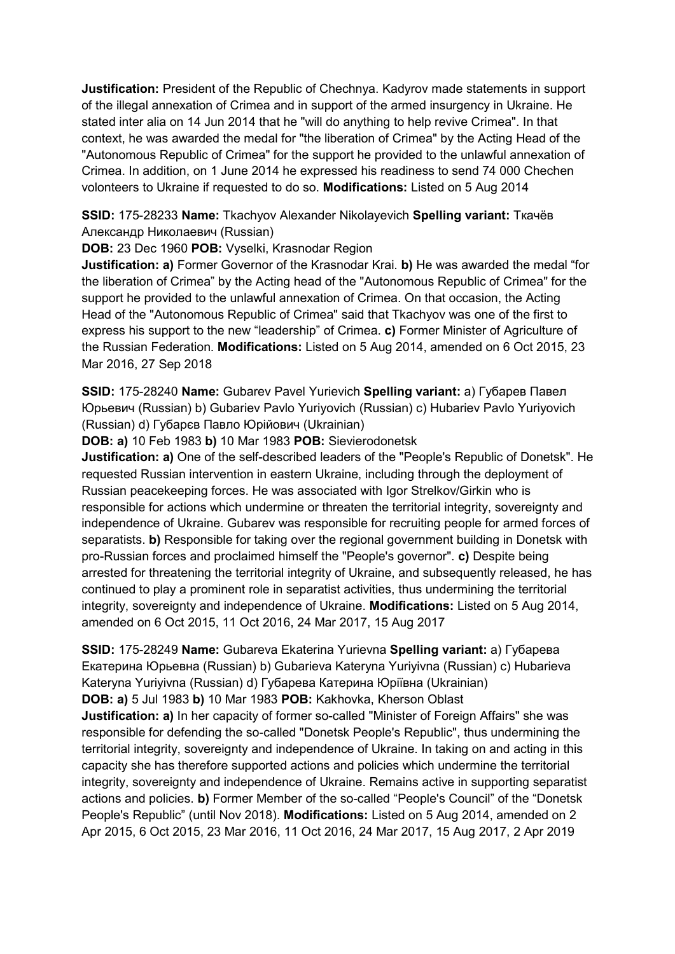**Justification:** President of the Republic of Chechnya. Kadyrov made statements in support of the illegal annexation of Crimea and in support of the armed insurgency in Ukraine. He stated inter alia on 14 Jun 2014 that he "will do anything to help revive Crimea". In that context, he was awarded the medal for "the liberation of Crimea" by the Acting Head of the "Autonomous Republic of Crimea" for the support he provided to the unlawful annexation of Crimea. In addition, on 1 June 2014 he expressed his readiness to send 74 000 Chechen volonteers to Ukraine if requested to do so. **Modifications:** Listed on 5 Aug 2014

**SSID:** 175-28233 **Name:** Tkachyov Alexander Nikolayevich **Spelling variant:** Ткачёв Александр Николаевич (Russian)

**DOB:** 23 Dec 1960 **POB:** Vyselki, Krasnodar Region

**Justification: a)** Former Governor of the Krasnodar Krai. **b)** He was awarded the medal "for the liberation of Crimea" by the Acting head of the "Autonomous Republic of Crimea" for the support he provided to the unlawful annexation of Crimea. On that occasion, the Acting Head of the "Autonomous Republic of Crimea" said that Tkachyov was one of the first to express his support to the new "leadership" of Crimea. **c)** Former Minister of Agriculture of the Russian Federation. **Modifications:** Listed on 5 Aug 2014, amended on 6 Oct 2015, 23 Mar 2016, 27 Sep 2018

**SSID:** 175-28240 **Name:** Gubarev Pavel Yurievich **Spelling variant:** a) Губарев Павел Юрьевич (Russian) b) Gubariev Pavlo Yuriyovich (Russian) c) Hubariev Pavlo Yuriyovich (Russian) d) Губарєв Павло Юрійович (Ukrainian)

**DOB: a)** 10 Feb 1983 **b)** 10 Mar 1983 **POB:** Sievierodonetsk

**Justification: a)** One of the self-described leaders of the "People's Republic of Donetsk". He requested Russian intervention in eastern Ukraine, including through the deployment of Russian peacekeeping forces. He was associated with Igor Strelkov/Girkin who is responsible for actions which undermine or threaten the territorial integrity, sovereignty and independence of Ukraine. Gubarev was responsible for recruiting people for armed forces of separatists. **b)** Responsible for taking over the regional government building in Donetsk with pro-Russian forces and proclaimed himself the "People's governor". **c)** Despite being arrested for threatening the territorial integrity of Ukraine, and subsequently released, he has continued to play a prominent role in separatist activities, thus undermining the territorial integrity, sovereignty and independence of Ukraine. **Modifications:** Listed on 5 Aug 2014, amended on 6 Oct 2015, 11 Oct 2016, 24 Mar 2017, 15 Aug 2017

**SSID:** 175-28249 **Name:** Gubareva Ekaterina Yurievna **Spelling variant:** a) Губарева Екатерина Юрьевна (Russian) b) Gubarieva Kateryna Yuriyivna (Russian) c) Hubarieva Kateryna Yuriyivna (Russian) d) Губарева Катерина Юріївна (Ukrainian) **DOB: a)** 5 Jul 1983 **b)** 10 Mar 1983 **POB:** Kakhovka, Kherson Oblast **Justification: a)** In her capacity of former so-called "Minister of Foreign Affairs" she was responsible for defending the so-called "Donetsk People's Republic", thus undermining the territorial integrity, sovereignty and independence of Ukraine. In taking on and acting in this capacity she has therefore supported actions and policies which undermine the territorial integrity, sovereignty and independence of Ukraine. Remains active in supporting separatist actions and policies. **b)** Former Member of the so-called "People's Council" of the "Donetsk People's Republic" (until Nov 2018). **Modifications:** Listed on 5 Aug 2014, amended on 2 Apr 2015, 6 Oct 2015, 23 Mar 2016, 11 Oct 2016, 24 Mar 2017, 15 Aug 2017, 2 Apr 2019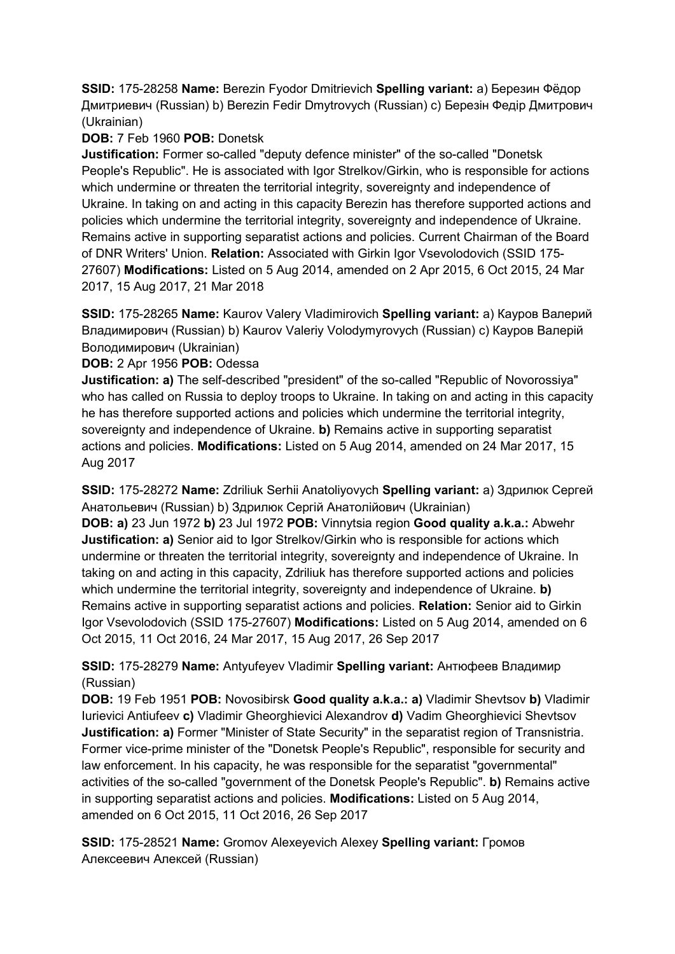**SSID:** 175-28258 **Name:** Berezin Fyodor Dmitrievich **Spelling variant:** a) Березин Фёдор Дмитриевич (Russian) b) Berezin Fedir Dmytrovych (Russian) c) Березін Федір Дмитрович (Ukrainian)

# **DOB:** 7 Feb 1960 **POB:** Donetsk

**Justification:** Former so-called "deputy defence minister" of the so-called "Donetsk People's Republic". He is associated with Igor Strelkov/Girkin, who is responsible for actions which undermine or threaten the territorial integrity, sovereignty and independence of Ukraine. In taking on and acting in this capacity Berezin has therefore supported actions and policies which undermine the territorial integrity, sovereignty and independence of Ukraine. Remains active in supporting separatist actions and policies. Current Chairman of the Board of DNR Writers' Union. **Relation:** Associated with Girkin Igor Vsevolodovich (SSID 175- 27607) **Modifications:** Listed on 5 Aug 2014, amended on 2 Apr 2015, 6 Oct 2015, 24 Mar 2017, 15 Aug 2017, 21 Mar 2018

**SSID:** 175-28265 **Name:** Kaurov Valery Vladimirovich **Spelling variant:** a) Кауров Валерий Владимирович (Russian) b) Kaurov Valeriy Volodymyrovych (Russian) c) Кауров Валерій Володимирович (Ukrainian)

**DOB:** 2 Apr 1956 **POB:** Odessa

**Justification: a)** The self-described "president" of the so-called "Republic of Novorossiya" who has called on Russia to deploy troops to Ukraine. In taking on and acting in this capacity he has therefore supported actions and policies which undermine the territorial integrity, sovereignty and independence of Ukraine. **b)** Remains active in supporting separatist actions and policies. **Modifications:** Listed on 5 Aug 2014, amended on 24 Mar 2017, 15 Aug 2017

**SSID:** 175-28272 **Name:** Zdriliuk Serhii Anatoliyovych **Spelling variant:** a) Здрилюк Сергей Анатольевич (Russian) b) Здрилюк Сергій Анатолійович (Ukrainian)

**DOB: a)** 23 Jun 1972 **b)** 23 Jul 1972 **POB:** Vinnytsia region **Good quality a.k.a.:** Abwehr **Justification: a)** Senior aid to Igor Strelkov/Girkin who is responsible for actions which undermine or threaten the territorial integrity, sovereignty and independence of Ukraine. In taking on and acting in this capacity, Zdriliuk has therefore supported actions and policies which undermine the territorial integrity, sovereignty and independence of Ukraine. **b)**  Remains active in supporting separatist actions and policies. **Relation:** Senior aid to Girkin Igor Vsevolodovich (SSID 175-27607) **Modifications:** Listed on 5 Aug 2014, amended on 6 Oct 2015, 11 Oct 2016, 24 Mar 2017, 15 Aug 2017, 26 Sep 2017

**SSID:** 175-28279 **Name:** Antyufeyev Vladimir **Spelling variant:** Антюфеев Владимир (Russian)

**DOB:** 19 Feb 1951 **POB:** Novosibirsk **Good quality a.k.a.: a)** Vladimir Shevtsov **b)** Vladimir Iurievici Antiufeev **c)** Vladimir Gheorghievici Alexandrov **d)** Vadim Gheorghievici Shevtsov **Justification: a)** Former "Minister of State Security" in the separatist region of Transnistria. Former vice-prime minister of the "Donetsk People's Republic", responsible for security and law enforcement. In his capacity, he was responsible for the separatist "governmental" activities of the so-called "government of the Donetsk People's Republic". **b)** Remains active in supporting separatist actions and policies. **Modifications:** Listed on 5 Aug 2014, amended on 6 Oct 2015, 11 Oct 2016, 26 Sep 2017

**SSID:** 175-28521 **Name:** Gromov Alexeyevich Alexey **Spelling variant:** Громов Алексеевич Алексей (Russian)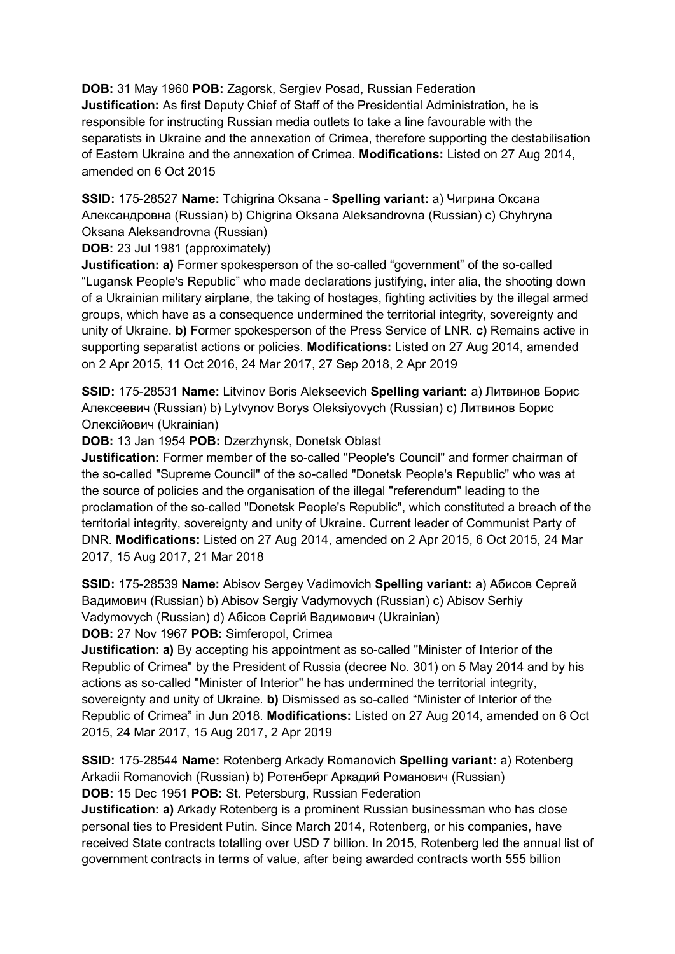**DOB:** 31 May 1960 **POB:** Zagorsk, Sergiev Posad, Russian Federation **Justification:** As first Deputy Chief of Staff of the Presidential Administration, he is responsible for instructing Russian media outlets to take a line favourable with the separatists in Ukraine and the annexation of Crimea, therefore supporting the destabilisation of Eastern Ukraine and the annexation of Crimea. **Modifications:** Listed on 27 Aug 2014, amended on 6 Oct 2015

**SSID:** 175-28527 **Name:** Tchigrina Oksana - **Spelling variant:** a) Чигрина Оксана Александровна (Russian) b) Chigrina Oksana Aleksandrovna (Russian) c) Chyhryna Oksana Aleksandrovna (Russian)

**DOB:** 23 Jul 1981 (approximately)

**Justification: a)** Former spokesperson of the so-called "government" of the so-called "Lugansk People's Republic" who made declarations justifying, inter alia, the shooting down of a Ukrainian military airplane, the taking of hostages, fighting activities by the illegal armed groups, which have as a consequence undermined the territorial integrity, sovereignty and unity of Ukraine. **b)** Former spokesperson of the Press Service of LNR. **c)** Remains active in supporting separatist actions or policies. **Modifications:** Listed on 27 Aug 2014, amended on 2 Apr 2015, 11 Oct 2016, 24 Mar 2017, 27 Sep 2018, 2 Apr 2019

**SSID:** 175-28531 **Name:** Litvinov Boris Alekseevich **Spelling variant:** a) Литвинов Борис Алексеевич (Russian) b) Lytvynov Borys Oleksiyovych (Russian) c) Литвинов Борис Олексійович (Ukrainian)

**DOB:** 13 Jan 1954 **POB:** Dzerzhynsk, Donetsk Oblast

**Justification:** Former member of the so-called "People's Council" and former chairman of the so-called "Supreme Council" of the so-called "Donetsk People's Republic" who was at the source of policies and the organisation of the illegal "referendum" leading to the proclamation of the so-called "Donetsk People's Republic", which constituted a breach of the territorial integrity, sovereignty and unity of Ukraine. Current leader of Communist Party of DNR. **Modifications:** Listed on 27 Aug 2014, amended on 2 Apr 2015, 6 Oct 2015, 24 Mar 2017, 15 Aug 2017, 21 Mar 2018

**SSID:** 175-28539 **Name:** Abisov Sergey Vadimovich **Spelling variant:** a) Абисов Сергей Вадимович (Russian) b) Abisov Sergiy Vadymovych (Russian) c) Abisov Serhiy Vadymovych (Russian) d) Абiсов Сергій Вадимович (Ukrainian) **DOB:** 27 Nov 1967 **POB:** Simferopol, Crimea

**Justification: a)** By accepting his appointment as so-called "Minister of Interior of the Republic of Crimea" by the President of Russia (decree No. 301) on 5 May 2014 and by his actions as so-called "Minister of Interior" he has undermined the territorial integrity, sovereignty and unity of Ukraine. **b)** Dismissed as so-called "Minister of Interior of the Republic of Crimea" in Jun 2018. **Modifications:** Listed on 27 Aug 2014, amended on 6 Oct 2015, 24 Mar 2017, 15 Aug 2017, 2 Apr 2019

**SSID:** 175-28544 **Name:** Rotenberg Arkady Romanovich **Spelling variant:** a) Rotenberg Arkadii Romanovich (Russian) b) Ротенберг Аркадий Романович (Russian) **DOB:** 15 Dec 1951 **POB:** St. Petersburg, Russian Federation

**Justification: a)** Arkady Rotenberg is a prominent Russian businessman who has close personal ties to President Putin. Since March 2014, Rotenberg, or his companies, have received State contracts totalling over USD 7 billion. In 2015, Rotenberg led the annual list of government contracts in terms of value, after being awarded contracts worth 555 billion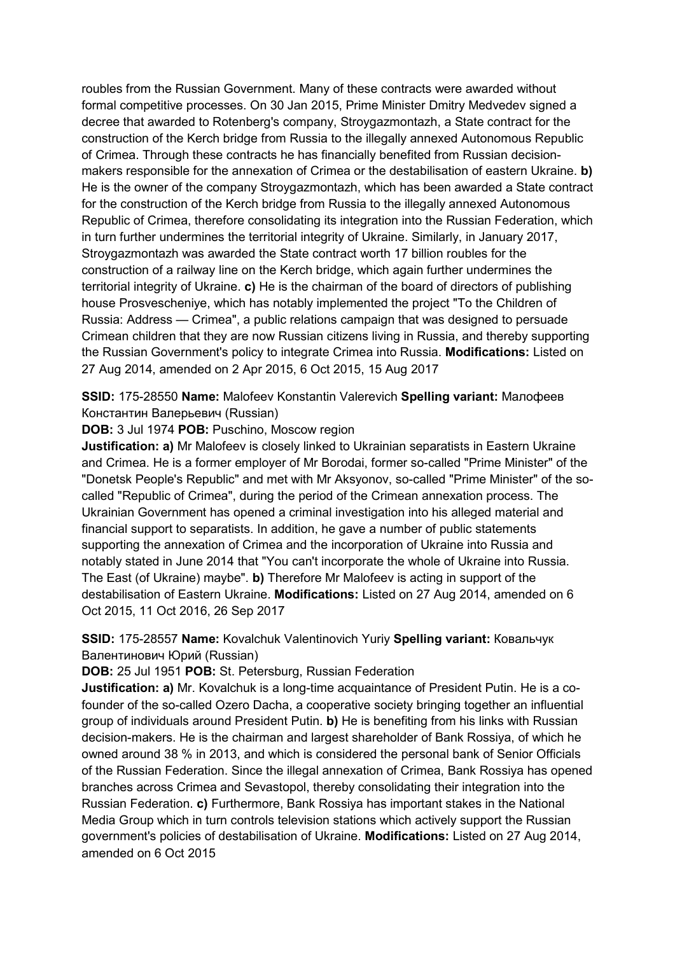roubles from the Russian Government. Many of these contracts were awarded without formal competitive processes. On 30 Jan 2015, Prime Minister Dmitry Medvedev signed a decree that awarded to Rotenberg's company, Stroygazmontazh, a State contract for the construction of the Kerch bridge from Russia to the illegally annexed Autonomous Republic of Crimea. Through these contracts he has financially benefited from Russian decisionmakers responsible for the annexation of Crimea or the destabilisation of eastern Ukraine. **b)**  He is the owner of the company Stroygazmontazh, which has been awarded a State contract for the construction of the Kerch bridge from Russia to the illegally annexed Autonomous Republic of Crimea, therefore consolidating its integration into the Russian Federation, which in turn further undermines the territorial integrity of Ukraine. Similarly, in January 2017, Stroygazmontazh was awarded the State contract worth 17 billion roubles for the construction of a railway line on the Kerch bridge, which again further undermines the territorial integrity of Ukraine. **c)** He is the chairman of the board of directors of publishing house Prosvescheniye, which has notably implemented the project "To the Children of Russia: Address — Crimea", a public relations campaign that was designed to persuade Crimean children that they are now Russian citizens living in Russia, and thereby supporting the Russian Government's policy to integrate Crimea into Russia. **Modifications:** Listed on 27 Aug 2014, amended on 2 Apr 2015, 6 Oct 2015, 15 Aug 2017

# **SSID:** 175-28550 **Name:** Malofeev Konstantin Valerevich **Spelling variant:** Малофеев Константин Валерьевич (Russian)

**DOB:** 3 Jul 1974 **POB:** Puschino, Moscow region

**Justification: a)** Mr Malofeev is closely linked to Ukrainian separatists in Eastern Ukraine and Crimea. He is a former employer of Mr Borodai, former so-called "Prime Minister" of the "Donetsk People's Republic" and met with Mr Aksyonov, so-called "Prime Minister" of the socalled "Republic of Crimea", during the period of the Crimean annexation process. The Ukrainian Government has opened a criminal investigation into his alleged material and financial support to separatists. In addition, he gave a number of public statements supporting the annexation of Crimea and the incorporation of Ukraine into Russia and notably stated in June 2014 that "You can't incorporate the whole of Ukraine into Russia. The East (of Ukraine) maybe". **b)** Therefore Mr Malofeev is acting in support of the destabilisation of Eastern Ukraine. **Modifications:** Listed on 27 Aug 2014, amended on 6 Oct 2015, 11 Oct 2016, 26 Sep 2017

# **SSID:** 175-28557 **Name:** Kovalchuk Valentinovich Yuriy **Spelling variant:** Ковальчук Валентинович Юрий (Russian)

**DOB:** 25 Jul 1951 **POB:** St. Petersburg, Russian Federation

**Justification: a)** Mr. Kovalchuk is a long-time acquaintance of President Putin. He is a cofounder of the so-called Ozero Dacha, a cooperative society bringing together an influential group of individuals around President Putin. **b)** He is benefiting from his links with Russian decision-makers. He is the chairman and largest shareholder of Bank Rossiya, of which he owned around 38 % in 2013, and which is considered the personal bank of Senior Officials of the Russian Federation. Since the illegal annexation of Crimea, Bank Rossiya has opened branches across Crimea and Sevastopol, thereby consolidating their integration into the Russian Federation. **c)** Furthermore, Bank Rossiya has important stakes in the National Media Group which in turn controls television stations which actively support the Russian government's policies of destabilisation of Ukraine. **Modifications:** Listed on 27 Aug 2014, amended on 6 Oct 2015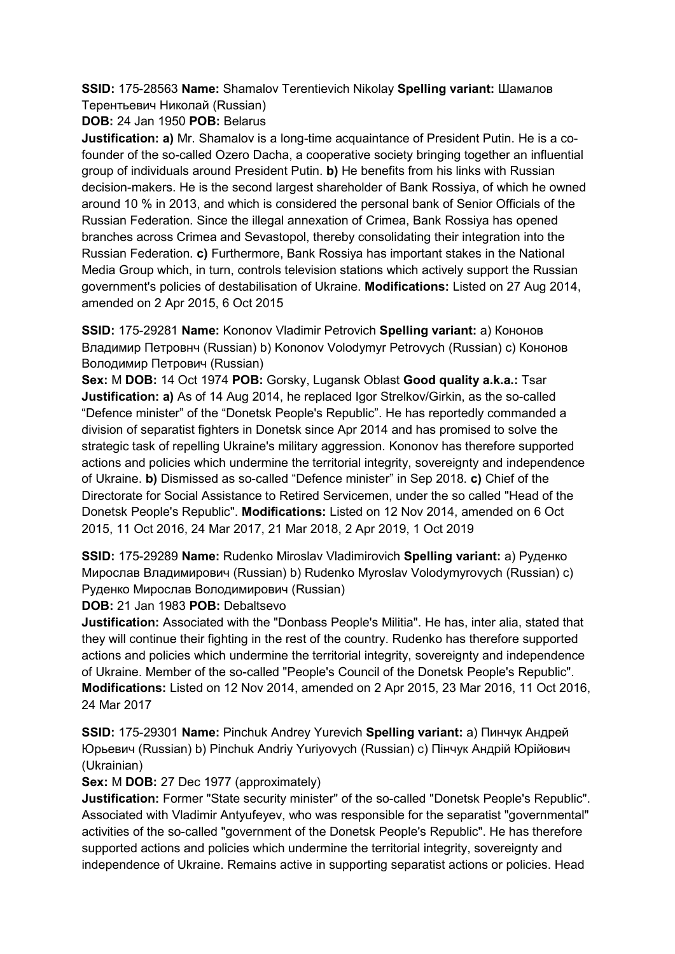**SSID:** 175-28563 **Name:** Shamalov Terentievich Nikolay **Spelling variant:** Шамалов Терентьевич Николай (Russian)

**DOB:** 24 Jan 1950 **POB:** Belarus

**Justification: a)** Mr. Shamalov is a long-time acquaintance of President Putin. He is a cofounder of the so-called Ozero Dacha, a cooperative society bringing together an influential group of individuals around President Putin. **b)** He benefits from his links with Russian decision-makers. He is the second largest shareholder of Bank Rossiya, of which he owned around 10 % in 2013, and which is considered the personal bank of Senior Officials of the Russian Federation. Since the illegal annexation of Crimea, Bank Rossiya has opened branches across Crimea and Sevastopol, thereby consolidating their integration into the Russian Federation. **c)** Furthermore, Bank Rossiya has important stakes in the National Media Group which, in turn, controls television stations which actively support the Russian government's policies of destabilisation of Ukraine. **Modifications:** Listed on 27 Aug 2014, amended on 2 Apr 2015, 6 Oct 2015

**SSID:** 175-29281 **Name:** Kononov Vladimir Petrovich **Spelling variant:** a) Кононов Владимир Петровнч (Russian) b) Kononov Volodymyr Petrovych (Russian) c) Кононов Володимир Петрович (Russian)

**Sex:** M **DOB:** 14 Oct 1974 **POB:** Gorsky, Lugansk Oblast **Good quality a.k.a.:** Tsar **Justification: a)** As of 14 Aug 2014, he replaced Igor Strelkov/Girkin, as the so-called "Defence minister" of the "Donetsk People's Republic". He has reportedly commanded a division of separatist fighters in Donetsk since Apr 2014 and has promised to solve the strategic task of repelling Ukraine's military aggression. Kononov has therefore supported actions and policies which undermine the territorial integrity, sovereignty and independence of Ukraine. **b)** Dismissed as so-called "Defence minister" in Sep 2018. **c)** Chief of the Directorate for Social Assistance to Retired Servicemen, under the so called "Head of the Donetsk People's Republic". **Modifications:** Listed on 12 Nov 2014, amended on 6 Oct 2015, 11 Oct 2016, 24 Mar 2017, 21 Mar 2018, 2 Apr 2019, 1 Oct 2019

**SSID:** 175-29289 **Name:** Rudenko Miroslav Vladimirovich **Spelling variant:** a) Руденко Мирослав Владимирович (Russian) b) Rudenko Myroslav Volodymyrovych (Russian) c) Руденко Мирослав Володимирович (Russian)

**DOB:** 21 Jan 1983 **POB:** Debaltsevo

**Justification:** Associated with the "Donbass People's Militia". He has, inter alia, stated that they will continue their fighting in the rest of the country. Rudenko has therefore supported actions and policies which undermine the territorial integrity, sovereignty and independence of Ukraine. Member of the so-called "People's Council of the Donetsk People's Republic". **Modifications:** Listed on 12 Nov 2014, amended on 2 Apr 2015, 23 Mar 2016, 11 Oct 2016, 24 Mar 2017

**SSID:** 175-29301 **Name:** Pinchuk Andrey Yurevich **Spelling variant:** a) Пинчук Андрей Юрьевич (Russian) b) Pinchuk Andriy Yuriyovych (Russian) c) Пiнчук Андрій Юрійович (Ukrainian)

**Sex:** M **DOB:** 27 Dec 1977 (approximately)

**Justification:** Former "State security minister" of the so-called "Donetsk People's Republic". Associated with Vladimir Antyufeyev, who was responsible for the separatist "governmental" activities of the so-called "government of the Donetsk People's Republic". He has therefore supported actions and policies which undermine the territorial integrity, sovereignty and independence of Ukraine. Remains active in supporting separatist actions or policies. Head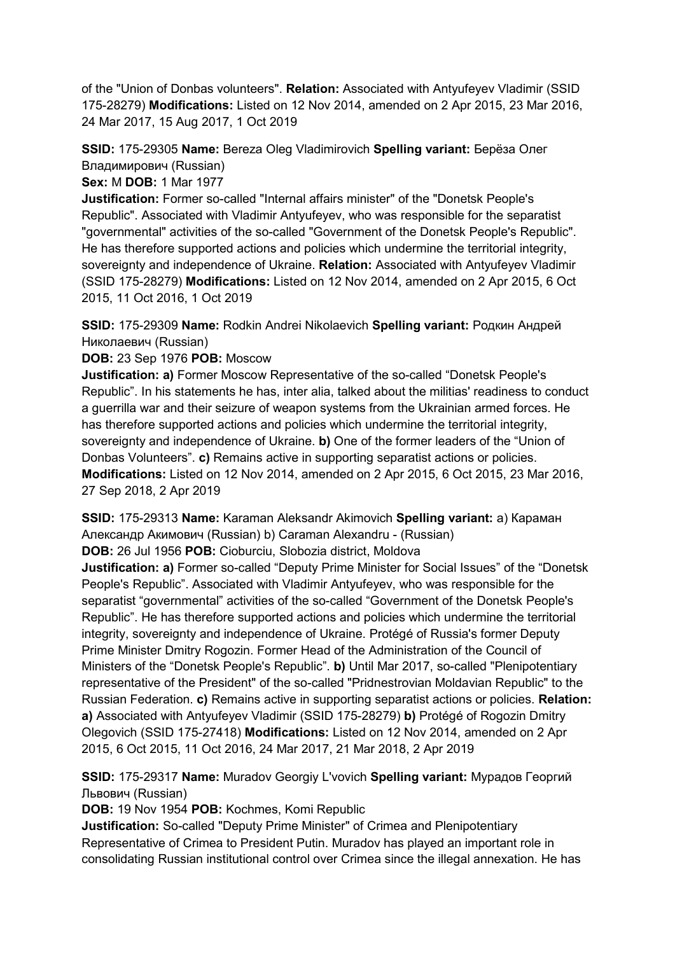of the "Union of Donbas volunteers". **Relation:** Associated with Antyufeyev Vladimir (SSID 175-28279) **Modifications:** Listed on 12 Nov 2014, amended on 2 Apr 2015, 23 Mar 2016, 24 Mar 2017, 15 Aug 2017, 1 Oct 2019

**SSID:** 175-29305 **Name:** Bereza Oleg Vladimirovich **Spelling variant:** Берëза Олег Владимирович (Russian)

**Sex:** M **DOB:** 1 Mar 1977

**Justification:** Former so-called "Internal affairs minister" of the "Donetsk People's Republic". Associated with Vladimir Antyufeyev, who was responsible for the separatist "governmental" activities of the so-called "Government of the Donetsk People's Republic". He has therefore supported actions and policies which undermine the territorial integrity, sovereignty and independence of Ukraine. **Relation:** Associated with Antyufeyev Vladimir (SSID 175-28279) **Modifications:** Listed on 12 Nov 2014, amended on 2 Apr 2015, 6 Oct 2015, 11 Oct 2016, 1 Oct 2019

**SSID:** 175-29309 **Name:** Rodkin Andrei Nikolaevich **Spelling variant:** Родкин Андрей Николаевич (Russian)

**DOB:** 23 Sep 1976 **POB:** Moscow

**Justification: a)** Former Moscow Representative of the so-called "Donetsk People's Republic". In his statements he has, inter alia, talked about the militias' readiness to conduct a guerrilla war and their seizure of weapon systems from the Ukrainian armed forces. He has therefore supported actions and policies which undermine the territorial integrity, sovereignty and independence of Ukraine. **b)** One of the former leaders of the "Union of Donbas Volunteers". **c)** Remains active in supporting separatist actions or policies. **Modifications:** Listed on 12 Nov 2014, amended on 2 Apr 2015, 6 Oct 2015, 23 Mar 2016, 27 Sep 2018, 2 Apr 2019

**SSID:** 175-29313 **Name:** Karaman Aleksandr Akimovich **Spelling variant:** a) Караман Александр Акимович (Russian) b) Caraman Alexandru - (Russian) **DOB:** 26 Jul 1956 **POB:** Cioburciu, Slobozia district, Moldova

**Justification: a)** Former so-called "Deputy Prime Minister for Social Issues" of the "Donetsk People's Republic". Associated with Vladimir Antyufeyev, who was responsible for the separatist "governmental" activities of the so-called "Government of the Donetsk People's Republic". He has therefore supported actions and policies which undermine the territorial integrity, sovereignty and independence of Ukraine. Protégé of Russia's former Deputy Prime Minister Dmitry Rogozin. Former Head of the Administration of the Council of Ministers of the "Donetsk People's Republic". **b)** Until Mar 2017, so-called "Plenipotentiary representative of the President" of the so-called "Pridnestrovian Moldavian Republic" to the Russian Federation. **c)** Remains active in supporting separatist actions or policies. **Relation: a)** Associated with Antyufeyev Vladimir (SSID 175-28279) **b)** Protégé of Rogozin Dmitry Olegovich (SSID 175-27418) **Modifications:** Listed on 12 Nov 2014, amended on 2 Apr 2015, 6 Oct 2015, 11 Oct 2016, 24 Mar 2017, 21 Mar 2018, 2 Apr 2019

**SSID:** 175-29317 **Name:** Muradov Georgiy L'vovich **Spelling variant:** Мурадов Георгий Львович (Russian)

**DOB:** 19 Nov 1954 **POB:** Kochmes, Komi Republic

**Justification:** So-called "Deputy Prime Minister" of Crimea and Plenipotentiary Representative of Crimea to President Putin. Muradov has played an important role in consolidating Russian institutional control over Crimea since the illegal annexation. He has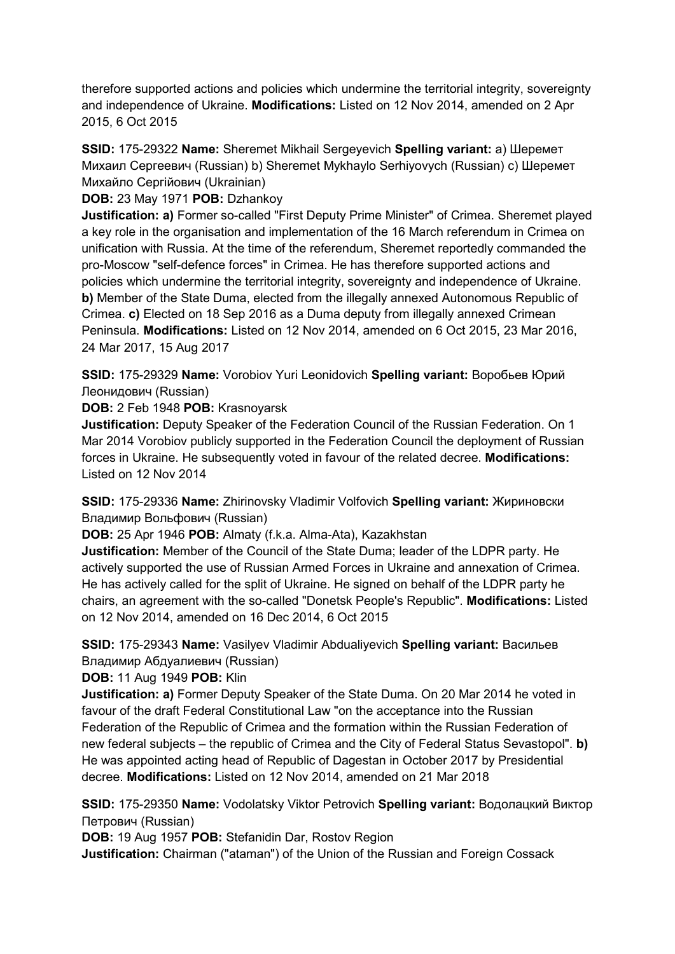therefore supported actions and policies which undermine the territorial integrity, sovereignty and independence of Ukraine. **Modifications:** Listed on 12 Nov 2014, amended on 2 Apr 2015, 6 Oct 2015

**SSID:** 175-29322 **Name:** Sheremet Mikhail Sergeyevich **Spelling variant:** a) Шеремет Михаил Сергеевич (Russian) b) Sheremet Mykhaylo Serhiyovych (Russian) c) Шеремет Михайло Сергійович (Ukrainian)

**DOB:** 23 May 1971 **POB:** Dzhankoy

**Justification: a)** Former so-called "First Deputy Prime Minister" of Crimea. Sheremet played a key role in the organisation and implementation of the 16 March referendum in Crimea on unification with Russia. At the time of the referendum, Sheremet reportedly commanded the pro-Moscow "self-defence forces" in Crimea. He has therefore supported actions and policies which undermine the territorial integrity, sovereignty and independence of Ukraine. **b)** Member of the State Duma, elected from the illegally annexed Autonomous Republic of Crimea. **c)** Elected on 18 Sep 2016 as a Duma deputy from illegally annexed Crimean Peninsula. **Modifications:** Listed on 12 Nov 2014, amended on 6 Oct 2015, 23 Mar 2016, 24 Mar 2017, 15 Aug 2017

**SSID:** 175-29329 **Name:** Vorobiov Yuri Leonidovich **Spelling variant:** Воробьев Юрий Леонидович (Russian)

**DOB:** 2 Feb 1948 **POB:** Krasnoyarsk

**Justification:** Deputy Speaker of the Federation Council of the Russian Federation. On 1 Mar 2014 Vorobiov publicly supported in the Federation Council the deployment of Russian forces in Ukraine. He subsequently voted in favour of the related decree. **Modifications:**  Listed on 12 Nov 2014

**SSID:** 175-29336 **Name:** Zhirinovsky Vladimir Volfovich **Spelling variant:** Жириновски Владимир Вольфович (Russian)

**DOB:** 25 Apr 1946 **POB:** Almaty (f.k.a. Alma-Ata), Kazakhstan

**Justification:** Member of the Council of the State Duma; leader of the LDPR party. He actively supported the use of Russian Armed Forces in Ukraine and annexation of Crimea. He has actively called for the split of Ukraine. He signed on behalf of the LDPR party he chairs, an agreement with the so-called "Donetsk People's Republic". **Modifications:** Listed on 12 Nov 2014, amended on 16 Dec 2014, 6 Oct 2015

**SSID:** 175-29343 **Name:** Vasilyev Vladimir Abdualiyevich **Spelling variant:** Васильев Владимир Абдуалиевич (Russian)

**DOB:** 11 Aug 1949 **POB:** Klin

**Justification: a)** Former Deputy Speaker of the State Duma. On 20 Mar 2014 he voted in favour of the draft Federal Constitutional Law "on the acceptance into the Russian Federation of the Republic of Crimea and the formation within the Russian Federation of new federal subjects – the republic of Crimea and the City of Federal Status Sevastopol". **b)**  He was appointed acting head of Republic of Dagestan in October 2017 by Presidential decree. **Modifications:** Listed on 12 Nov 2014, amended on 21 Mar 2018

**SSID:** 175-29350 **Name:** Vodolatsky Viktor Petrovich **Spelling variant:** Водолацкий Виктор Петрович (Russian)

**DOB:** 19 Aug 1957 **POB:** Stefanidin Dar, Rostov Region

**Justification:** Chairman ("ataman") of the Union of the Russian and Foreign Cossack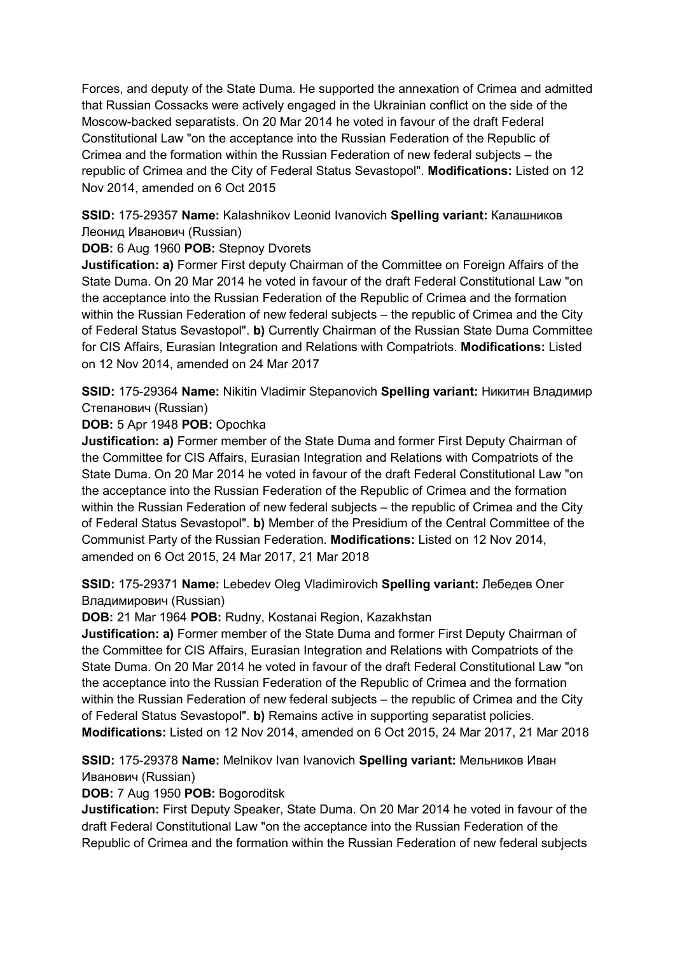Forces, and deputy of the State Duma. He supported the annexation of Crimea and admitted that Russian Cossacks were actively engaged in the Ukrainian conflict on the side of the Moscow-backed separatists. On 20 Mar 2014 he voted in favour of the draft Federal Constitutional Law "on the acceptance into the Russian Federation of the Republic of Crimea and the formation within the Russian Federation of new federal subjects – the republic of Crimea and the City of Federal Status Sevastopol". **Modifications:** Listed on 12 Nov 2014, amended on 6 Oct 2015

**SSID:** 175-29357 **Name:** Kalashnikov Leonid Ivanovich **Spelling variant:** Калашников Леонид Иванович (Russian)

**DOB:** 6 Aug 1960 **POB:** Stepnoy Dvorets

**Justification: a)** Former First deputy Chairman of the Committee on Foreign Affairs of the State Duma. On 20 Mar 2014 he voted in favour of the draft Federal Constitutional Law "on the acceptance into the Russian Federation of the Republic of Crimea and the formation within the Russian Federation of new federal subjects – the republic of Crimea and the City of Federal Status Sevastopol". **b)** Currently Chairman of the Russian State Duma Committee for CIS Affairs, Eurasian Integration and Relations with Compatriots. **Modifications:** Listed on 12 Nov 2014, amended on 24 Mar 2017

**SSID:** 175-29364 **Name:** Nikitin Vladimir Stepanovich **Spelling variant:** Никитин Владимир Степанович (Russian)

**DOB:** 5 Apr 1948 **POB:** Opochka

**Justification: a)** Former member of the State Duma and former First Deputy Chairman of the Committee for CIS Affairs, Eurasian Integration and Relations with Compatriots of the State Duma. On 20 Mar 2014 he voted in favour of the draft Federal Constitutional Law "on the acceptance into the Russian Federation of the Republic of Crimea and the formation within the Russian Federation of new federal subjects – the republic of Crimea and the City of Federal Status Sevastopol". **b)** Member of the Presidium of the Central Committee of the Communist Party of the Russian Federation. **Modifications:** Listed on 12 Nov 2014, amended on 6 Oct 2015, 24 Mar 2017, 21 Mar 2018

**SSID:** 175-29371 **Name:** Lebedev Oleg Vladimirovich **Spelling variant:** Лебедев Олег Владимирович (Russian)

**DOB:** 21 Mar 1964 **POB:** Rudny, Kostanai Region, Kazakhstan

**Justification: a)** Former member of the State Duma and former First Deputy Chairman of the Committee for CIS Affairs, Eurasian Integration and Relations with Compatriots of the State Duma. On 20 Mar 2014 he voted in favour of the draft Federal Constitutional Law "on the acceptance into the Russian Federation of the Republic of Crimea and the formation within the Russian Federation of new federal subjects – the republic of Crimea and the City of Federal Status Sevastopol". **b)** Remains active in supporting separatist policies. **Modifications:** Listed on 12 Nov 2014, amended on 6 Oct 2015, 24 Mar 2017, 21 Mar 2018

**SSID:** 175-29378 **Name:** Melnikov Ivan Ivanovich **Spelling variant:** Мельников Иван Иванович (Russian)

**DOB:** 7 Aug 1950 **POB:** Bogoroditsk

**Justification:** First Deputy Speaker, State Duma. On 20 Mar 2014 he voted in favour of the draft Federal Constitutional Law "on the acceptance into the Russian Federation of the Republic of Crimea and the formation within the Russian Federation of new federal subjects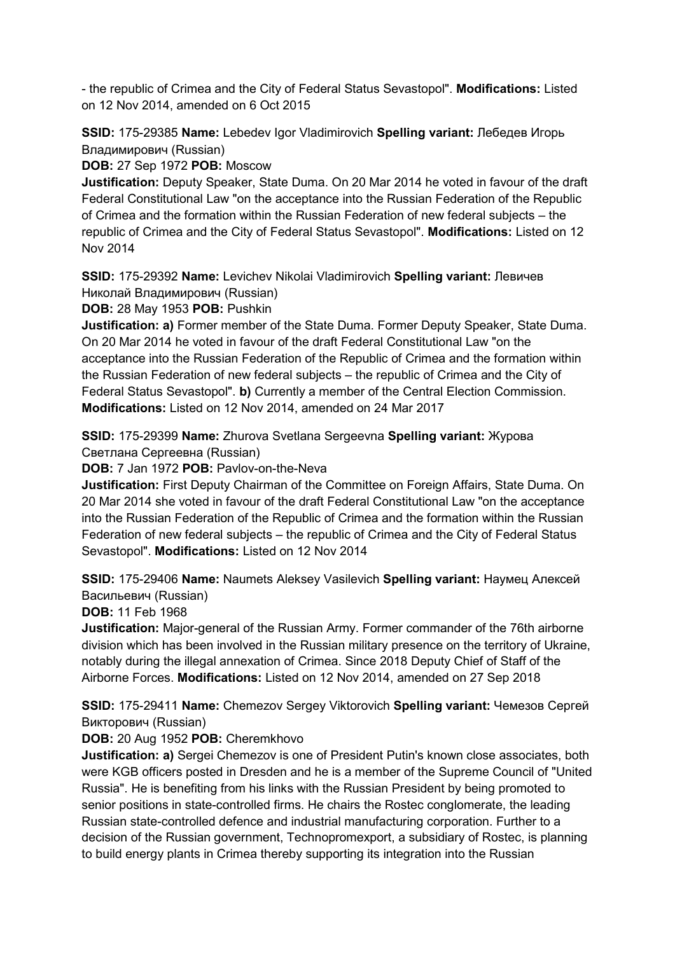- the republic of Crimea and the City of Federal Status Sevastopol". **Modifications:** Listed on 12 Nov 2014, amended on 6 Oct 2015

**SSID:** 175-29385 **Name:** Lebedev Igor Vladimirovich **Spelling variant:** Лебедев Игорь Владимирович (Russian)

**DOB:** 27 Sep 1972 **POB:** Moscow

**Justification:** Deputy Speaker, State Duma. On 20 Mar 2014 he voted in favour of the draft Federal Constitutional Law "on the acceptance into the Russian Federation of the Republic of Crimea and the formation within the Russian Federation of new federal subjects – the republic of Crimea and the City of Federal Status Sevastopol". **Modifications:** Listed on 12 Nov 2014

**SSID:** 175-29392 **Name:** Levichev Nikolai Vladimirovich **Spelling variant:** Левичев Николай Владимирович (Russian)

**DOB:** 28 May 1953 **POB:** Pushkin

**Justification: a)** Former member of the State Duma. Former Deputy Speaker, State Duma. On 20 Mar 2014 he voted in favour of the draft Federal Constitutional Law "on the acceptance into the Russian Federation of the Republic of Crimea and the formation within the Russian Federation of new federal subjects – the republic of Crimea and the City of Federal Status Sevastopol". **b)** Currently a member of the Central Election Commission. **Modifications:** Listed on 12 Nov 2014, amended on 24 Mar 2017

**SSID:** 175-29399 **Name:** Zhurova Svetlana Sergeevna **Spelling variant:** Журова Светлана Сергеевна (Russian)

**DOB:** 7 Jan 1972 **POB:** Pavlov-on-the-Neva

**Justification:** First Deputy Chairman of the Committee on Foreign Affairs, State Duma. On 20 Mar 2014 she voted in favour of the draft Federal Constitutional Law "on the acceptance into the Russian Federation of the Republic of Crimea and the formation within the Russian Federation of new federal subjects – the republic of Crimea and the City of Federal Status Sevastopol". **Modifications:** Listed on 12 Nov 2014

**SSID:** 175-29406 **Name:** Naumets Aleksey Vasilevich **Spelling variant:** Hаумец Алексей Васильевич (Russian)

**DOB:** 11 Feb 1968

**Justification:** Major-general of the Russian Army. Former commander of the 76th airborne division which has been involved in the Russian military presence on the territory of Ukraine, notably during the illegal annexation of Crimea. Since 2018 Deputy Chief of Staff of the Airborne Forces. **Modifications:** Listed on 12 Nov 2014, amended on 27 Sep 2018

**SSID:** 175-29411 **Name:** Chemezov Sergey Viktorovich **Spelling variant:** Чемезов Сергей Викторович (Russian)

# **DOB:** 20 Aug 1952 **POB:** Cheremkhovo

**Justification: a)** Sergei Chemezov is one of President Putin's known close associates, both were KGB officers posted in Dresden and he is a member of the Supreme Council of "United Russia". He is benefiting from his links with the Russian President by being promoted to senior positions in state-controlled firms. He chairs the Rostec conglomerate, the leading Russian state-controlled defence and industrial manufacturing corporation. Further to a decision of the Russian government, Technopromexport, a subsidiary of Rostec, is planning to build energy plants in Crimea thereby supporting its integration into the Russian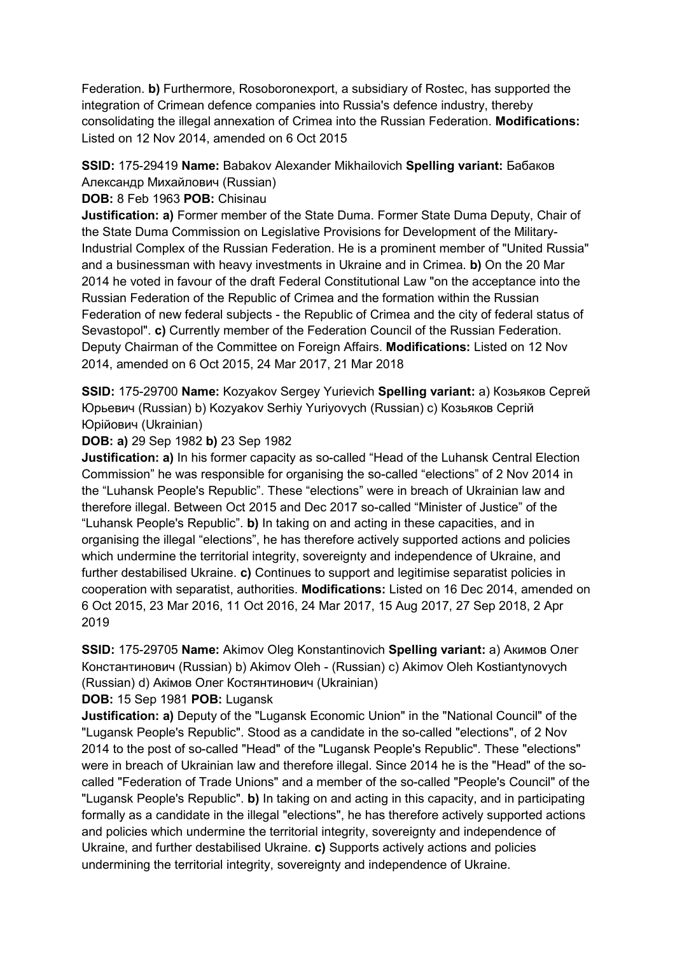Federation. **b)** Furthermore, Rosoboronexport, a subsidiary of Rostec, has supported the integration of Crimean defence companies into Russia's defence industry, thereby consolidating the illegal annexation of Crimea into the Russian Federation. **Modifications:**  Listed on 12 Nov 2014, amended on 6 Oct 2015

## **SSID:** 175-29419 **Name:** Babakov Alexander Mikhailovich **Spelling variant:** Бабаков

Aлександр Михайлович (Russian)

**DOB:** 8 Feb 1963 **POB:** Chisinau

**Justification: a)** Former member of the State Duma. Former State Duma Deputy, Chair of the State Duma Commission on Legislative Provisions for Development of the Military-Industrial Complex of the Russian Federation. He is a prominent member of "United Russia" and a businessman with heavy investments in Ukraine and in Crimea. **b)** On the 20 Mar 2014 he voted in favour of the draft Federal Constitutional Law "on the acceptance into the Russian Federation of the Republic of Crimea and the formation within the Russian Federation of new federal subjects - the Republic of Crimea and the city of federal status of Sevastopol". **c)** Currently member of the Federation Council of the Russian Federation. Deputy Chairman of the Committee on Foreign Affairs. **Modifications:** Listed on 12 Nov 2014, amended on 6 Oct 2015, 24 Mar 2017, 21 Mar 2018

**SSID:** 175-29700 **Name:** Kozyakov Sergey Yurievich **Spelling variant:** a) Козьяков Сергей Юрьевич (Russian) b) Kozyakov Serhiy Yuriyovych (Russian) c) Козьяков Сергій Юрійович (Ukrainian)

**DOB: a)** 29 Sep 1982 **b)** 23 Sep 1982

**Justification: a)** In his former capacity as so-called "Head of the Luhansk Central Election Commission" he was responsible for organising the so-called "elections" of 2 Nov 2014 in the "Luhansk People's Republic". These "elections" were in breach of Ukrainian law and therefore illegal. Between Oct 2015 and Dec 2017 so-called "Minister of Justice" of the "Luhansk People's Republic". **b)** In taking on and acting in these capacities, and in organising the illegal "elections", he has therefore actively supported actions and policies which undermine the territorial integrity, sovereignty and independence of Ukraine, and further destabilised Ukraine. **c)** Continues to support and legitimise separatist policies in cooperation with separatist, authorities. **Modifications:** Listed on 16 Dec 2014, amended on 6 Oct 2015, 23 Mar 2016, 11 Oct 2016, 24 Mar 2017, 15 Aug 2017, 27 Sep 2018, 2 Apr 2019

**SSID:** 175-29705 **Name:** Akimov Oleg Konstantinovich **Spelling variant:** a) Акимов Олег Константинович (Russian) b) Akimov Oleh - (Russian) c) Akimov Oleh Kostiantynovych (Russian) d) Акiмов Олег Костянтинович (Ukrainian)

**DOB:** 15 Sep 1981 **POB:** Lugansk

**Justification: a)** Deputy of the "Lugansk Economic Union" in the "National Council" of the "Lugansk People's Republic". Stood as a candidate in the so-called "elections", of 2 Nov 2014 to the post of so-called "Head" of the "Lugansk People's Republic". These "elections" were in breach of Ukrainian law and therefore illegal. Since 2014 he is the "Head" of the socalled "Federation of Trade Unions" and a member of the so-called "People's Council" of the "Lugansk People's Republic". **b)** In taking on and acting in this capacity, and in participating formally as a candidate in the illegal "elections", he has therefore actively supported actions and policies which undermine the territorial integrity, sovereignty and independence of Ukraine, and further destabilised Ukraine. **c)** Supports actively actions and policies undermining the territorial integrity, sovereignty and independence of Ukraine.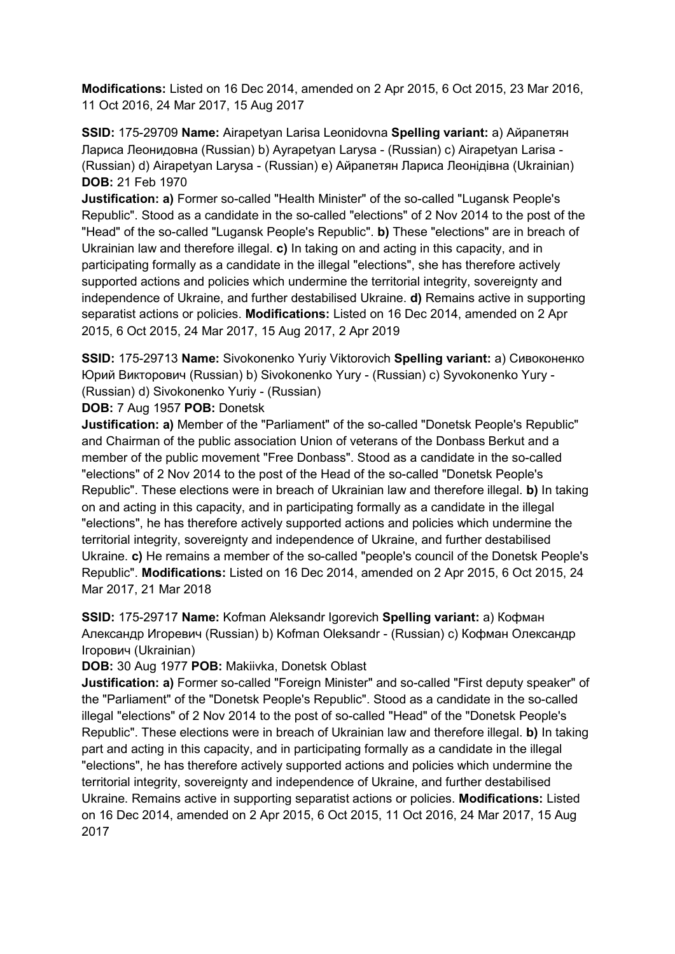**Modifications:** Listed on 16 Dec 2014, amended on 2 Apr 2015, 6 Oct 2015, 23 Mar 2016, 11 Oct 2016, 24 Mar 2017, 15 Aug 2017

**SSID:** 175-29709 **Name:** Airapetyan Larisa Leonidovna **Spelling variant:** a) Айрапетян Лариса Леонидовна (Russian) b) Ayrapetyan Larysa - (Russian) c) Airapetyan Larisa - (Russian) d) Airapetyan Larysa - (Russian) e) Айрапетян Лариса Леонідівна (Ukrainian) **DOB:** 21 Feb 1970

**Justification: a)** Former so-called "Health Minister" of the so-called "Lugansk People's Republic". Stood as a candidate in the so-called "elections" of 2 Nov 2014 to the post of the "Head" of the so-called "Lugansk People's Republic". **b)** These "elections" are in breach of Ukrainian law and therefore illegal. **c)** In taking on and acting in this capacity, and in participating formally as a candidate in the illegal "elections", she has therefore actively supported actions and policies which undermine the territorial integrity, sovereignty and independence of Ukraine, and further destabilised Ukraine. **d)** Remains active in supporting separatist actions or policies. **Modifications:** Listed on 16 Dec 2014, amended on 2 Apr 2015, 6 Oct 2015, 24 Mar 2017, 15 Aug 2017, 2 Apr 2019

**SSID:** 175-29713 **Name:** Sivokonenko Yuriy Viktorovich **Spelling variant:** a) Сивоконенко Юрий Викторович (Russian) b) Sivokonenko Yury - (Russian) c) Syvokonenko Yury - (Russian) d) Sivokonenko Yuriy - (Russian)

**DOB:** 7 Aug 1957 **POB:** Donetsk

**Justification: a)** Member of the "Parliament" of the so-called "Donetsk People's Republic" and Chairman of the public association Union of veterans of the Donbass Berkut and a member of the public movement "Free Donbass". Stood as a candidate in the so-called "elections" of 2 Nov 2014 to the post of the Head of the so-called "Donetsk People's Republic". These elections were in breach of Ukrainian law and therefore illegal. **b)** In taking on and acting in this capacity, and in participating formally as a candidate in the illegal "elections", he has therefore actively supported actions and policies which undermine the territorial integrity, sovereignty and independence of Ukraine, and further destabilised Ukraine. **c)** He remains a member of the so-called "people's council of the Donetsk People's Republic". **Modifications:** Listed on 16 Dec 2014, amended on 2 Apr 2015, 6 Oct 2015, 24 Mar 2017, 21 Mar 2018

**SSID:** 175-29717 **Name:** Kofman Aleksandr Igorevich **Spelling variant:** a) Кофман Александр Игоревич (Russian) b) Kofman Oleksandr - (Russian) c) Кофман Олександр Iгорович (Ukrainian)

**DOB:** 30 Aug 1977 **POB:** Makiivka, Donetsk Oblast

**Justification: a)** Former so-called "Foreign Minister" and so-called "First deputy speaker" of the "Parliament" of the "Donetsk People's Republic". Stood as a candidate in the so-called illegal "elections" of 2 Nov 2014 to the post of so-called "Head" of the "Donetsk People's Republic". These elections were in breach of Ukrainian law and therefore illegal. **b)** In taking part and acting in this capacity, and in participating formally as a candidate in the illegal "elections", he has therefore actively supported actions and policies which undermine the territorial integrity, sovereignty and independence of Ukraine, and further destabilised Ukraine. Remains active in supporting separatist actions or policies. **Modifications:** Listed on 16 Dec 2014, amended on 2 Apr 2015, 6 Oct 2015, 11 Oct 2016, 24 Mar 2017, 15 Aug 2017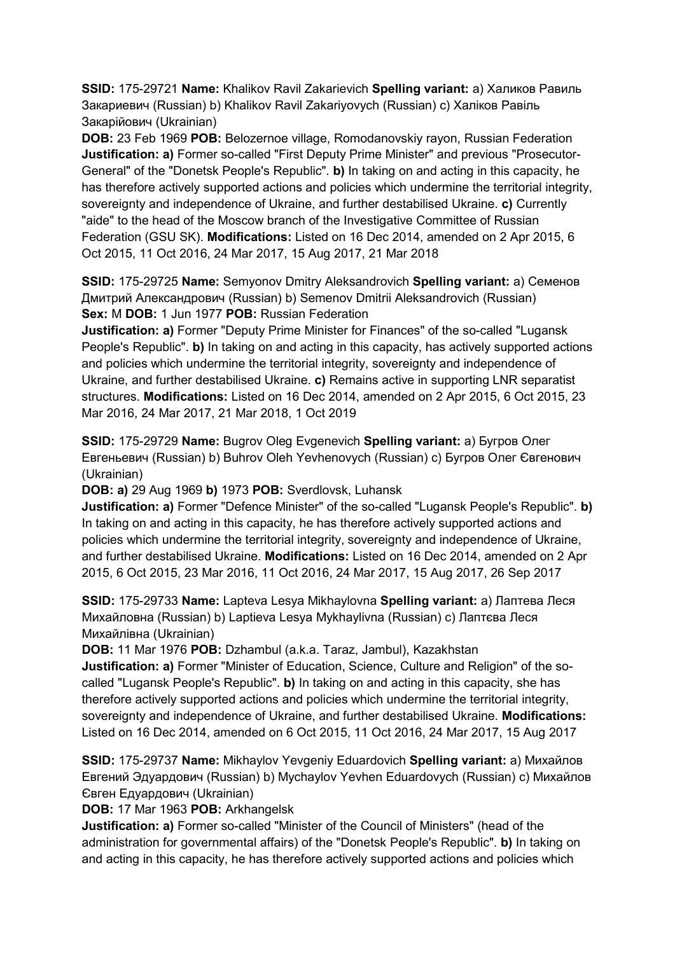**SSID:** 175-29721 **Name:** Khalikov Ravil Zakarievich **Spelling variant:** a) Халиков Равиль Закариевич (Russian) b) Khalikov Ravil Zakariyovych (Russian) c) Халiков Равіль Закарійович (Ukrainian)

**DOB:** 23 Feb 1969 **POB:** Belozernoe village, Romodanovskiy rayon, Russian Federation **Justification: a)** Former so-called "First Deputy Prime Minister" and previous "Prosecutor-General" of the "Donetsk People's Republic". **b)** In taking on and acting in this capacity, he has therefore actively supported actions and policies which undermine the territorial integrity, sovereignty and independence of Ukraine, and further destabilised Ukraine. **c)** Currently "aide" to the head of the Moscow branch of the Investigative Committee of Russian Federation (GSU SK). **Modifications:** Listed on 16 Dec 2014, amended on 2 Apr 2015, 6 Oct 2015, 11 Oct 2016, 24 Mar 2017, 15 Aug 2017, 21 Mar 2018

**SSID:** 175-29725 **Name:** Semyonov Dmitry Aleksandrovich **Spelling variant:** a) Семенов Дмитрий Александрович (Russian) b) Semenov Dmitrii Aleksandrovich (Russian) **Sex:** M **DOB:** 1 Jun 1977 **POB:** Russian Federation

**Justification: a)** Former "Deputy Prime Minister for Finances" of the so-called "Lugansk People's Republic". **b)** In taking on and acting in this capacity, has actively supported actions and policies which undermine the territorial integrity, sovereignty and independence of Ukraine, and further destabilised Ukraine. **c)** Remains active in supporting LNR separatist structures. **Modifications:** Listed on 16 Dec 2014, amended on 2 Apr 2015, 6 Oct 2015, 23 Mar 2016, 24 Mar 2017, 21 Mar 2018, 1 Oct 2019

**SSID:** 175-29729 **Name:** Bugrov Oleg Evgenevich **Spelling variant:** a) Бугров Олег Евгеньевич (Russian) b) Buhrov Oleh Yevhenovych (Russian) c) Бугров Олег Євгенович (Ukrainian)

**DOB: a)** 29 Aug 1969 **b)** 1973 **POB:** Sverdlovsk, Luhansk

**Justification: a)** Former "Defence Minister" of the so-called "Lugansk People's Republic". **b)**  In taking on and acting in this capacity, he has therefore actively supported actions and policies which undermine the territorial integrity, sovereignty and independence of Ukraine, and further destabilised Ukraine. **Modifications:** Listed on 16 Dec 2014, amended on 2 Apr 2015, 6 Oct 2015, 23 Mar 2016, 11 Oct 2016, 24 Mar 2017, 15 Aug 2017, 26 Sep 2017

**SSID:** 175-29733 **Name:** Lapteva Lesya Mikhaylovna **Spelling variant:** a) Лаптева Леся Михайловна (Russian) b) Laptieva Lesya Mykhaylivna (Russian) c) Лаптєва Леся Михайлівна (Ukrainian)

**DOB:** 11 Mar 1976 **POB:** Dzhambul (a.k.a. Taraz, Jambul), Kazakhstan

**Justification: a)** Former "Minister of Education, Science, Culture and Religion" of the socalled "Lugansk People's Republic". **b)** In taking on and acting in this capacity, she has therefore actively supported actions and policies which undermine the territorial integrity, sovereignty and independence of Ukraine, and further destabilised Ukraine. **Modifications:**  Listed on 16 Dec 2014, amended on 6 Oct 2015, 11 Oct 2016, 24 Mar 2017, 15 Aug 2017

**SSID:** 175-29737 **Name:** Mikhaylov Yevgeniy Eduardovich **Spelling variant:** a) Михайлов Евгений Эдуардович (Russian) b) Mychaylov Yevhen Eduardovych (Russian) c) Михайлов Євген Едуардович (Ukrainian)

**DOB:** 17 Mar 1963 **POB:** Arkhangelsk

**Justification: a)** Former so-called "Minister of the Council of Ministers" (head of the administration for governmental affairs) of the "Donetsk People's Republic". **b)** In taking on and acting in this capacity, he has therefore actively supported actions and policies which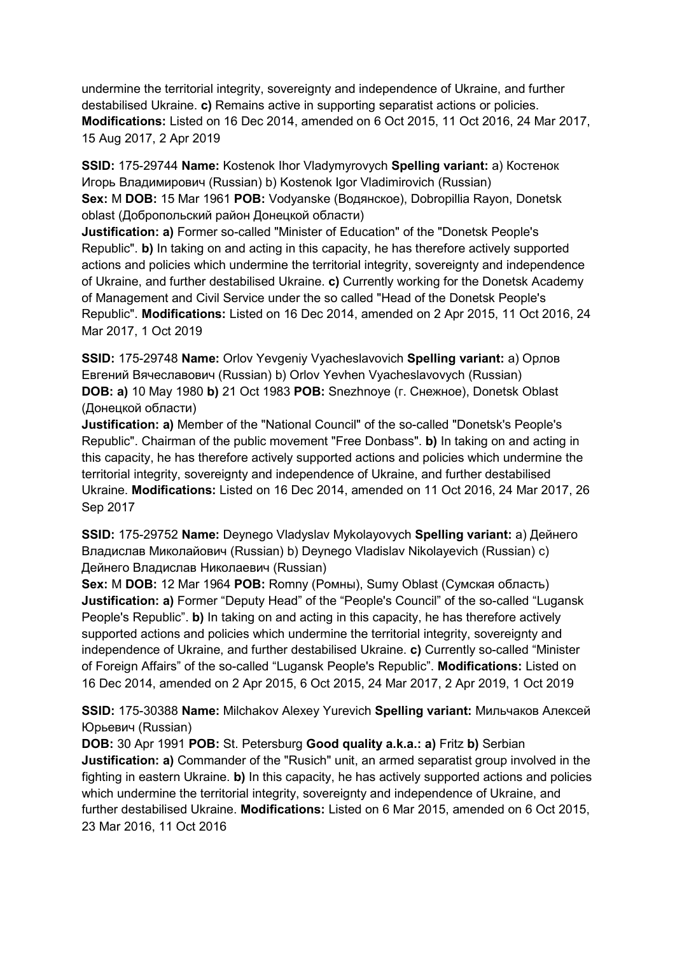undermine the territorial integrity, sovereignty and independence of Ukraine, and further destabilised Ukraine. **c)** Remains active in supporting separatist actions or policies. **Modifications:** Listed on 16 Dec 2014, amended on 6 Oct 2015, 11 Oct 2016, 24 Mar 2017, 15 Aug 2017, 2 Apr 2019

**SSID:** 175-29744 **Name:** Kostenok Ihor Vladymyrovych **Spelling variant:** a) Костенок Игорь Владимирович (Russian) b) Kostenok Igor Vladimirovich (Russian) **Sex:** M **DOB:** 15 Mar 1961 **POB:** Vodyanske (Водянское), Dobropillia Rayon, Donetsk oblast (Добропольский район Донецкой области)

**Justification: a)** Former so-called "Minister of Education" of the "Donetsk People's Republic". **b)** In taking on and acting in this capacity, he has therefore actively supported actions and policies which undermine the territorial integrity, sovereignty and independence of Ukraine, and further destabilised Ukraine. **c)** Currently working for the Donetsk Academy of Management and Civil Service under the so called "Head of the Donetsk People's Republic". **Modifications:** Listed on 16 Dec 2014, amended on 2 Apr 2015, 11 Oct 2016, 24 Mar 2017, 1 Oct 2019

**SSID:** 175-29748 **Name:** Orlov Yevgeniy Vyacheslavovich **Spelling variant:** a) Орлов Евгений Вячеславович (Russian) b) Orlov Yevhen Vyacheslavovych (Russian) **DOB: a)** 10 May 1980 **b)** 21 Oct 1983 **POB:** Snezhnoye (г. Снежное), Donetsk Oblast (Донецкой области)

**Justification: a)** Member of the "National Council" of the so-called "Donetsk's People's Republic". Chairman of the public movement "Free Donbass". **b)** In taking on and acting in this capacity, he has therefore actively supported actions and policies which undermine the territorial integrity, sovereignty and independence of Ukraine, and further destabilised Ukraine. **Modifications:** Listed on 16 Dec 2014, amended on 11 Oct 2016, 24 Mar 2017, 26 Sep 2017

**SSID:** 175-29752 **Name:** Deynego Vladyslav Mykolayovych **Spelling variant:** a) Дейнего Владислав Миколайович (Russian) b) Deynego Vladislav Nikolayevich (Russian) c) Дейнего Владислав Николаевич (Russian)

**Sex:** M **DOB:** 12 Mar 1964 **POB:** Romny (Ромны), Sumy Oblast (Сумская область) **Justification: a)** Former "Deputy Head" of the "People's Council" of the so-called "Lugansk People's Republic". **b)** In taking on and acting in this capacity, he has therefore actively supported actions and policies which undermine the territorial integrity, sovereignty and independence of Ukraine, and further destabilised Ukraine. **c)** Currently so-called "Minister of Foreign Affairs" of the so-called "Lugansk People's Republic". **Modifications:** Listed on 16 Dec 2014, amended on 2 Apr 2015, 6 Oct 2015, 24 Mar 2017, 2 Apr 2019, 1 Oct 2019

**SSID:** 175-30388 **Name:** Milchakov Alexey Yurevich **Spelling variant:** Мильчаков Алексей Юрьевич (Russian)

**DOB:** 30 Apr 1991 **POB:** St. Petersburg **Good quality a.k.a.: a)** Fritz **b)** Serbian **Justification: a)** Commander of the "Rusich" unit, an armed separatist group involved in the fighting in eastern Ukraine. **b)** In this capacity, he has actively supported actions and policies which undermine the territorial integrity, sovereignty and independence of Ukraine, and further destabilised Ukraine. **Modifications:** Listed on 6 Mar 2015, amended on 6 Oct 2015, 23 Mar 2016, 11 Oct 2016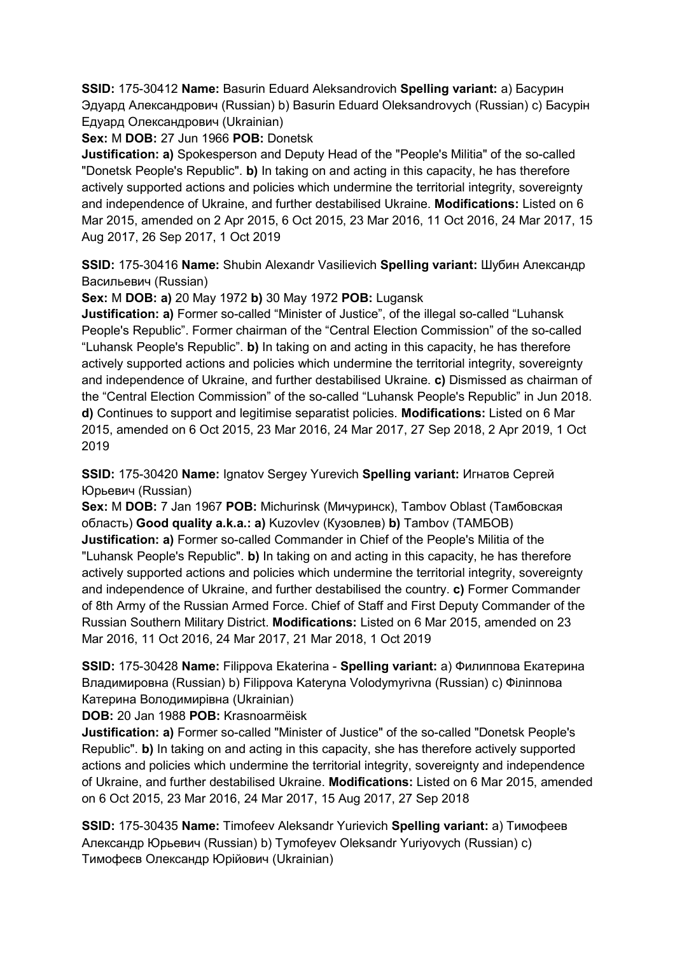**SSID:** 175-30412 **Name:** Basurin Eduard Aleksandrovich **Spelling variant:** a) Басурин Эдуард Александрович (Russian) b) Basurin Eduard Oleksandrovych (Russian) c) Басурiн Едуард Олександрович (Ukrainian)

**Sex:** M **DOB:** 27 Jun 1966 **POB:** Donetsk

**Justification: a)** Spokesperson and Deputy Head of the "People's Militia" of the so-called "Donetsk People's Republic". **b)** In taking on and acting in this capacity, he has therefore actively supported actions and policies which undermine the territorial integrity, sovereignty and independence of Ukraine, and further destabilised Ukraine. **Modifications:** Listed on 6 Mar 2015, amended on 2 Apr 2015, 6 Oct 2015, 23 Mar 2016, 11 Oct 2016, 24 Mar 2017, 15 Aug 2017, 26 Sep 2017, 1 Oct 2019

**SSID:** 175-30416 **Name:** Shubin Alexandr Vasilievich **Spelling variant:** Шубин Александр Васильевич (Russian)

**Sex:** M **DOB: a)** 20 May 1972 **b)** 30 May 1972 **POB:** Lugansk

**Justification: a)** Former so-called "Minister of Justice", of the illegal so-called "Luhansk People's Republic". Former chairman of the "Central Election Commission" of the so-called "Luhansk People's Republic". **b)** In taking on and acting in this capacity, he has therefore actively supported actions and policies which undermine the territorial integrity, sovereignty and independence of Ukraine, and further destabilised Ukraine. **c)** Dismissed as chairman of the "Central Election Commission" of the so-called "Luhansk People's Republic" in Jun 2018. **d)** Continues to support and legitimise separatist policies. **Modifications:** Listed on 6 Mar 2015, amended on 6 Oct 2015, 23 Mar 2016, 24 Mar 2017, 27 Sep 2018, 2 Apr 2019, 1 Oct 2019

**SSID:** 175-30420 **Name:** Ignatov Sergey Yurevich **Spelling variant:** Игнатов Сергей Юрьевич (Russian)

**Sex:** M **DOB:** 7 Jan 1967 **POB:** Michurinsk (Мичуринск), Tambov Oblast (Тамбовская область) **Good quality a.k.a.: a)** Kuzovlev (Кузовлев) **b)** Tambov (ТAMБOB) **Justification: a)** Former so-called Commander in Chief of the People's Militia of the "Luhansk People's Republic". **b)** In taking on and acting in this capacity, he has therefore actively supported actions and policies which undermine the territorial integrity, sovereignty and independence of Ukraine, and further destabilised the country. **c)** Former Commander of 8th Army of the Russian Armed Force. Chief of Staff and First Deputy Commander of the Russian Southern Military District. **Modifications:** Listed on 6 Mar 2015, amended on 23 Mar 2016, 11 Oct 2016, 24 Mar 2017, 21 Mar 2018, 1 Oct 2019

**SSID:** 175-30428 **Name:** Filippova Ekaterina - **Spelling variant:** a) Филиппова Екатерина Владимировна (Russian) b) Filippova Kateryna Volodymyrivna (Russian) c) Фiлiппова Катерина Володимирівна (Ukrainian)

**DOB:** 20 Jan 1988 **POB:** Krasnoarmëisk

**Justification: a)** Former so-called "Minister of Justice" of the so-called "Donetsk People's Republic". **b)** In taking on and acting in this capacity, she has therefore actively supported actions and policies which undermine the territorial integrity, sovereignty and independence of Ukraine, and further destabilised Ukraine. **Modifications:** Listed on 6 Mar 2015, amended on 6 Oct 2015, 23 Mar 2016, 24 Mar 2017, 15 Aug 2017, 27 Sep 2018

**SSID:** 175-30435 **Name:** Timofeev Aleksandr Yurievich **Spelling variant:** a) Тимофеев Александр Юрьевич (Russian) b) Tymofeyev Oleksandr Yuriyovych (Russian) c) Тимофеєв Олександр Юрійович (Ukrainian)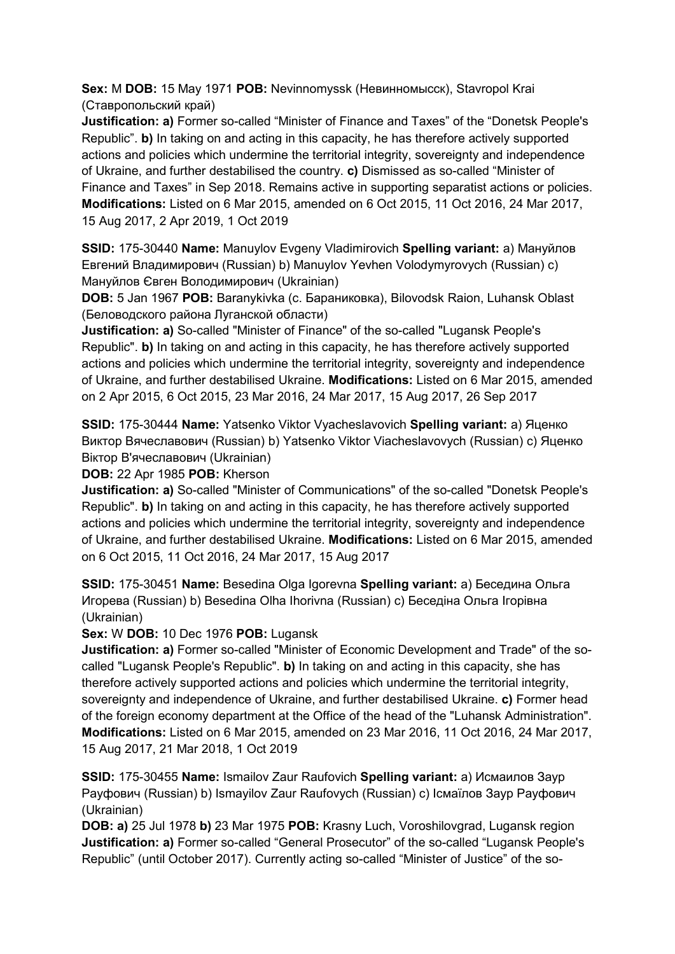**Sex:** M **DOB:** 15 May 1971 **POB:** Nevinnomyssk (Невинномысск), Stavropol Krai (Ставропольский край)

**Justification: a)** Former so-called "Minister of Finance and Taxes" of the "Donetsk People's Republic". **b)** In taking on and acting in this capacity, he has therefore actively supported actions and policies which undermine the territorial integrity, sovereignty and independence of Ukraine, and further destabilised the country. **c)** Dismissed as so-called "Minister of Finance and Taxes" in Sep 2018. Remains active in supporting separatist actions or policies. **Modifications:** Listed on 6 Mar 2015, amended on 6 Oct 2015, 11 Oct 2016, 24 Mar 2017, 15 Aug 2017, 2 Apr 2019, 1 Oct 2019

**SSID:** 175-30440 **Name:** Manuylov Evgeny Vladimirovich **Spelling variant:** a) Мануйлов Евгений Владимирович (Russian) b) Manuylov Yevhen Volodymyrovych (Russian) c) Мануйлов Євген Володимирович (Ukrainian)

**DOB:** 5 Jan 1967 **POB:** Baranykivka (с. Бараниковка), Bilovodsk Raion, Luhansk Oblast (Беловодского района Луганской области)

**Justification: a)** So-called "Minister of Finance" of the so-called "Lugansk People's Republic". **b)** In taking on and acting in this capacity, he has therefore actively supported actions and policies which undermine the territorial integrity, sovereignty and independence of Ukraine, and further destabilised Ukraine. **Modifications:** Listed on 6 Mar 2015, amended on 2 Apr 2015, 6 Oct 2015, 23 Mar 2016, 24 Mar 2017, 15 Aug 2017, 26 Sep 2017

**SSID:** 175-30444 **Name:** Yatsenko Viktor Vyacheslavovich **Spelling variant:** a) Яценко Виктор Вячеславович (Russian) b) Yatsenko Viktor Viacheslavovych (Russian) c) Яценко Віктор В'ячеславович (Ukrainian)

**DOB:** 22 Apr 1985 **POB:** Kherson

**Justification: a)** So-called "Minister of Communications" of the so-called "Donetsk People's Republic". **b)** In taking on and acting in this capacity, he has therefore actively supported actions and policies which undermine the territorial integrity, sovereignty and independence of Ukraine, and further destabilised Ukraine. **Modifications:** Listed on 6 Mar 2015, amended on 6 Oct 2015, 11 Oct 2016, 24 Mar 2017, 15 Aug 2017

**SSID:** 175-30451 **Name:** Besedina Olga Igorevna **Spelling variant:** a) Беседина Ольга Игорева (Russian) b) Besedina Olha Ihorivna (Russian) c) Беседiна Ольга Iгорівна (Ukrainian)

**Sex:** W **DOB:** 10 Dec 1976 **POB:** Lugansk

**Justification: a)** Former so-called "Minister of Economic Development and Trade" of the socalled "Lugansk People's Republic". **b)** In taking on and acting in this capacity, she has therefore actively supported actions and policies which undermine the territorial integrity, sovereignty and independence of Ukraine, and further destabilised Ukraine. **c)** Former head of the foreign economy department at the Office of the head of the "Luhansk Administration". **Modifications:** Listed on 6 Mar 2015, amended on 23 Mar 2016, 11 Oct 2016, 24 Mar 2017, 15 Aug 2017, 21 Mar 2018, 1 Oct 2019

**SSID:** 175-30455 **Name:** Ismailov Zaur Raufovich **Spelling variant:** a) Исмаилов Заур Рауфович (Russian) b) Ismayilov Zaur Raufovych (Russian) c) Iсмаїлов Заур Рауфович (Ukrainian)

**DOB: a)** 25 Jul 1978 **b)** 23 Mar 1975 **POB:** Krasny Luch, Voroshilovgrad, Lugansk region **Justification: a)** Former so-called "General Prosecutor" of the so-called "Lugansk People's Republic" (until October 2017). Currently acting so-called "Minister of Justice" of the so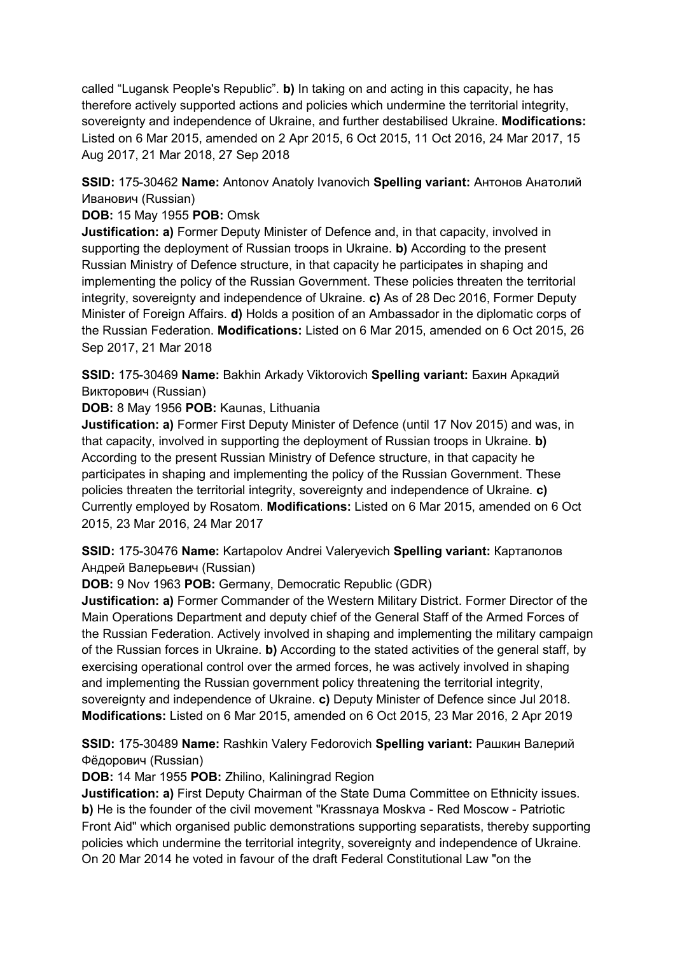called "Lugansk People's Republic". **b)** In taking on and acting in this capacity, he has therefore actively supported actions and policies which undermine the territorial integrity, sovereignty and independence of Ukraine, and further destabilised Ukraine. **Modifications:**  Listed on 6 Mar 2015, amended on 2 Apr 2015, 6 Oct 2015, 11 Oct 2016, 24 Mar 2017, 15 Aug 2017, 21 Mar 2018, 27 Sep 2018

**SSID:** 175-30462 **Name:** Antonov Anatoly Ivanovich **Spelling variant:** Антонов Анатолий Иванович (Russian)

**DOB:** 15 May 1955 **POB:** Omsk

**Justification: a)** Former Deputy Minister of Defence and, in that capacity, involved in supporting the deployment of Russian troops in Ukraine. **b)** According to the present Russian Ministry of Defence structure, in that capacity he participates in shaping and implementing the policy of the Russian Government. These policies threaten the territorial integrity, sovereignty and independence of Ukraine. **c)** As of 28 Dec 2016, Former Deputy Minister of Foreign Affairs. **d)** Holds a position of an Ambassador in the diplomatic corps of the Russian Federation. **Modifications:** Listed on 6 Mar 2015, amended on 6 Oct 2015, 26 Sep 2017, 21 Mar 2018

**SSID:** 175-30469 **Name:** Bakhin Arkady Viktorovich **Spelling variant:** Бахин Аркадий Викторович (Russian)

**DOB:** 8 May 1956 **POB:** Kaunas, Lithuania

**Justification: a)** Former First Deputy Minister of Defence (until 17 Nov 2015) and was, in that capacity, involved in supporting the deployment of Russian troops in Ukraine. **b)**  According to the present Russian Ministry of Defence structure, in that capacity he participates in shaping and implementing the policy of the Russian Government. These policies threaten the territorial integrity, sovereignty and independence of Ukraine. **c)**  Currently employed by Rosatom. **Modifications:** Listed on 6 Mar 2015, amended on 6 Oct 2015, 23 Mar 2016, 24 Mar 2017

**SSID:** 175-30476 **Name:** Kartapolov Andrei Valeryevich **Spelling variant:** Картaполов Андрей Валерьевич (Russian)

**DOB:** 9 Nov 1963 **POB:** Germany, Democratic Republic (GDR)

**Justification: a)** Former Commander of the Western Military District. Former Director of the Main Operations Department and deputy chief of the General Staff of the Armed Forces of the Russian Federation. Actively involved in shaping and implementing the military campaign of the Russian forces in Ukraine. **b)** According to the stated activities of the general staff, by exercising operational control over the armed forces, he was actively involved in shaping and implementing the Russian government policy threatening the territorial integrity, sovereignty and independence of Ukraine. **c)** Deputy Minister of Defence since Jul 2018. **Modifications:** Listed on 6 Mar 2015, amended on 6 Oct 2015, 23 Mar 2016, 2 Apr 2019

**SSID:** 175-30489 **Name:** Rashkin Valery Fedorovich **Spelling variant:** Рашкин Валерий Фёдорович (Russian)

**DOB:** 14 Mar 1955 **POB:** Zhilino, Kaliningrad Region

**Justification: a)** First Deputy Chairman of the State Duma Committee on Ethnicity issues. **b)** He is the founder of the civil movement "Krassnaya Moskva - Red Moscow - Patriotic Front Aid" which organised public demonstrations supporting separatists, thereby supporting policies which undermine the territorial integrity, sovereignty and independence of Ukraine. On 20 Mar 2014 he voted in favour of the draft Federal Constitutional Law "on the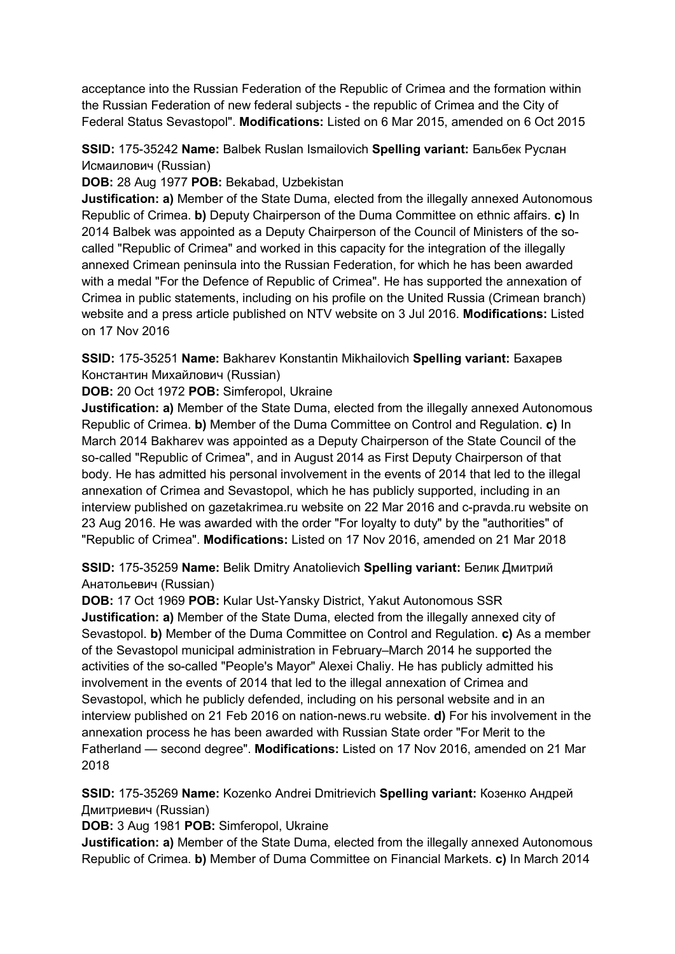acceptance into the Russian Federation of the Republic of Crimea and the formation within the Russian Federation of new federal subjects - the republic of Crimea and the City of Federal Status Sevastopol". **Modifications:** Listed on 6 Mar 2015, amended on 6 Oct 2015

**SSID:** 175-35242 **Name:** Balbek Ruslan Ismailovich **Spelling variant:** Бальбек Руслан Исмаилович (Russian)

**DOB:** 28 Aug 1977 **POB:** Bekabad, Uzbekistan

**Justification: a)** Member of the State Duma, elected from the illegally annexed Autonomous Republic of Crimea. **b)** Deputy Chairperson of the Duma Committee on ethnic affairs. **c)** In 2014 Balbek was appointed as a Deputy Chairperson of the Council of Ministers of the socalled "Republic of Crimea" and worked in this capacity for the integration of the illegally annexed Crimean peninsula into the Russian Federation, for which he has been awarded with a medal "For the Defence of Republic of Crimea". He has supported the annexation of Crimea in public statements, including on his profile on the United Russia (Crimean branch) website and a press article published on NTV website on 3 Jul 2016. **Modifications:** Listed on 17 Nov 2016

**SSID:** 175-35251 **Name:** Bakharev Konstantin Mikhailovich **Spelling variant:** Бахарев Константин Михайлович (Russian)

**DOB:** 20 Oct 1972 **POB:** Simferopol, Ukraine

**Justification: a)** Member of the State Duma, elected from the illegally annexed Autonomous Republic of Crimea. **b)** Member of the Duma Committee on Control and Regulation. **c)** In March 2014 Bakharev was appointed as a Deputy Chairperson of the State Council of the so-called "Republic of Crimea", and in August 2014 as First Deputy Chairperson of that body. He has admitted his personal involvement in the events of 2014 that led to the illegal annexation of Crimea and Sevastopol, which he has publicly supported, including in an interview published on gazetakrimea.ru website on 22 Mar 2016 and c-pravda.ru website on 23 Aug 2016. He was awarded with the order "For loyalty to duty" by the "authorities" of "Republic of Crimea". **Modifications:** Listed on 17 Nov 2016, amended on 21 Mar 2018

**SSID:** 175-35259 **Name:** Belik Dmitry Anatolievich **Spelling variant:** Белик Дмитрий Анатольевич (Russian)

**DOB:** 17 Oct 1969 **POB:** Kular Ust-Yansky District, Yakut Autonomous SSR **Justification: a)** Member of the State Duma, elected from the illegally annexed city of Sevastopol. **b)** Member of the Duma Committee on Control and Regulation. **c)** As a member of the Sevastopol municipal administration in February–March 2014 he supported the activities of the so-called "People's Mayor" Alexei Chaliy. He has publicly admitted his involvement in the events of 2014 that led to the illegal annexation of Crimea and Sevastopol, which he publicly defended, including on his personal website and in an interview published on 21 Feb 2016 on nation-news.ru website. **d)** For his involvement in the annexation process he has been awarded with Russian State order "For Merit to the Fatherland — second degree". **Modifications:** Listed on 17 Nov 2016, amended on 21 Mar 2018

**SSID:** 175-35269 **Name:** Kozenko Andrei Dmitrievich **Spelling variant:** Козенко Андрей Дмитриевич (Russian)

**DOB:** 3 Aug 1981 **POB:** Simferopol, Ukraine

**Justification: a)** Member of the State Duma, elected from the illegally annexed Autonomous Republic of Crimea. **b)** Member of Duma Committee on Financial Markets. **c)** In March 2014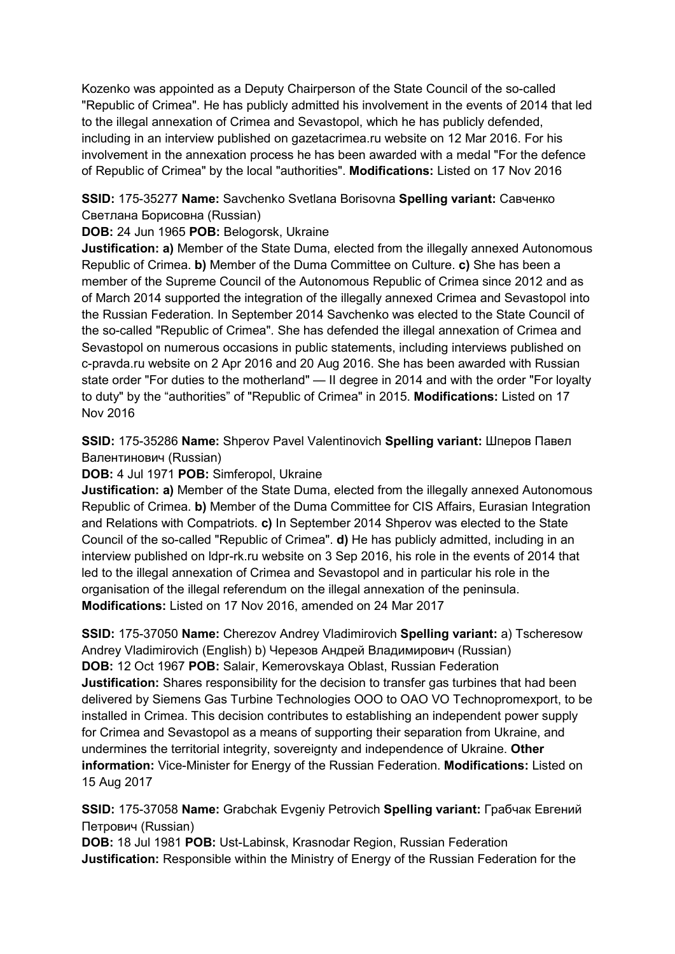Kozenko was appointed as a Deputy Chairperson of the State Council of the so-called "Republic of Crimea". He has publicly admitted his involvement in the events of 2014 that led to the illegal annexation of Crimea and Sevastopol, which he has publicly defended, including in an interview published on gazetacrimea.ru website on 12 Mar 2016. For his involvement in the annexation process he has been awarded with a medal "For the defence of Republic of Crimea" by the local "authorities". **Modifications:** Listed on 17 Nov 2016

**SSID:** 175-35277 **Name:** Savchenko Svetlana Borisovna **Spelling variant:** Савченко Светлана Борисовна (Russian)

**DOB:** 24 Jun 1965 **POB:** Belogorsk, Ukraine

**Justification: a)** Member of the State Duma, elected from the illegally annexed Autonomous Republic of Crimea. **b)** Member of the Duma Committee on Culture. **c)** She has been a member of the Supreme Council of the Autonomous Republic of Crimea since 2012 and as of March 2014 supported the integration of the illegally annexed Crimea and Sevastopol into the Russian Federation. In September 2014 Savchenko was elected to the State Council of the so-called "Republic of Crimea". She has defended the illegal annexation of Crimea and Sevastopol on numerous occasions in public statements, including interviews published on c-pravda.ru website on 2 Apr 2016 and 20 Aug 2016. She has been awarded with Russian state order "For duties to the motherland" — II degree in 2014 and with the order "For loyalty to duty" by the "authorities" of "Republic of Crimea" in 2015. **Modifications:** Listed on 17 Nov 2016

**SSID:** 175-35286 **Name:** Shperov Pavel Valentinovich **Spelling variant:** Шперов Павел Валентинович (Russian)

**DOB:** 4 Jul 1971 **POB:** Simferopol, Ukraine

**Justification: a)** Member of the State Duma, elected from the illegally annexed Autonomous Republic of Crimea. **b)** Member of the Duma Committee for CIS Affairs, Eurasian Integration and Relations with Compatriots. **c)** In September 2014 Shperov was elected to the State Council of the so-called "Republic of Crimea". **d)** He has publicly admitted, including in an interview published on ldpr-rk.ru website on 3 Sep 2016, his role in the events of 2014 that led to the illegal annexation of Crimea and Sevastopol and in particular his role in the organisation of the illegal referendum on the illegal annexation of the peninsula. **Modifications:** Listed on 17 Nov 2016, amended on 24 Mar 2017

**SSID:** 175-37050 **Name:** Cherezov Andrey Vladimirovich **Spelling variant:** a) Tscheresow Andrey Vladimirovich (English) b) Черезов Андрей Владимирович (Russian) **DOB:** 12 Oct 1967 **POB:** Salair, Kemerovskaya Oblast, Russian Federation **Justification:** Shares responsibility for the decision to transfer gas turbines that had been delivered by Siemens Gas Turbine Technologies OOO to OAO VO Technopromexport, to be installed in Crimea. This decision contributes to establishing an independent power supply for Crimea and Sevastopol as a means of supporting their separation from Ukraine, and undermines the territorial integrity, sovereignty and independence of Ukraine. **Other information:** Vice-Minister for Energy of the Russian Federation. **Modifications:** Listed on 15 Aug 2017

**SSID:** 175-37058 **Name:** Grabchak Evgeniy Petrovich **Spelling variant:** Грабчак Евгений Петрович (Russian)

**DOB:** 18 Jul 1981 **POB:** Ust-Labinsk, Krasnodar Region, Russian Federation **Justification:** Responsible within the Ministry of Energy of the Russian Federation for the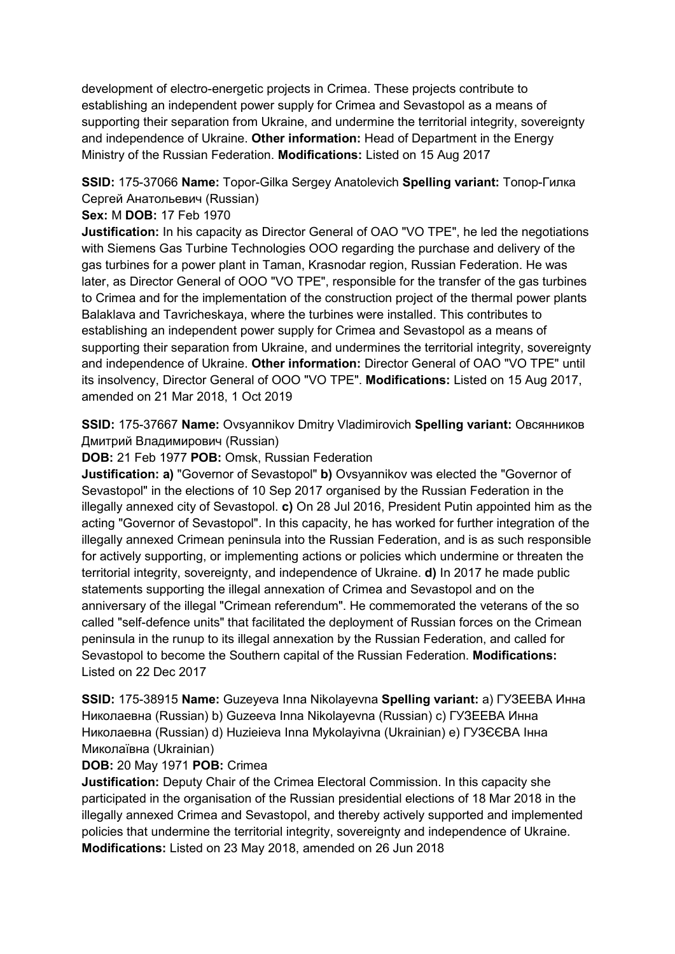development of electro-energetic projects in Crimea. These projects contribute to establishing an independent power supply for Crimea and Sevastopol as a means of supporting their separation from Ukraine, and undermine the territorial integrity, sovereignty and independence of Ukraine. **Other information:** Head of Department in the Energy Ministry of the Russian Federation. **Modifications:** Listed on 15 Aug 2017

# **SSID:** 175-37066 **Name:** Topor-Gilka Sergey Anatolevich **Spelling variant:** Топор-Гилка Сергей Анатольевич (Russian)

## **Sex:** M **DOB:** 17 Feb 1970

**Justification:** In his capacity as Director General of OAO "VO TPE", he led the negotiations with Siemens Gas Turbine Technologies OOO regarding the purchase and delivery of the gas turbines for a power plant in Taman, Krasnodar region, Russian Federation. He was later, as Director General of OOO "VO TPE", responsible for the transfer of the gas turbines to Crimea and for the implementation of the construction project of the thermal power plants Balaklava and Tavricheskaya, where the turbines were installed. This contributes to establishing an independent power supply for Crimea and Sevastopol as a means of supporting their separation from Ukraine, and undermines the territorial integrity, sovereignty and independence of Ukraine. **Other information:** Director General of OAO "VO TPE" until its insolvency, Director General of OOO "VO TPE". **Modifications:** Listed on 15 Aug 2017, amended on 21 Mar 2018, 1 Oct 2019

**SSID:** 175-37667 **Name:** Ovsyannikov Dmitry Vladimirovich **Spelling variant:** Овсянников Дмитрий Владимирович (Russian)

**DOB:** 21 Feb 1977 **POB:** Omsk, Russian Federation

**Justification: a)** "Governor of Sevastopol" **b)** Ovsyannikov was elected the "Governor of Sevastopol" in the elections of 10 Sep 2017 organised by the Russian Federation in the illegally annexed city of Sevastopol. **c)** On 28 Jul 2016, President Putin appointed him as the acting "Governor of Sevastopol". In this capacity, he has worked for further integration of the illegally annexed Crimean peninsula into the Russian Federation, and is as such responsible for actively supporting, or implementing actions or policies which undermine or threaten the territorial integrity, sovereignty, and independence of Ukraine. **d)** In 2017 he made public statements supporting the illegal annexation of Crimea and Sevastopol and on the anniversary of the illegal "Crimean referendum". He commemorated the veterans of the so called "self-defence units" that facilitated the deployment of Russian forces on the Crimean peninsula in the runup to its illegal annexation by the Russian Federation, and called for Sevastopol to become the Southern capital of the Russian Federation. **Modifications:**  Listed on 22 Dec 2017

**SSID:** 175-38915 **Name:** Guzeyeva Inna Nikolayevna **Spelling variant:** a) ГУЗЕЕВА Инна Николаевна (Russian) b) Guzeeva Inna Nikolayevna (Russian) c) ГУЗЕЕВА Инна Николаевна (Russian) d) Huzieieva Inna Mykolayivna (Ukrainian) e) ГУЗЄЄВА Iнна Миколаївна (Ukrainian)

### **DOB:** 20 May 1971 **POB:** Crimea

**Justification:** Deputy Chair of the Crimea Electoral Commission. In this capacity she participated in the organisation of the Russian presidential elections of 18 Mar 2018 in the illegally annexed Crimea and Sevastopol, and thereby actively supported and implemented policies that undermine the territorial integrity, sovereignty and independence of Ukraine. **Modifications:** Listed on 23 May 2018, amended on 26 Jun 2018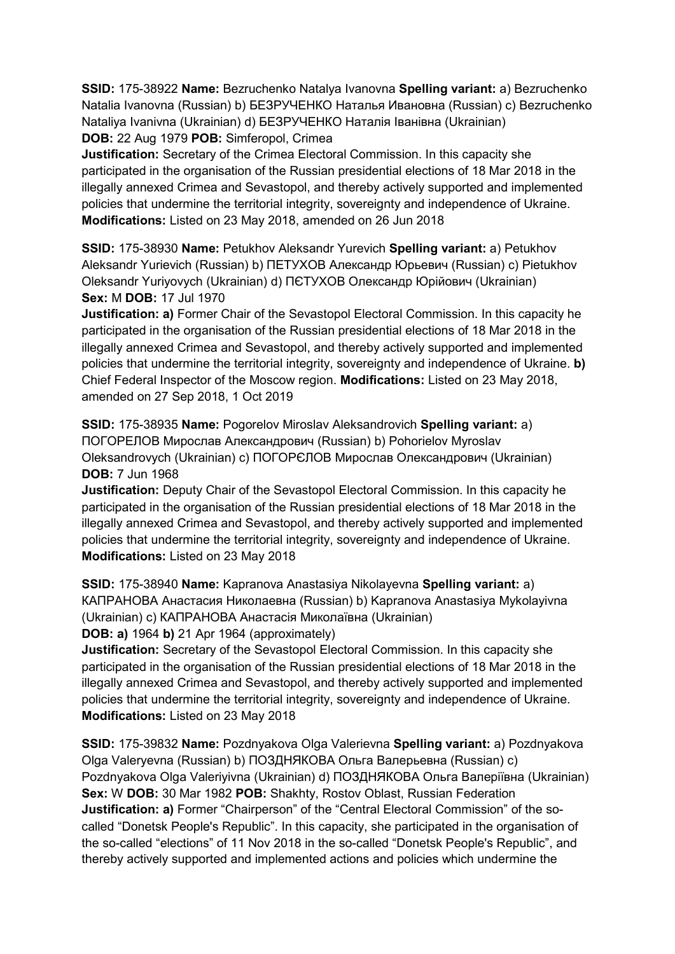**SSID:** 175-38922 **Name:** Bezruchenko Natalya Ivanovna **Spelling variant:** a) Bezruchenko Natalia Ivanovna (Russian) b) БЕЗРУЧЕНКО Наталья Ивановна (Russian) c) Bezruchenko Nataliya Ivanivna (Ukrainian) d) БЕЗРУЧЕНКО Наталія Iванівна (Ukrainian) **DOB:** 22 Aug 1979 **POB:** Simferopol, Crimea

**Justification:** Secretary of the Crimea Electoral Commission. In this capacity she participated in the organisation of the Russian presidential elections of 18 Mar 2018 in the illegally annexed Crimea and Sevastopol, and thereby actively supported and implemented policies that undermine the territorial integrity, sovereignty and independence of Ukraine. **Modifications:** Listed on 23 May 2018, amended on 26 Jun 2018

**SSID:** 175-38930 **Name:** Petukhov Aleksandr Yurevich **Spelling variant:** a) Petukhov Aleksandr Yurievich (Russian) b) ПЕТУХОВ Александр Юрьевич (Russian) c) Pietukhov Oleksandr Yuriyovych (Ukrainian) d) ПЄТУХОВ Олександр Юрійович (Ukrainian) **Sex:** M **DOB:** 17 Jul 1970

**Justification: a)** Former Chair of the Sevastopol Electoral Commission. In this capacity he participated in the organisation of the Russian presidential elections of 18 Mar 2018 in the illegally annexed Crimea and Sevastopol, and thereby actively supported and implemented policies that undermine the territorial integrity, sovereignty and independence of Ukraine. **b)**  Chief Federal Inspector of the Moscow region. **Modifications:** Listed on 23 May 2018, amended on 27 Sep 2018, 1 Oct 2019

**SSID:** 175-38935 **Name:** Pogorelov Miroslav Aleksandrovich **Spelling variant:** a) ПОГОРЕЛОВ Мирослав Александрович (Russian) b) Pohorielov Myroslav Oleksandrovych (Ukrainian) c) ПОГОРЄЛОВ Мирослав Олександрович (Ukrainian) **DOB:** 7 Jun 1968

**Justification:** Deputy Chair of the Sevastopol Electoral Commission. In this capacity he participated in the organisation of the Russian presidential elections of 18 Mar 2018 in the illegally annexed Crimea and Sevastopol, and thereby actively supported and implemented policies that undermine the territorial integrity, sovereignty and independence of Ukraine. **Modifications:** Listed on 23 May 2018

**SSID:** 175-38940 **Name:** Kapranova Anastasiya Nikolayevna **Spelling variant:** a) КАПРАНОВА Анастасия Николаевна (Russian) b) Kapranova Anastasiya Mykolayivna (Ukrainian) c) КАПРАНОВА Анастасія Миколаївна (Ukrainian)

**DOB: a)** 1964 **b)** 21 Apr 1964 (approximately)

**Justification:** Secretary of the Sevastopol Electoral Commission. In this capacity she participated in the organisation of the Russian presidential elections of 18 Mar 2018 in the illegally annexed Crimea and Sevastopol, and thereby actively supported and implemented policies that undermine the territorial integrity, sovereignty and independence of Ukraine. **Modifications:** Listed on 23 May 2018

**SSID:** 175-39832 **Name:** Pozdnyakova Olga Valerievna **Spelling variant:** a) Pozdnyakova Olga Valeryevna (Russian) b) ПОЗДНЯКОВА Ольга Валерьевна (Russian) c) Pozdnyakova Olga Valeriyivna (Ukrainian) d) ПОЗДНЯКОВА Ольга Валеріївна (Ukrainian) **Sex:** W **DOB:** 30 Mar 1982 **POB:** Shakhty, Rostov Oblast, Russian Federation **Justification: a)** Former "Chairperson" of the "Central Electoral Commission" of the socalled "Donetsk People's Republic". In this capacity, she participated in the organisation of the so-called "elections" of 11 Nov 2018 in the so-called "Donetsk People's Republic", and thereby actively supported and implemented actions and policies which undermine the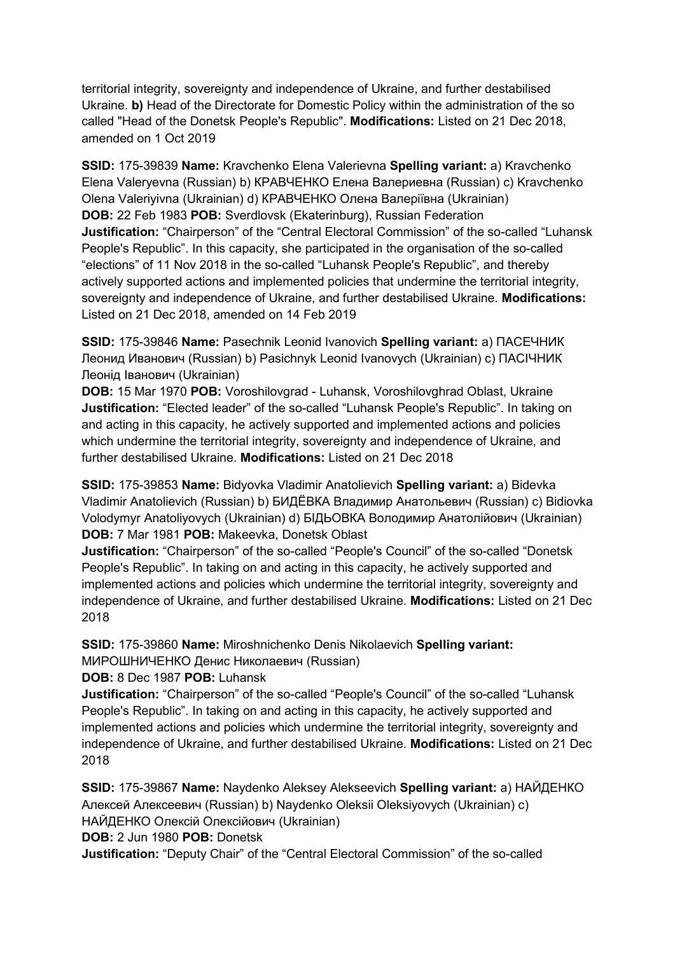territorial integrity, sovereignty and independence of Ukraine, and further destabilised Ukraine. **b)** Head of the Directorate for Domestic Policy within the administration of the so called "Head of the Donetsk People's Republic". **Modifications:** Listed on 21 Dec 2018, amended on 1 Oct 2019

**SSID:** 175-39839 **Name:** Kravchenko Elena Valerievna **Spelling variant:** a) Kravchenko Elena Valeryevna (Russian) b) КРАВЧЕНКО Елена Валериевна (Russian) c) Kravchenko Olena Valeriyivna (Ukrainian) d) КРАВЧЕНКО Олена Валеріївна (Ukrainian) **DOB:** 22 Feb 1983 **POB:** Sverdlovsk (Ekaterinburg), Russian Federation **Justification:** "Chairperson" of the "Central Electoral Commission" of the so-called "Luhansk People's Republic". In this capacity, she participated in the organisation of the so-called "elections" of 11 Nov 2018 in the so-called "Luhansk People's Republic", and thereby actively supported actions and implemented policies that undermine the territorial integrity, sovereignty and independence of Ukraine, and further destabilised Ukraine. **Modifications:**  Listed on 21 Dec 2018, amended on 14 Feb 2019

**SSID:** 175-39846 **Name:** Pasechnik Leonid Ivanovich **Spelling variant:** a) ПАСЕЧНИК Леонид Иванович (Russian) b) Pasichnyk Leonid Ivanovych (Ukrainian) c) ПАСІЧНИК Леонід Іванович (Ukrainian)

**DOB:** 15 Mar 1970 **POB:** Voroshilovgrad - Luhansk, Voroshilovghrad Oblast, Ukraine **Justification:** "Elected leader" of the so-called "Luhansk People's Republic". In taking on and acting in this capacity, he actively supported and implemented actions and policies which undermine the territorial integrity, sovereignty and independence of Ukraine, and further destabilised Ukraine. **Modifications:** Listed on 21 Dec 2018

**SSID:** 175-39853 **Name:** Bidyovka Vladimir Anatolievich **Spelling variant:** a) Bidevka Vladimir Anatolievich (Russian) b) БИДЁВКА Владимир Анатольевич (Russian) c) Bidiovka Volodymyr Anatoliyovych (Ukrainian) d) БІДЬОВКА Володимир Анатолійович (Ukrainian) **DOB:** 7 Mar 1981 **POB:** Makeevka, Donetsk Oblast

**Justification:** "Chairperson" of the so-called "People's Council" of the so-called "Donetsk People's Republic". In taking on and acting in this capacity, he actively supported and implemented actions and policies which undermine the territorial integrity, sovereignty and independence of Ukraine, and further destabilised Ukraine. **Modifications:** Listed on 21 Dec 2018

**SSID:** 175-39860 **Name:** Miroshnichenko Denis Nikolaevich **Spelling variant:**  МИРОШНИЧЕНКО Денис Николаевич (Russian)

**DOB:** 8 Dec 1987 **POB:** Luhansk

**Justification:** "Chairperson" of the so-called "People's Council" of the so-called "Luhansk People's Republic". In taking on and acting in this capacity, he actively supported and implemented actions and policies which undermine the territorial integrity, sovereignty and independence of Ukraine, and further destabilised Ukraine. **Modifications:** Listed on 21 Dec 2018

**SSID:** 175-39867 **Name:** Naydenko Aleksey Alekseevich **Spelling variant:** a) НАЙДЕНКО Алексей Алексеевич (Russian) b) Naydenko Oleksii Oleksiyovych (Ukrainian) c) НАЙДЕНКО Олексій Олексійович (Ukrainian)

**DOB:** 2 Jun 1980 **POB:** Donetsk

**Justification:** "Deputy Chair" of the "Central Electoral Commission" of the so-called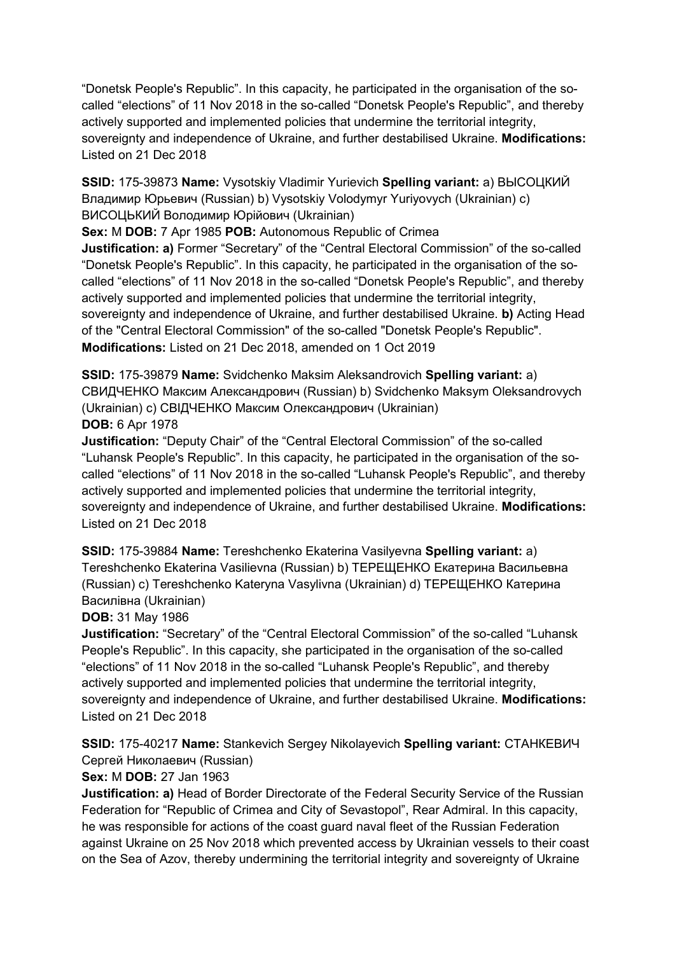"Donetsk People's Republic". In this capacity, he participated in the organisation of the socalled "elections" of 11 Nov 2018 in the so-called "Donetsk People's Republic", and thereby actively supported and implemented policies that undermine the territorial integrity, sovereignty and independence of Ukraine, and further destabilised Ukraine. **Modifications:**  Listed on 21 Dec 2018

**SSID:** 175-39873 **Name:** Vysotskiy Vladimir Yurievich **Spelling variant:** a) ВЫСОЦКИЙ Владимир Юрьевич (Russian) b) Vysotskiy Volodymyr Yuriyovych (Ukrainian) c) ВИСОЦЬКИЙ Володимир Юрійович (Ukrainian)

**Sex:** M **DOB:** 7 Apr 1985 **POB:** Autonomous Republic of Crimea

**Justification: a)** Former "Secretary" of the "Central Electoral Commission" of the so-called "Donetsk People's Republic". In this capacity, he participated in the organisation of the socalled "elections" of 11 Nov 2018 in the so-called "Donetsk People's Republic", and thereby actively supported and implemented policies that undermine the territorial integrity, sovereignty and independence of Ukraine, and further destabilised Ukraine. **b)** Acting Head of the "Central Electoral Commission" of the so-called "Donetsk People's Republic". **Modifications:** Listed on 21 Dec 2018, amended on 1 Oct 2019

**SSID:** 175-39879 **Name:** Svidchenko Maksim Aleksandrovich **Spelling variant:** a) СВИДЧЕНКО Максим Александрович (Russian) b) Svidchenko Maksym Oleksandrovych (Ukrainian) c) СВІДЧЕНКО Максим Олександрович (Ukrainian) **DOB:** 6 Apr 1978

**Justification:** "Deputy Chair" of the "Central Electoral Commission" of the so-called "Luhansk People's Republic". In this capacity, he participated in the organisation of the socalled "elections" of 11 Nov 2018 in the so-called "Luhansk People's Republic", and thereby actively supported and implemented policies that undermine the territorial integrity, sovereignty and independence of Ukraine, and further destabilised Ukraine. **Modifications:**  Listed on 21 Dec 2018

**SSID:** 175-39884 **Name:** Tereshchenko Ekaterina Vasilyevna **Spelling variant:** a) Tereshchenko Ekaterina Vasilievna (Russian) b) ТЕРЕЩЕНКО Екатерина Васильевна (Russian) c) Tereshchenko Kateryna Vasylivna (Ukrainian) d) ТЕРЕЩЕНКО Катерина Василівна (Ukrainian)

**DOB:** 31 May 1986

**Justification:** "Secretary" of the "Central Electoral Commission" of the so-called "Luhansk People's Republic". In this capacity, she participated in the organisation of the so-called "elections" of 11 Nov 2018 in the so-called "Luhansk People's Republic", and thereby actively supported and implemented policies that undermine the territorial integrity, sovereignty and independence of Ukraine, and further destabilised Ukraine. **Modifications:**  Listed on 21 Dec 2018

**SSID:** 175-40217 **Name:** Stankevich Sergey Nikolayevich **Spelling variant:** СТАНКЕВИЧ Сергей Николаевич (Russian)

# **Sex:** M **DOB:** 27 Jan 1963

**Justification: a)** Head of Border Directorate of the Federal Security Service of the Russian Federation for "Republic of Crimea and City of Sevastopol", Rear Admiral. In this capacity, he was responsible for actions of the coast guard naval fleet of the Russian Federation against Ukraine on 25 Nov 2018 which prevented access by Ukrainian vessels to their coast on the Sea of Azov, thereby undermining the territorial integrity and sovereignty of Ukraine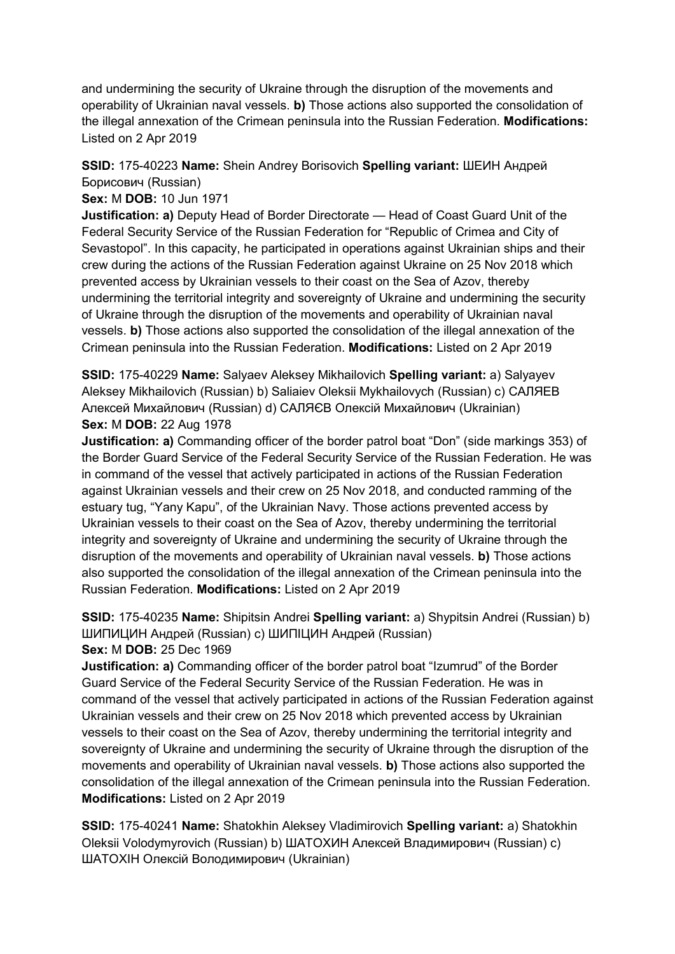and undermining the security of Ukraine through the disruption of the movements and operability of Ukrainian naval vessels. **b)** Those actions also supported the consolidation of the illegal annexation of the Crimean peninsula into the Russian Federation. **Modifications:**  Listed on 2 Apr 2019

# **SSID:** 175-40223 **Name:** Shein Andrey Borisovich **Spelling variant:** ШЕИН Андрей Борисович (Russian)

**Sex:** M **DOB:** 10 Jun 1971

**Justification: a)** Deputy Head of Border Directorate — Head of Coast Guard Unit of the Federal Security Service of the Russian Federation for "Republic of Crimea and City of Sevastopol". In this capacity, he participated in operations against Ukrainian ships and their crew during the actions of the Russian Federation against Ukraine on 25 Nov 2018 which prevented access by Ukrainian vessels to their coast on the Sea of Azov, thereby undermining the territorial integrity and sovereignty of Ukraine and undermining the security of Ukraine through the disruption of the movements and operability of Ukrainian naval vessels. **b)** Those actions also supported the consolidation of the illegal annexation of the Crimean peninsula into the Russian Federation. **Modifications:** Listed on 2 Apr 2019

**SSID:** 175-40229 **Name:** Salyaev Aleksey Mikhailovich **Spelling variant:** a) Salyayev Aleksey Mikhailovich (Russian) b) Saliaiev Oleksii Mykhailovych (Russian) c) САЛЯЕВ Алексей Михайлович (Russian) d) САЛЯЄВ Олексій Михайлович (Ukrainian) **Sex:** M **DOB:** 22 Aug 1978

**Justification: a)** Commanding officer of the border patrol boat "Don" (side markings 353) of the Border Guard Service of the Federal Security Service of the Russian Federation. He was in command of the vessel that actively participated in actions of the Russian Federation against Ukrainian vessels and their crew on 25 Nov 2018, and conducted ramming of the estuary tug, "Yany Kapu", of the Ukrainian Navy. Those actions prevented access by Ukrainian vessels to their coast on the Sea of Azov, thereby undermining the territorial integrity and sovereignty of Ukraine and undermining the security of Ukraine through the disruption of the movements and operability of Ukrainian naval vessels. **b)** Those actions also supported the consolidation of the illegal annexation of the Crimean peninsula into the Russian Federation. **Modifications:** Listed on 2 Apr 2019

**SSID:** 175-40235 **Name:** Shipitsin Andrei **Spelling variant:** a) Shypitsin Andrei (Russian) b) ШИПИЦИН Андрей (Russian) c) ШИПІЦИН Андрей (Russian) **Sex:** M **DOB:** 25 Dec 1969

**Justification: a)** Commanding officer of the border patrol boat "Izumrud" of the Border Guard Service of the Federal Security Service of the Russian Federation. He was in command of the vessel that actively participated in actions of the Russian Federation against Ukrainian vessels and their crew on 25 Nov 2018 which prevented access by Ukrainian vessels to their coast on the Sea of Azov, thereby undermining the territorial integrity and sovereignty of Ukraine and undermining the security of Ukraine through the disruption of the movements and operability of Ukrainian naval vessels. **b)** Those actions also supported the consolidation of the illegal annexation of the Crimean peninsula into the Russian Federation. **Modifications:** Listed on 2 Apr 2019

**SSID:** 175-40241 **Name:** Shatokhin Aleksey Vladimirovich **Spelling variant:** a) Shatokhin Oleksii Volodymyrovich (Russian) b) ШАТОХИН Алексей Владимирович (Russian) c) ШАТОХІН Олексій Володимирович (Ukrainian)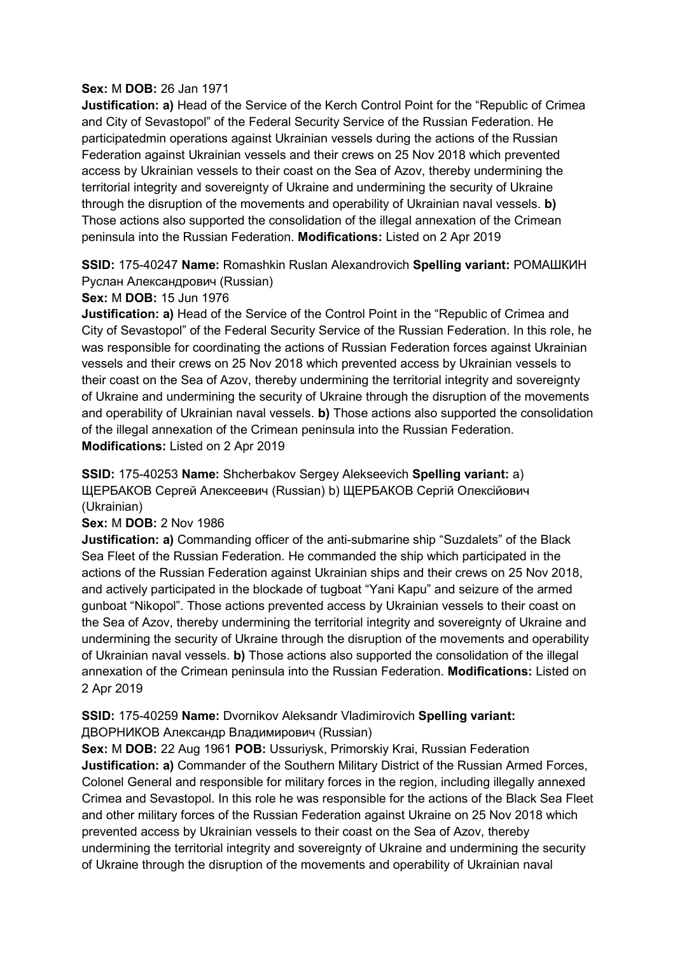### **Sex:** M **DOB:** 26 Jan 1971

**Justification: a)** Head of the Service of the Kerch Control Point for the "Republic of Crimea and City of Sevastopol" of the Federal Security Service of the Russian Federation. He participatedmin operations against Ukrainian vessels during the actions of the Russian Federation against Ukrainian vessels and their crews on 25 Nov 2018 which prevented access by Ukrainian vessels to their coast on the Sea of Azov, thereby undermining the territorial integrity and sovereignty of Ukraine and undermining the security of Ukraine through the disruption of the movements and operability of Ukrainian naval vessels. **b)**  Those actions also supported the consolidation of the illegal annexation of the Crimean peninsula into the Russian Federation. **Modifications:** Listed on 2 Apr 2019

**SSID:** 175-40247 **Name:** Romashkin Ruslan Alexandrovich **Spelling variant:** РОМАШКИН Руслан Александрович (Russian)

## **Sex:** M **DOB:** 15 Jun 1976

**Justification: a)** Head of the Service of the Control Point in the "Republic of Crimea and City of Sevastopol" of the Federal Security Service of the Russian Federation. In this role, he was responsible for coordinating the actions of Russian Federation forces against Ukrainian vessels and their crews on 25 Nov 2018 which prevented access by Ukrainian vessels to their coast on the Sea of Azov, thereby undermining the territorial integrity and sovereignty of Ukraine and undermining the security of Ukraine through the disruption of the movements and operability of Ukrainian naval vessels. **b)** Those actions also supported the consolidation of the illegal annexation of the Crimean peninsula into the Russian Federation. **Modifications:** Listed on 2 Apr 2019

**SSID:** 175-40253 **Name:** Shcherbakov Sergey Alekseevich **Spelling variant:** a) ЩЕРБАКОВ Сергей Алексеевич (Russian) b) ЩЕРБАКОВ Сергій Олексійович (Ukrainian)

**Sex:** M **DOB:** 2 Nov 1986

**Justification: a)** Commanding officer of the anti-submarine ship "Suzdalets" of the Black Sea Fleet of the Russian Federation. He commanded the ship which participated in the actions of the Russian Federation against Ukrainian ships and their crews on 25 Nov 2018, and actively participated in the blockade of tugboat "Yani Kapu" and seizure of the armed gunboat "Nikopol". Those actions prevented access by Ukrainian vessels to their coast on the Sea of Azov, thereby undermining the territorial integrity and sovereignty of Ukraine and undermining the security of Ukraine through the disruption of the movements and operability of Ukrainian naval vessels. **b)** Those actions also supported the consolidation of the illegal annexation of the Crimean peninsula into the Russian Federation. **Modifications:** Listed on 2 Apr 2019

## **SSID:** 175-40259 **Name:** Dvornikov Aleksandr Vladimirovich **Spelling variant:**  ДВОРНИКОВ Александр Владимирович (Russian)

**Sex:** M **DOB:** 22 Aug 1961 **POB:** Ussuriysk, Primorskiy Krai, Russian Federation **Justification: a)** Commander of the Southern Military District of the Russian Armed Forces, Colonel General and responsible for military forces in the region, including illegally annexed Crimea and Sevastopol. In this role he was responsible for the actions of the Black Sea Fleet and other military forces of the Russian Federation against Ukraine on 25 Nov 2018 which prevented access by Ukrainian vessels to their coast on the Sea of Azov, thereby undermining the territorial integrity and sovereignty of Ukraine and undermining the security of Ukraine through the disruption of the movements and operability of Ukrainian naval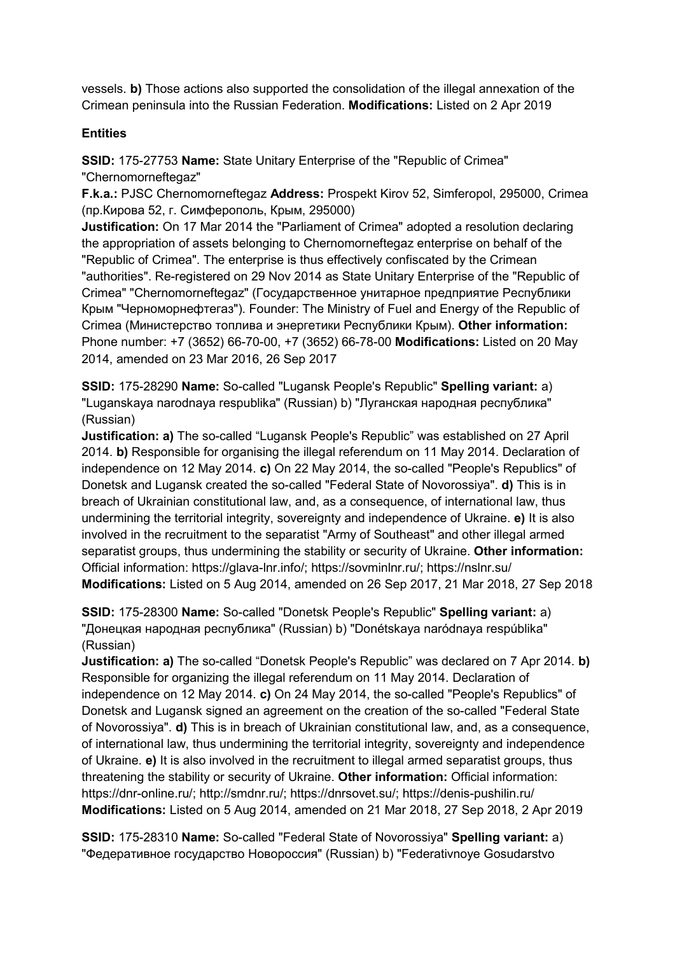vessels. **b)** Those actions also supported the consolidation of the illegal annexation of the Crimean peninsula into the Russian Federation. **Modifications:** Listed on 2 Apr 2019

## **Entities**

**SSID:** 175-27753 **Name:** State Unitary Enterprise of the "Republic of Crimea" "Chernomorneftegaz"

**F.k.a.:** PJSC Chernomorneftegaz **Address:** Prospekt Kirov 52, Simferopol, 295000, Crimea (пр.Кирова 52, г. Симферополь, Крым, 295000)

**Justification:** On 17 Mar 2014 the "Parliament of Crimea" adopted a resolution declaring the appropriation of assets belonging to Chernomorneftegaz enterprise on behalf of the "Republic of Crimea". The enterprise is thus effectively confiscated by the Crimean "authorities". Re-registered on 29 Nov 2014 as State Unitary Enterprise of the "Republic of Crimea" "Chernomorneftegaz" (Государственное унитарное предприятие Республики Крым "Черноморнефтегаз"). Founder: The Ministry of Fuel and Energy of the Republic of Crimea (Министерство топлива и энергетики Республики Крым). **Other information:** Phone number: +7 (3652) 66-70-00, +7 (3652) 66-78-00 **Modifications:** Listed on 20 May 2014, amended on 23 Mar 2016, 26 Sep 2017

**SSID:** 175-28290 **Name:** So-called "Lugansk People's Republic" **Spelling variant:** a) "Luganskaya narodnaya respublika" (Russian) b) "Луганская народная республика" (Russian)

**Justification: a)** The so-called "Lugansk People's Republic" was established on 27 April 2014. **b)** Responsible for organising the illegal referendum on 11 May 2014. Declaration of independence on 12 May 2014. **c)** On 22 May 2014, the so-called "People's Republics" of Donetsk and Lugansk created the so-called "Federal State of Novorossiya". **d)** This is in breach of Ukrainian constitutional law, and, as a consequence, of international law, thus undermining the territorial integrity, sovereignty and independence of Ukraine. **e)** It is also involved in the recruitment to the separatist "Army of Southeast" and other illegal armed separatist groups, thus undermining the stability or security of Ukraine. **Other information:** Official information: https://glava-lnr.info/; https://sovminlnr.ru/; https://nslnr.su/ **Modifications:** Listed on 5 Aug 2014, amended on 26 Sep 2017, 21 Mar 2018, 27 Sep 2018

**SSID:** 175-28300 **Name:** So-called "Donetsk People's Republic" **Spelling variant:** a) "Донецкая народная республика" (Russian) b) "Donétskaya naródnaya respúblika" (Russian)

**Justification: a)** The so-called "Donetsk People's Republic" was declared on 7 Apr 2014. **b)**  Responsible for organizing the illegal referendum on 11 May 2014. Declaration of independence on 12 May 2014. **c)** On 24 May 2014, the so-called "People's Republics" of Donetsk and Lugansk signed an agreement on the creation of the so-called "Federal State of Novorossiya". **d)** This is in breach of Ukrainian constitutional law, and, as a consequence, of international law, thus undermining the territorial integrity, sovereignty and independence of Ukraine. **e)** It is also involved in the recruitment to illegal armed separatist groups, thus threatening the stability or security of Ukraine. **Other information:** Official information: https://dnr-online.ru/; http://smdnr.ru/; https://dnrsovet.su/; https://denis-pushilin.ru/ **Modifications:** Listed on 5 Aug 2014, amended on 21 Mar 2018, 27 Sep 2018, 2 Apr 2019

**SSID:** 175-28310 **Name:** So-called "Federal State of Novorossiya" **Spelling variant:** a) "Федеративное государство Новороссия" (Russian) b) "Federativnoye Gosudarstvo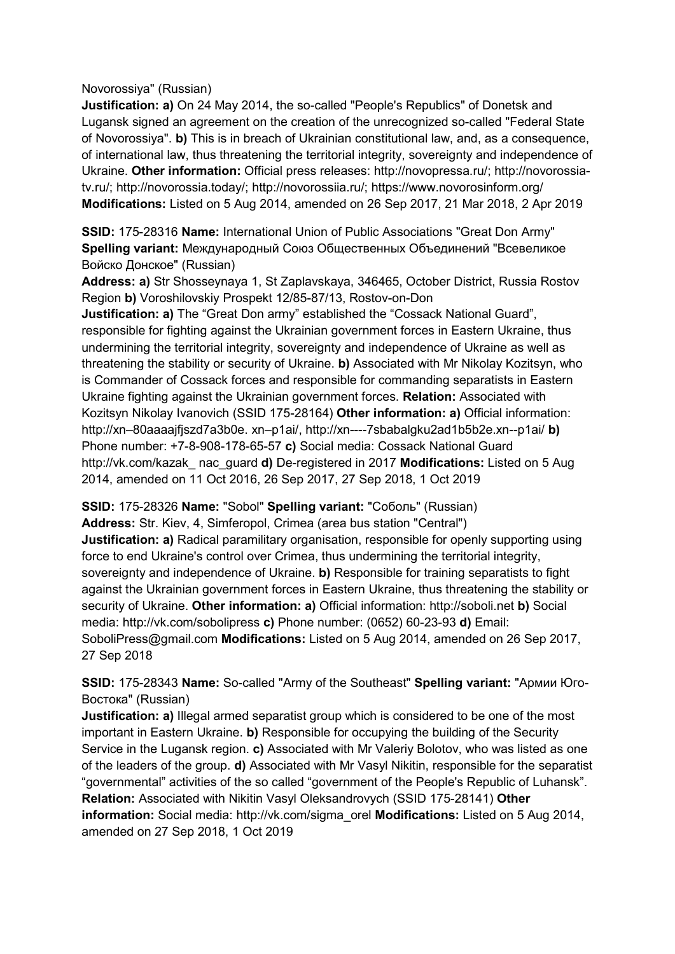Novorossiya" (Russian)

**Justification: a)** On 24 May 2014, the so-called "People's Republics" of Donetsk and Lugansk signed an agreement on the creation of the unrecognized so-called "Federal State of Novorossiya". **b)** This is in breach of Ukrainian constitutional law, and, as a consequence, of international law, thus threatening the territorial integrity, sovereignty and independence of Ukraine. **Other information:** Official press releases: http://novopressa.ru/; http://novorossiatv.ru/; http://novorossia.today/; http://novorossiia.ru/; https://www.novorosinform.org/ **Modifications:** Listed on 5 Aug 2014, amended on 26 Sep 2017, 21 Mar 2018, 2 Apr 2019

**SSID:** 175-28316 **Name:** International Union of Public Associations "Great Don Army" **Spelling variant:** Международный Союз Общественных Объединений "Всевеликое Войско Донское" (Russian)

**Address: a)** Str Shosseynaya 1, St Zaplavskaya, 346465, October District, Russia Rostov Region **b)** Voroshilovskiy Prospekt 12/85-87/13, Rostov-on-Don

**Justification: a)** The "Great Don army" established the "Cossack National Guard", responsible for fighting against the Ukrainian government forces in Eastern Ukraine, thus undermining the territorial integrity, sovereignty and independence of Ukraine as well as threatening the stability or security of Ukraine. **b)** Associated with Mr Nikolay Kozitsyn, who is Commander of Cossack forces and responsible for commanding separatists in Eastern Ukraine fighting against the Ukrainian government forces. **Relation:** Associated with Kozitsyn Nikolay Ivanovich (SSID 175-28164) **Other information: a)** Official information: http://xn–80aaaajfjszd7a3b0e. xn–p1ai/, http://xn----7sbabalgku2ad1b5b2e.xn--p1ai/ **b)**  Phone number: +7-8-908-178-65-57 **c)** Social media: Cossack National Guard http://vk.com/kazak\_ nac\_guard **d)** De-registered in 2017 **Modifications:** Listed on 5 Aug 2014, amended on 11 Oct 2016, 26 Sep 2017, 27 Sep 2018, 1 Oct 2019

**SSID:** 175-28326 **Name:** "Sobol" **Spelling variant:** "Соболь" (Russian)

**Address:** Str. Kiev, 4, Simferopol, Crimea (area bus station "Central") **Justification: a)** Radical paramilitary organisation, responsible for openly supporting using force to end Ukraine's control over Crimea, thus undermining the territorial integrity, sovereignty and independence of Ukraine. **b)** Responsible for training separatists to fight against the Ukrainian government forces in Eastern Ukraine, thus threatening the stability or security of Ukraine. **Other information: a)** Official information: http://soboli.net **b)** Social media: http://vk.com/sobolipress **c)** Phone number: (0652) 60-23-93 **d)** Email: SoboliPress@gmail.com **Modifications:** Listed on 5 Aug 2014, amended on 26 Sep 2017, 27 Sep 2018

**SSID:** 175-28343 **Name:** So-called "Army of the Southeast" **Spelling variant:** "Армии Юго-Востока" (Russian)

**Justification: a)** Illegal armed separatist group which is considered to be one of the most important in Eastern Ukraine. **b)** Responsible for occupying the building of the Security Service in the Lugansk region. **c)** Associated with Mr Valeriy Bolotov, who was listed as one of the leaders of the group. **d)** Associated with Mr Vasyl Nikitin, responsible for the separatist "governmental" activities of the so called "government of the People's Republic of Luhansk". **Relation:** Associated with Nikitin Vasyl Oleksandrovych (SSID 175-28141) **Other information:** Social media: http://vk.com/sigma\_orel **Modifications:** Listed on 5 Aug 2014, amended on 27 Sep 2018, 1 Oct 2019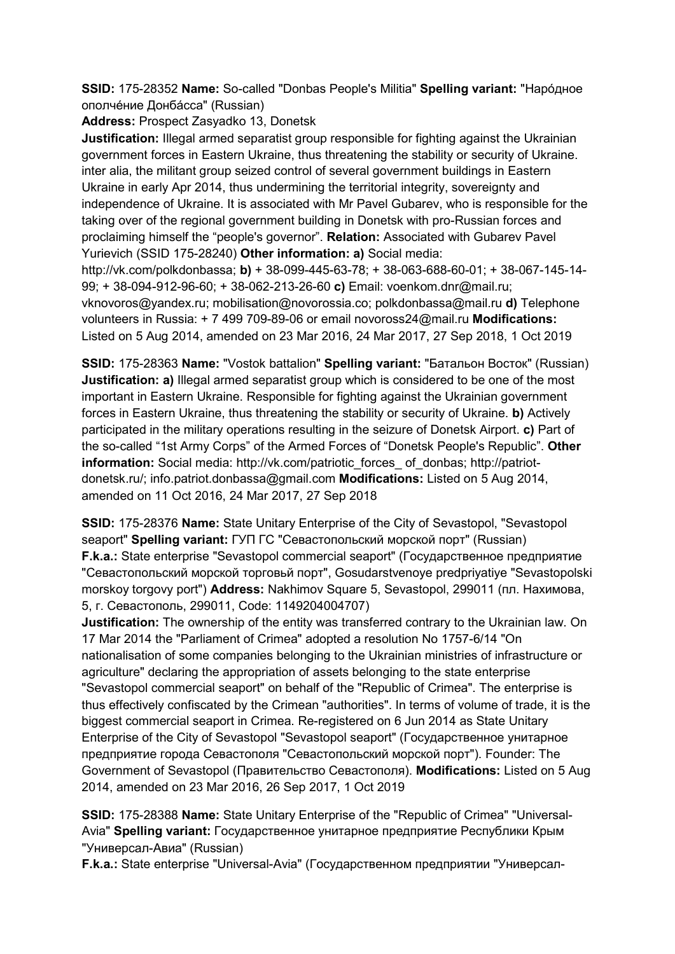**SSID:** 175-28352 **Name:** So-called "Donbas People's Militia" **Spelling variant:** "Нарóдное ополчéние Донбáсса" (Russian)

**Address:** Prospect Zasyadko 13, Donetsk

**Justification:** Illegal armed separatist group responsible for fighting against the Ukrainian government forces in Eastern Ukraine, thus threatening the stability or security of Ukraine. inter alia, the militant group seized control of several government buildings in Eastern Ukraine in early Apr 2014, thus undermining the territorial integrity, sovereignty and independence of Ukraine. It is associated with Mr Pavel Gubarev, who is responsible for the taking over of the regional government building in Donetsk with pro-Russian forces and proclaiming himself the "people's governor". **Relation:** Associated with Gubarev Pavel Yurievich (SSID 175-28240) **Other information: a)** Social media:

http://vk.com/polkdonbassa; **b)** + 38-099-445-63-78; + 38-063-688-60-01; + 38-067-145-14- 99; + 38-094-912-96-60; + 38-062-213-26-60 **c)** Email: voenkom.dnr@mail.ru; vknovoros@yandex.ru; mobilisation@novorossia.co; polkdonbassa@mail.ru **d)** Telephone volunteers in Russia: + 7 499 709-89-06 or email novoross24@mail.ru **Modifications:**  Listed on 5 Aug 2014, amended on 23 Mar 2016, 24 Mar 2017, 27 Sep 2018, 1 Oct 2019

**SSID:** 175-28363 **Name:** "Vostok battalion" **Spelling variant:** "Батальон Восток" (Russian) **Justification: a)** Illegal armed separatist group which is considered to be one of the most important in Eastern Ukraine. Responsible for fighting against the Ukrainian government forces in Eastern Ukraine, thus threatening the stability or security of Ukraine. **b)** Actively participated in the military operations resulting in the seizure of Donetsk Airport. **c)** Part of the so-called "1st Army Corps" of the Armed Forces of "Donetsk People's Republic". **Other information:** Social media: http://vk.com/patriotic\_forces\_ of\_donbas; http://patriotdonetsk.ru/; info.patriot.donbassa@gmail.com **Modifications:** Listed on 5 Aug 2014, amended on 11 Oct 2016, 24 Mar 2017, 27 Sep 2018

**SSID:** 175-28376 **Name:** State Unitary Enterprise of the City of Sevastopol, "Sevastopol seaport" **Spelling variant:** ГУП ГС "Севастопольский морской порт" (Russian) **F.k.a.:** State enterprise "Sevastopol commercial seaport" (Государственное предприятие "Севастопольский морской торговьй порт", Gosudarstvenoye predpriyatiye "Sevastopolski morskoy torgovy port") **Address:** Nakhimov Square 5, Sevastopol, 299011 (пл. Нахимова, 5, г. Севастополь, 299011, Code: 1149204004707)

**Justification:** The ownership of the entity was transferred contrary to the Ukrainian law. On 17 Mar 2014 the "Parliament of Crimea" adopted a resolution No 1757-6/14 "On nationalisation of some companies belonging to the Ukrainian ministries of infrastructure or agriculture" declaring the appropriation of assets belonging to the state enterprise "Sevastopol commercial seaport" on behalf of the "Republic of Crimea". The enterprise is thus effectively confiscated by the Crimean "authorities". In terms of volume of trade, it is the biggest commercial seaport in Crimea. Re-registered on 6 Jun 2014 as State Unitary Enterprise of the City of Sevastopol "Sevastopol seaport" (Государственное унитарное предприятие города Севастополя "Севастопольский морской порт"). Founder: The Government of Sevastopol (Правительство Севастополя). **Modifications:** Listed on 5 Aug 2014, amended on 23 Mar 2016, 26 Sep 2017, 1 Oct 2019

**SSID:** 175-28388 **Name:** State Unitary Enterprise of the "Republic of Crimea" "Universal-Avia" **Spelling variant:** Государственное унитарное предприятие Республики Крым "Универсал-Авиа" (Russian)

**F.k.a.:** State enterprise "Universal-Avia" (Государственном предприятии "Универсал-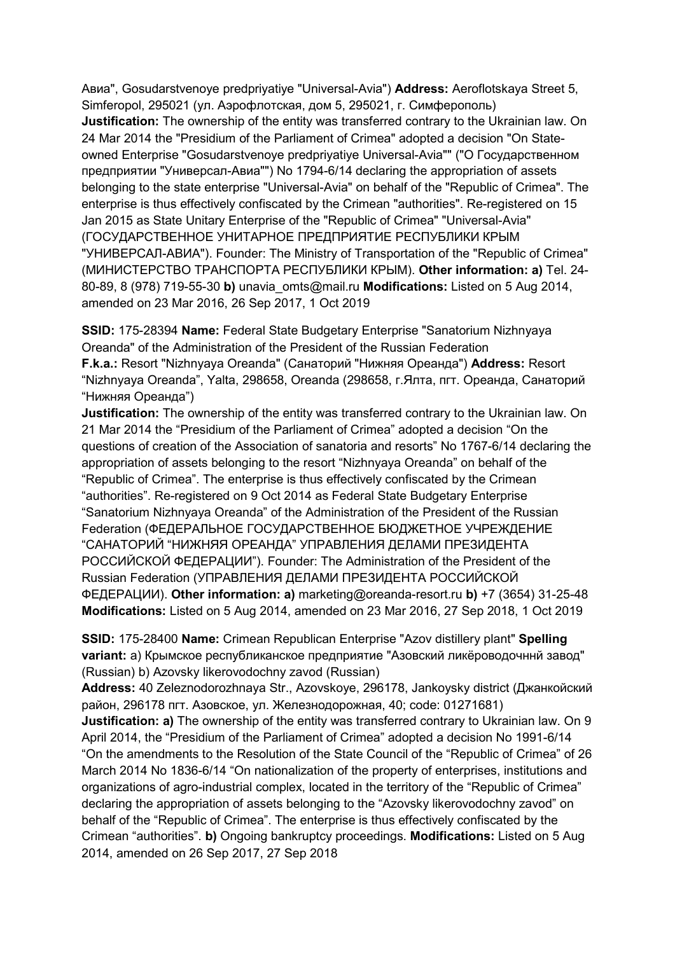Авиа", Gosudarstvenoye predpriyatiye "Universal-Avia") **Address:** Aeroflotskaya Street 5, Simferopol, 295021 (ул. Аэрофлотская, дом 5, 295021, г. Симферополь) **Justification:** The ownership of the entity was transferred contrary to the Ukrainian law. On 24 Mar 2014 the "Presidium of the Parliament of Crimea" adopted a decision "On Stateowned Enterprise "Gosudarstvenoye predpriyatiye Universal-Avia"" ("О Государственном предприятии "Универсал-Авиа"") No 1794-6/14 declaring the appropriation of assets belonging to the state enterprise "Universal-Avia" on behalf of the "Republic of Crimea". The enterprise is thus effectively confiscated by the Crimean "authorities". Re-registered on 15 Jan 2015 as State Unitary Enterprise of the "Republic of Crimea" "Universal-Avia" (ГОСУДАРСТВЕННОЕ УНИТАРНОЕ ПРЕДПРИЯТИЕ РЕСПУБЛИКИ КРЫМ "УНИВЕРСАЛ-АВИА"). Founder: The Ministry of Transportation of the "Republic of Crimea" (МИНИСТЕРСТВО ТРАНСПОРТА РЕСПУБЛИКИ КРЫМ). **Other information: a)** Tel. 24- 80-89, 8 (978) 719-55-30 **b)** unavia\_omts@mail.ru **Modifications:** Listed on 5 Aug 2014, amended on 23 Mar 2016, 26 Sep 2017, 1 Oct 2019

**SSID:** 175-28394 **Name:** Federal State Budgetary Enterprise "Sanatorium Nizhnyaya Oreanda" of the Administration of the President of the Russian Federation **F.k.a.:** Resort "Nizhnyaya Oreanda" (Санаторий "Нижняя Ореанда") **Address:** Resort "Nizhnyaya Oreanda", Yalta, 298658, Oreanda (298658, г.Ялта, пгт. Ореанда, Санаторий "Нижняя Ореанда")

**Justification:** The ownership of the entity was transferred contrary to the Ukrainian law. On 21 Mar 2014 the "Presidium of the Parliament of Crimea" adopted a decision "On the questions of creation of the Association of sanatoria and resorts" No 1767-6/14 declaring the appropriation of assets belonging to the resort "Nizhnyaya Oreanda" on behalf of the "Republic of Crimea". The enterprise is thus effectively confiscated by the Crimean "authorities". Re-registered on 9 Oct 2014 as Federal State Budgetary Enterprise "Sanatorium Nizhnyaya Oreanda" of the Administration of the President of the Russian Federation (ФЕДЕРАЛЬНОЕ ГОСУДАРСТВЕННОЕ БЮДЖЕТНОЕ УЧРЕЖДЕНИЕ "САНАТОРИЙ "НИЖНЯЯ ОРЕАНДА" УПРАВЛЕНИЯ ДЕЛАМИ ПРЕЗИДЕНТА РОССИЙСКОЙ ФЕДЕРАЦИИ"). Founder: The Administration of the President of the Russian Federation (УПРАВЛЕНИЯ ДЕЛАМИ ПРЕЗИДЕНТА РОССИЙСКОЙ ФЕДЕРАЦИИ). **Other information: a)** marketing@oreanda-resort.ru **b)** +7 (3654) 31-25-48 **Modifications:** Listed on 5 Aug 2014, amended on 23 Mar 2016, 27 Sep 2018, 1 Oct 2019

**SSID:** 175-28400 **Name:** Crimean Republican Enterprise "Azov distillery plant" **Spelling variant:** a) Крымское республиканское предприятие "Азовский ликёроводочннй завод" (Russian) b) Azovsky likerovodochny zavod (Russian)

**Address:** 40 Zeleznodorozhnaya Str., Azovskoye, 296178, Jankoysky district (Джанкойский район, 296178 пгт. Азовское, ул. Железнодорожная, 40; code: 01271681)

**Justification: a)** The ownership of the entity was transferred contrary to Ukrainian law. On 9 April 2014, the "Presidium of the Parliament of Crimea" adopted a decision No 1991-6/14 "On the amendments to the Resolution of the State Council of the "Republic of Crimea" of 26 March 2014 No 1836-6/14 "On nationalization of the property of enterprises, institutions and organizations of agro-industrial complex, located in the territory of the "Republic of Crimea" declaring the appropriation of assets belonging to the "Azovsky likerovodochny zavod" on behalf of the "Republic of Crimea". The enterprise is thus effectively confiscated by the Crimean "authorities". **b)** Ongoing bankruptcy proceedings. **Modifications:** Listed on 5 Aug 2014, amended on 26 Sep 2017, 27 Sep 2018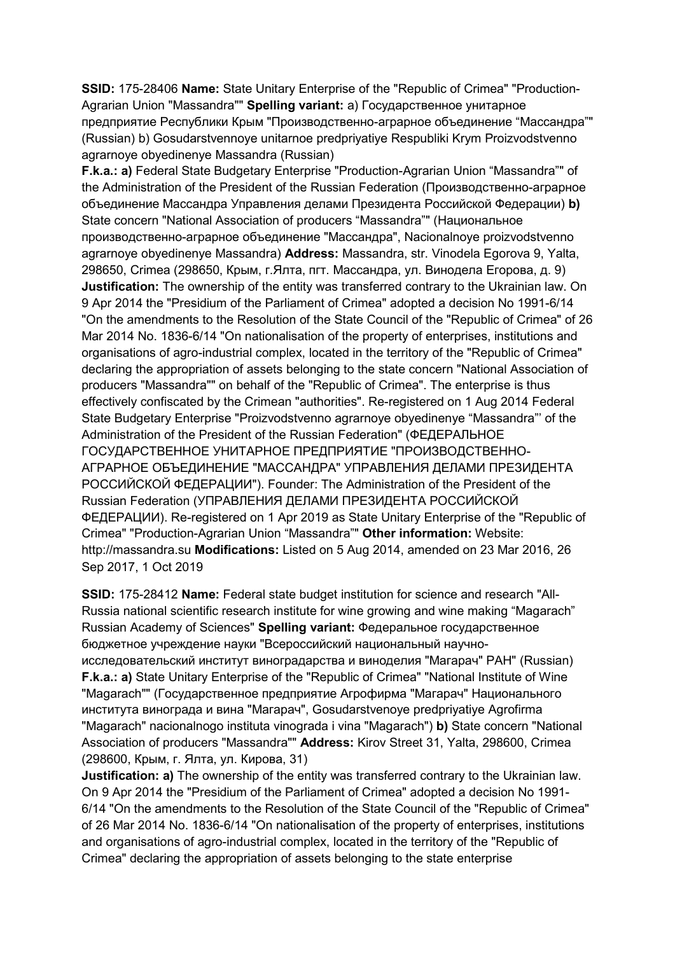**SSID:** 175-28406 **Name:** State Unitary Enterprise of the "Republic of Crimea" "Production-Agrarian Union "Massandra"" **Spelling variant:** a) Государственное унитарное предприятие Республики Крым "Производственно-аграрное объединение "Массандра"" (Russian) b) Gosudarstvennoye unitarnoe predpriyatiye Respubliki Krym Proizvodstvenno agrarnoye obyedinenye Massandra (Russian)

**F.k.a.: a)** Federal State Budgetary Enterprise "Production-Agrarian Union "Massandra"" of the Administration of the President of the Russian Federation (Производственно-аграрное объединение Массандра Управления делами Президента Российской Федерации) **b)**  State concern "National Association of producers "Massandra"" (Национальное производственно-аграрное объединение "Массандра", Nacionalnoye proizvodstvenno agrarnoye obyedinenye Massandra) **Address:** Massandra, str. Vinodela Egorova 9, Yalta, 298650, Crimea (298650, Крым, г.Ялта, пгт. Массандра, ул. Винодела Егорова, д. 9) **Justification:** The ownership of the entity was transferred contrary to the Ukrainian law. On 9 Apr 2014 the "Presidium of the Parliament of Crimea" adopted a decision No 1991-6/14 "On the amendments to the Resolution of the State Council of the "Republic of Crimea" of 26 Mar 2014 No. 1836-6/14 "On nationalisation of the property of enterprises, institutions and organisations of agro-industrial complex, located in the territory of the "Republic of Crimea" declaring the appropriation of assets belonging to the state concern "National Association of producers "Massandra"" on behalf of the "Republic of Crimea". The enterprise is thus effectively confiscated by the Crimean "authorities". Re-registered on 1 Aug 2014 Federal State Budgetary Enterprise "Proizvodstvenno agrarnoye obyedinenye "Massandra"' of the Administration of the President of the Russian Federation" (ФЕДЕРАЛЬНОЕ ГОСУДАРСТВЕННОЕ УНИТАРНОЕ ПРЕДПРИЯТИЕ "ПРОИЗВОДСТВЕННО-АГРАРНОЕ ОБЪЕДИНЕНИЕ "МАССАНДРА" УПРАВЛЕНИЯ ДЕЛАМИ ПРЕЗИДЕНТА РОССИЙСКОЙ ФЕДЕРАЦИИ"). Founder: The Administration of the President of the Russian Federation (УПРАВЛЕНИЯ ДЕЛАМИ ПРЕЗИДЕНТА РОССИЙСКОЙ ФЕДЕРАЦИИ). Re-registered on 1 Apr 2019 as State Unitary Enterprise of the "Republic of Crimea" "Production-Agrarian Union "Massandra"" **Other information:** Website: http://massandra.su **Modifications:** Listed on 5 Aug 2014, amended on 23 Mar 2016, 26 Sep 2017, 1 Oct 2019

**SSID:** 175-28412 **Name:** Federal state budget institution for science and research "All-Russia national scientific research institute for wine growing and wine making "Magarach" Russian Academy of Sciences" **Spelling variant:** Федеральное государственное бюджетное учреждение науки "Всероссийский национальный научноисследовательский институт виноградарства и виноделия "Магарач" РАН" (Russian) **F.k.a.: a)** State Unitary Enterprise of the "Republic of Crimea" "National Institute of Wine "Magarach"" (Государственное предприятие Агрофирма "Магарач" Национального института винограда и вина "Магарач", Gosudarstvenoye predpriyatiye Agrofirma "Magarach" nacionalnogo instituta vinograda i vina "Magarach") **b)** State concern "National Association of producers "Massandra"" **Address:** Kirov Street 31, Yalta, 298600, Crimea (298600, Крым, г. Ялта, ул. Кирова, 31)

**Justification: a)** The ownership of the entity was transferred contrary to the Ukrainian law. On 9 Apr 2014 the "Presidium of the Parliament of Crimea" adopted a decision No 1991- 6/14 "On the amendments to the Resolution of the State Council of the "Republic of Crimea" of 26 Mar 2014 No. 1836-6/14 "On nationalisation of the property of enterprises, institutions and organisations of agro-industrial complex, located in the territory of the "Republic of Crimea" declaring the appropriation of assets belonging to the state enterprise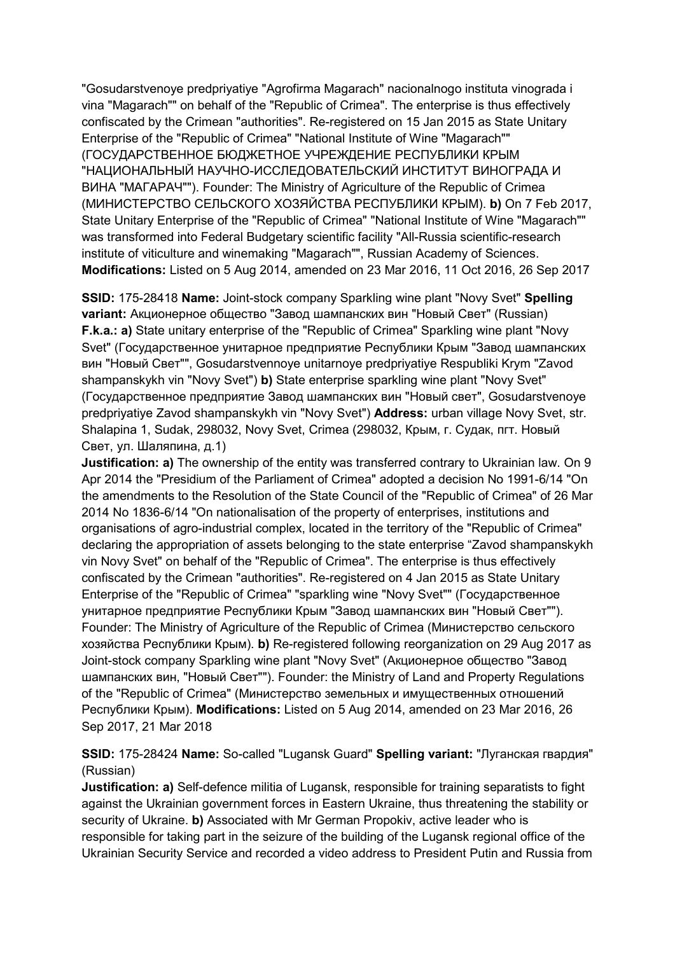"Gosudarstvenoye predpriyatiye "Agrofirma Magarach" nacionalnogo instituta vinograda i vina "Magarach"" on behalf of the "Republic of Crimea". The enterprise is thus effectively confiscated by the Crimean "authorities". Re-registered on 15 Jan 2015 as State Unitary Enterprise of the "Republic of Crimea" "National Institute of Wine "Magarach"" (ГОСУДАРСТВЕННОЕ БЮДЖЕТНОЕ УЧРЕЖДЕНИЕ РЕСПУБЛИКИ КРЫМ "НАЦИОНАЛЬНЫЙ НАУЧНО-ИССЛЕДОВАТЕЛЬСКИЙ ИНСТИТУТ ВИНОГРАДА И ВИНА "МАГАРАЧ""). Founder: The Ministry of Agriculture of the Republic of Crimea (МИНИСТЕРСТВО СЕЛЬСКОГО ХОЗЯЙСТВА РЕСПУБЛИКИ КРЫМ). **b)** On 7 Feb 2017, State Unitary Enterprise of the "Republic of Crimea" "National Institute of Wine "Magarach"" was transformed into Federal Budgetary scientific facility "All-Russia scientific-research institute of viticulture and winemaking "Magarach"", Russian Academy of Sciences. **Modifications:** Listed on 5 Aug 2014, amended on 23 Mar 2016, 11 Oct 2016, 26 Sep 2017

**SSID:** 175-28418 **Name:** Joint-stock company Sparkling wine plant "Novy Svet" **Spelling variant:** Aкционерное общество "Завод шампанских вин "Новый Свет" (Russian) **F.k.a.: a)** State unitary enterprise of the "Republic of Crimea" Sparkling wine plant "Novy Svet" (Государственное унитарное предприятие Республики Крым "Завод шампанских вин "Новый Свет"", Gosudarstvennoye unitarnoye predpriyatiye Respubliki Krym "Zavod shampanskykh vin "Novy Svet") **b)** State enterprise sparkling wine plant "Novy Svet" (Государственное предприятие Завод шампанских вин "Новый свет", Gosudarstvenoye predpriyatiye Zavod shampanskykh vin "Novy Svet") **Address:** urban village Novy Svet, str. Shalapina 1, Sudak, 298032, Novy Svet, Crimea (298032, Крым, г. Судак, пгт. Новый Свет, ул. Шаляпина, д.1)

**Justification: a)** The ownership of the entity was transferred contrary to Ukrainian law. On 9 Apr 2014 the "Presidium of the Parliament of Crimea" adopted a decision No 1991-6/14 "On the amendments to the Resolution of the State Council of the "Republic of Crimea" of 26 Mar 2014 No 1836-6/14 "On nationalisation of the property of enterprises, institutions and organisations of agro-industrial complex, located in the territory of the "Republic of Crimea" declaring the appropriation of assets belonging to the state enterprise "Zavod shampanskykh vin Novy Svet" on behalf of the "Republic of Crimea". The enterprise is thus effectively confiscated by the Crimean "authorities". Re-registered on 4 Jan 2015 as State Unitary Enterprise of the "Republic of Crimea" "sparkling wine "Novy Svet"" (Государственное унитарное предприятие Республики Крым "Завод шампанских вин "Новый Свет""). Founder: The Ministry of Agriculture of the Republic of Crimea (Министерство сельского хозяйства Республики Крым). **b)** Re-registered following reorganization on 29 Aug 2017 as Joint-stock company Sparkling wine plant "Novy Svet" (Aкционерное общество "Завод шампанских вин, "Новый Свет""). Founder: the Ministry of Land and Property Regulations of the "Republic of Crimea" (Министерство земельных и имущественных отношений Республики Крым). **Modifications:** Listed on 5 Aug 2014, amended on 23 Mar 2016, 26 Sep 2017, 21 Mar 2018

**SSID:** 175-28424 **Name:** So-called "Lugansk Guard" **Spelling variant:** "Луганская гвардия" (Russian)

**Justification: a)** Self-defence militia of Lugansk, responsible for training separatists to fight against the Ukrainian government forces in Eastern Ukraine, thus threatening the stability or security of Ukraine. **b)** Associated with Mr German Propokiv, active leader who is responsible for taking part in the seizure of the building of the Lugansk regional office of the Ukrainian Security Service and recorded a video address to President Putin and Russia from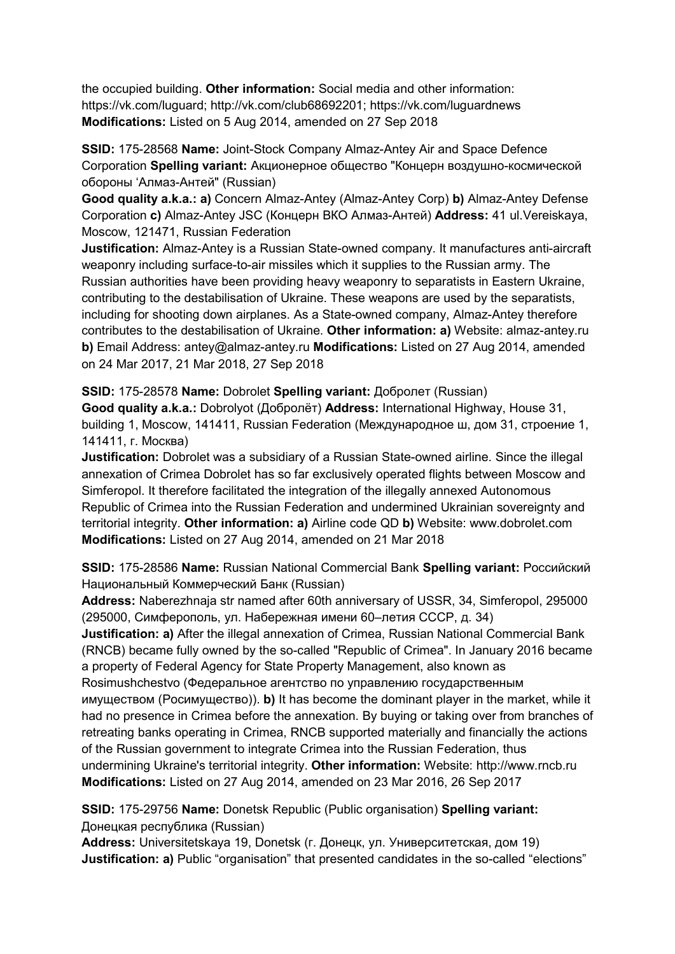the occupied building. **Other information:** Social media and other information: https://vk.com/luguard; http://vk.com/club68692201; https://vk.com/luguardnews **Modifications:** Listed on 5 Aug 2014, amended on 27 Sep 2018

**SSID:** 175-28568 **Name:** Joint-Stock Company Almaz-Antey Air and Space Defence Corporation **Spelling variant:** Акционерное общество "Концерн воздушно-космической обороны 'Алмаз-Антей" (Russian)

**Good quality a.k.a.: a)** Concern Almaz-Antey (Almaz-Antey Corp) **b)** Almaz-Antey Defense Corporation **c)** Almaz-Antey JSC (Концерн ВКО Алмаз-Антей) **Address:** 41 ul.Vereiskaya, Moscow, 121471, Russian Federation

**Justification:** Almaz-Antey is a Russian State-owned company. It manufactures anti-aircraft weaponry including surface-to-air missiles which it supplies to the Russian army. The Russian authorities have been providing heavy weaponry to separatists in Eastern Ukraine, contributing to the destabilisation of Ukraine. These weapons are used by the separatists, including for shooting down airplanes. As a State-owned company, Almaz-Antey therefore contributes to the destabilisation of Ukraine. **Other information: a)** Website: almaz-antey.ru **b)** Email Address: antey@almaz-antey.ru **Modifications:** Listed on 27 Aug 2014, amended on 24 Mar 2017, 21 Mar 2018, 27 Sep 2018

### **SSID:** 175-28578 **Name:** Dobrolet **Spelling variant:** Добролет (Russian)

**Good quality a.k.a.:** Dobrolyot (Добролёт) **Address:** International Highway, House 31, building 1, Moscow, 141411, Russian Federation (Международное ш, дом 31, строение 1, 141411, г. Москва)

**Justification:** Dobrolet was a subsidiary of a Russian State-owned airline. Since the illegal annexation of Crimea Dobrolet has so far exclusively operated flights between Moscow and Simferopol. It therefore facilitated the integration of the illegally annexed Autonomous Republic of Crimea into the Russian Federation and undermined Ukrainian sovereignty and territorial integrity. **Other information: a)** Airline code QD **b)** Website: www.dobrolet.com **Modifications:** Listed on 27 Aug 2014, amended on 21 Mar 2018

**SSID:** 175-28586 **Name:** Russian National Commercial Bank **Spelling variant:** Российский Национальный Коммерческий Банк (Russian)

**Address:** Naberezhnaja str named after 60th anniversary of USSR, 34, Simferopol, 295000 (295000, Симферополь, ул. Набережная имени 60–летия СССР, д. 34)

**Justification: a)** After the illegal annexation of Crimea, Russian National Commercial Bank (RNCB) became fully owned by the so-called "Republic of Crimea". In January 2016 became a property of Federal Agency for State Property Management, also known as Rosimushchestvo (Федеральное агентство по управлению государственным имуществом (Росимущество)). **b)** It has become the dominant player in the market, while it had no presence in Crimea before the annexation. By buying or taking over from branches of retreating banks operating in Crimea, RNCB supported materially and financially the actions of the Russian government to integrate Crimea into the Russian Federation, thus undermining Ukraine's territorial integrity. **Other information:** Website: http://www.rncb.ru **Modifications:** Listed on 27 Aug 2014, amended on 23 Mar 2016, 26 Sep 2017

**SSID:** 175-29756 **Name:** Donetsk Republic (Public organisation) **Spelling variant:**  Донецкая республика (Russian)

**Address:** Universitetskaya 19, Donetsk (г. Донецк, ул. Университетская, дом 19) **Justification: a)** Public "organisation" that presented candidates in the so-called "elections"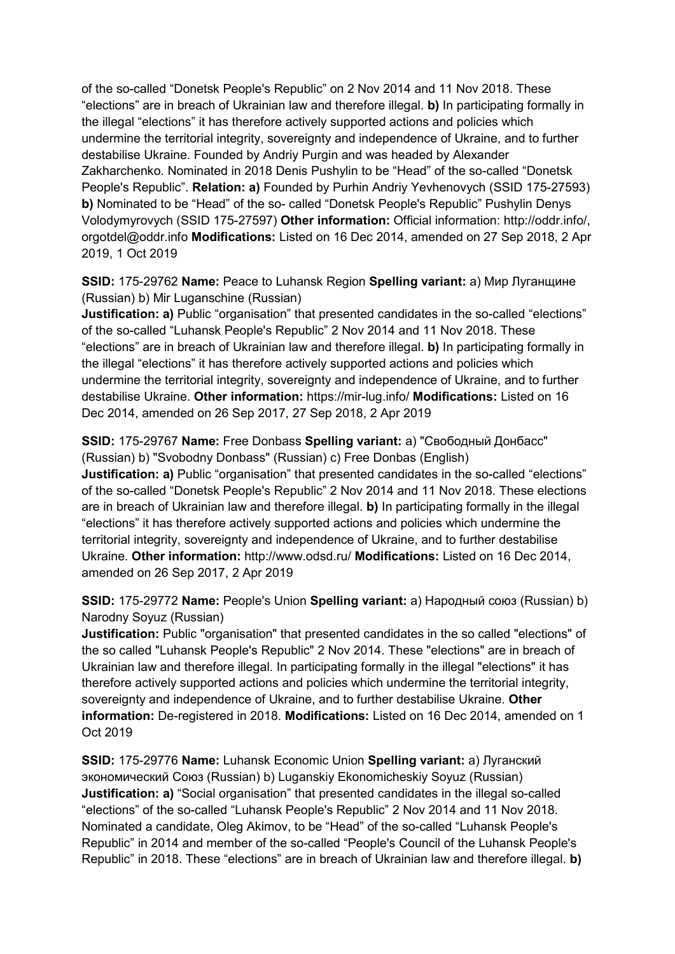of the so-called "Donetsk People's Republic" on 2 Nov 2014 and 11 Nov 2018. These "elections" are in breach of Ukrainian law and therefore illegal. **b)** In participating formally in the illegal "elections" it has therefore actively supported actions and policies which undermine the territorial integrity, sovereignty and independence of Ukraine, and to further destabilise Ukraine. Founded by Andriy Purgin and was headed by Alexander Zakharchenko. Nominated in 2018 Denis Pushylin to be "Head" of the so-called "Donetsk People's Republic". **Relation: a)** Founded by Purhin Andriy Yevhenovych (SSID 175-27593) **b)** Nominated to be "Head" of the so- called "Donetsk People's Republic" Pushylin Denys Volodymyrovych (SSID 175-27597) **Other information:** Official information: http://oddr.info/, orgotdel@oddr.info **Modifications:** Listed on 16 Dec 2014, amended on 27 Sep 2018, 2 Apr 2019, 1 Oct 2019

**SSID:** 175-29762 **Name:** Peace to Luhansk Region **Spelling variant:** a) Мир Луганщине (Russian) b) Mir Luganschine (Russian)

**Justification: a)** Public "organisation" that presented candidates in the so-called "elections" of the so-called "Luhansk People's Republic" 2 Nov 2014 and 11 Nov 2018. These "elections" are in breach of Ukrainian law and therefore illegal. **b)** In participating formally in the illegal "elections" it has therefore actively supported actions and policies which undermine the territorial integrity, sovereignty and independence of Ukraine, and to further destabilise Ukraine. **Other information:** https://mir-lug.info/ **Modifications:** Listed on 16 Dec 2014, amended on 26 Sep 2017, 27 Sep 2018, 2 Apr 2019

**SSID:** 175-29767 **Name:** Free Donbass **Spelling variant:** a) "Свободный Донбасс" (Russian) b) "Svobodny Donbass" (Russian) c) Free Donbas (English) **Justification: a)** Public "organisation" that presented candidates in the so-called "elections" of the so-called "Donetsk People's Republic" 2 Nov 2014 and 11 Nov 2018. These elections are in breach of Ukrainian law and therefore illegal. **b)** In participating formally in the illegal "elections" it has therefore actively supported actions and policies which undermine the territorial integrity, sovereignty and independence of Ukraine, and to further destabilise Ukraine. **Other information:** http://www.odsd.ru/ **Modifications:** Listed on 16 Dec 2014, amended on 26 Sep 2017, 2 Apr 2019

**SSID:** 175-29772 **Name:** People's Union **Spelling variant:** a) Народный союз (Russian) b) Narodny Soyuz (Russian)

**Justification:** Public "organisation" that presented candidates in the so called "elections" of the so called "Luhansk People's Republic" 2 Nov 2014. These "elections" are in breach of Ukrainian law and therefore illegal. In participating formally in the illegal "elections" it has therefore actively supported actions and policies which undermine the territorial integrity, sovereignty and independence of Ukraine, and to further destabilise Ukraine. **Other information:** De-registered in 2018. **Modifications:** Listed on 16 Dec 2014, amended on 1 Oct 2019

**SSID:** 175-29776 **Name:** Luhansk Economic Union **Spelling variant:** a) Луганский экономический Союз (Russian) b) Luganskiy Ekonomicheskiy Soyuz (Russian) **Justification: a)** "Social organisation" that presented candidates in the illegal so-called "elections" of the so-called "Luhansk People's Republic" 2 Nov 2014 and 11 Nov 2018. Nominated a candidate, Oleg Akimov, to be "Head" of the so-called "Luhansk People's Republic" in 2014 and member of the so-called "People's Council of the Luhansk People's Republic" in 2018. These "elections" are in breach of Ukrainian law and therefore illegal. **b)**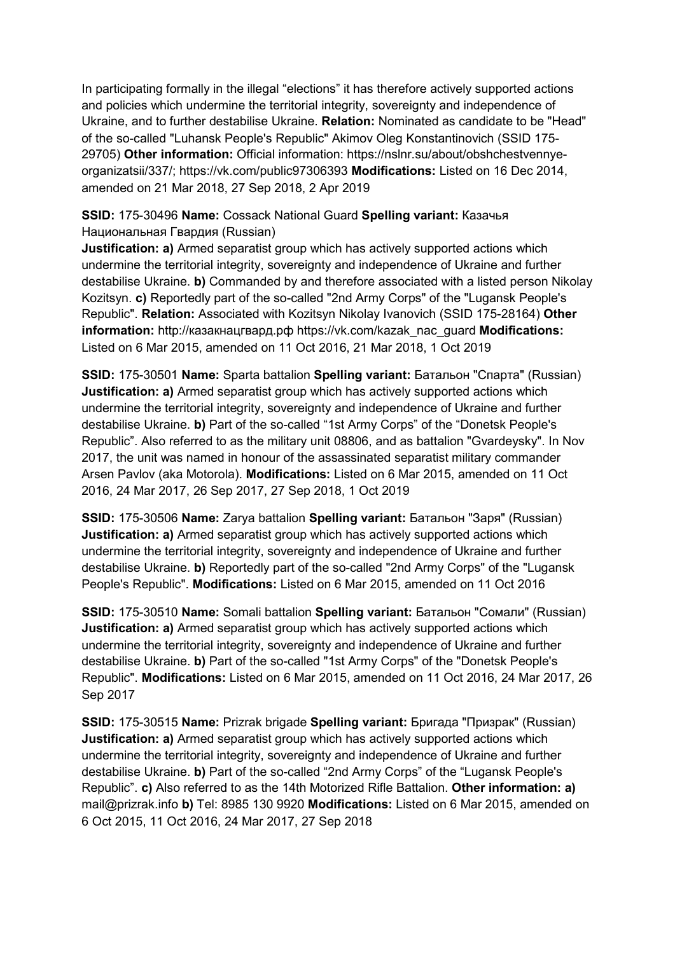In participating formally in the illegal "elections" it has therefore actively supported actions and policies which undermine the territorial integrity, sovereignty and independence of Ukraine, and to further destabilise Ukraine. **Relation:** Nominated as candidate to be "Head" of the so-called "Luhansk People's Republic" Akimov Oleg Konstantinovich (SSID 175- 29705) **Other information:** Official information: https://nslnr.su/about/obshchestvennyeorganizatsii/337/; https://vk.com/public97306393 **Modifications:** Listed on 16 Dec 2014, amended on 21 Mar 2018, 27 Sep 2018, 2 Apr 2019

# **SSID:** 175-30496 **Name:** Cossack National Guard **Spelling variant:** Казачья Национальная Гвардия (Russian)

**Justification: a)** Armed separatist group which has actively supported actions which undermine the territorial integrity, sovereignty and independence of Ukraine and further destabilise Ukraine. **b)** Commanded by and therefore associated with a listed person Nikolay Kozitsyn. **c)** Reportedly part of the so-called "2nd Army Corps" of the "Lugansk People's Republic". **Relation:** Associated with Kozitsyn Nikolay Ivanovich (SSID 175-28164) **Other information:** http://казакнацгвард.рф https://vk.com/kazak\_nac\_guard **Modifications:**  Listed on 6 Mar 2015, amended on 11 Oct 2016, 21 Mar 2018, 1 Oct 2019

**SSID:** 175-30501 **Name:** Sparta battalion **Spelling variant:** Батальон "Спарта" (Russian) **Justification: a)** Armed separatist group which has actively supported actions which undermine the territorial integrity, sovereignty and independence of Ukraine and further destabilise Ukraine. **b)** Part of the so-called "1st Army Corps" of the "Donetsk People's Republic". Also referred to as the military unit 08806, and as battalion "Gvardeysky". In Nov 2017, the unit was named in honour of the assassinated separatist military commander Arsen Pavlov (aka Motorola). **Modifications:** Listed on 6 Mar 2015, amended on 11 Oct 2016, 24 Mar 2017, 26 Sep 2017, 27 Sep 2018, 1 Oct 2019

**SSID:** 175-30506 **Name:** Zarya battalion **Spelling variant:** Батальон "Заря" (Russian) **Justification: a)** Armed separatist group which has actively supported actions which undermine the territorial integrity, sovereignty and independence of Ukraine and further destabilise Ukraine. **b)** Reportedly part of the so-called "2nd Army Corps" of the "Lugansk People's Republic". **Modifications:** Listed on 6 Mar 2015, amended on 11 Oct 2016

**SSID:** 175-30510 **Name:** Somali battalion **Spelling variant:** Батальон "Сомали" (Russian) **Justification: a)** Armed separatist group which has actively supported actions which undermine the territorial integrity, sovereignty and independence of Ukraine and further destabilise Ukraine. **b)** Part of the so-called "1st Army Corps" of the "Donetsk People's Republic". **Modifications:** Listed on 6 Mar 2015, amended on 11 Oct 2016, 24 Mar 2017, 26 Sep 2017

**SSID:** 175-30515 **Name:** Prizrak brigade **Spelling variant:** Бригада "Призрак" (Russian) **Justification: a)** Armed separatist group which has actively supported actions which undermine the territorial integrity, sovereignty and independence of Ukraine and further destabilise Ukraine. **b)** Part of the so-called "2nd Army Corps" of the "Lugansk People's Republic". **c)** Also referred to as the 14th Motorized Rifle Battalion. **Other information: a)**  mail@prizrak.info **b)** Тel: 8985 130 9920 **Modifications:** Listed on 6 Mar 2015, amended on 6 Oct 2015, 11 Oct 2016, 24 Mar 2017, 27 Sep 2018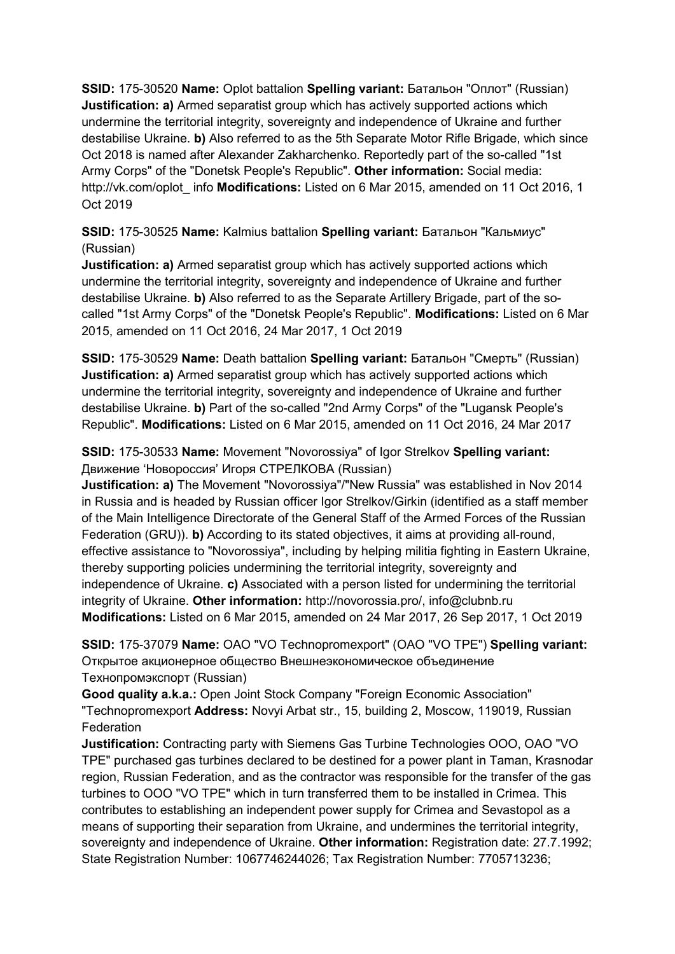**SSID:** 175-30520 **Name:** Oplot battalion **Spelling variant:** Батальон "Оплот" (Russian) **Justification: a)** Armed separatist group which has actively supported actions which undermine the territorial integrity, sovereignty and independence of Ukraine and further destabilise Ukraine. **b)** Also referred to as the 5th Separate Motor Rifle Brigade, which since Oct 2018 is named after Alexander Zakharchenko. Reportedly part of the so-called "1st Army Corps" of the "Donetsk People's Republic". **Other information:** Social media: http://vk.com/oplot\_ info **Modifications:** Listed on 6 Mar 2015, amended on 11 Oct 2016, 1 Oct 2019

**SSID:** 175-30525 **Name:** Kalmius battalion **Spelling variant:** Батальон "Кальмиус" (Russian)

**Justification: a)** Armed separatist group which has actively supported actions which undermine the territorial integrity, sovereignty and independence of Ukraine and further destabilise Ukraine. **b)** Also referred to as the Separate Artillery Brigade, part of the socalled "1st Army Corps" of the "Donetsk People's Republic". **Modifications:** Listed on 6 Mar 2015, amended on 11 Oct 2016, 24 Mar 2017, 1 Oct 2019

**SSID:** 175-30529 **Name:** Death battalion **Spelling variant:** Батальон "Смерть" (Russian) **Justification: a)** Armed separatist group which has actively supported actions which undermine the territorial integrity, sovereignty and independence of Ukraine and further destabilise Ukraine. **b)** Part of the so-called "2nd Army Corps" of the "Lugansk People's Republic". **Modifications:** Listed on 6 Mar 2015, amended on 11 Oct 2016, 24 Mar 2017

**SSID:** 175-30533 **Name:** Movement "Novorossiya" of Igor Strelkov **Spelling variant:**  Движение 'Новороссия' Игоря СТРЕЛКОВА (Russian)

**Justification: a)** The Movement "Novorossiya"/"New Russia" was established in Nov 2014 in Russia and is headed by Russian officer Igor Strelkov/Girkin (identified as a staff member of the Main Intelligence Directorate of the General Staff of the Armed Forces of the Russian Federation (GRU)). **b)** According to its stated objectives, it aims at providing all-round, effective assistance to "Novorossiya", including by helping militia fighting in Eastern Ukraine, thereby supporting policies undermining the territorial integrity, sovereignty and independence of Ukraine. **c)** Associated with a person listed for undermining the territorial integrity of Ukraine. **Other information:** http://novorossia.pro/, info@clubnb.ru **Modifications:** Listed on 6 Mar 2015, amended on 24 Mar 2017, 26 Sep 2017, 1 Oct 2019

**SSID:** 175-37079 **Name:** OAO "VO Technopromexport" (OAO "VO TPE") **Spelling variant:**  Открытое акционерное общество Внешнеэкономическое объединение Технопромэкспорт (Russian)

**Good quality a.k.a.:** Open Joint Stock Company "Foreign Economic Association" "Technopromexport **Address:** Novyi Arbat str., 15, building 2, Moscow, 119019, Russian Federation

**Justification:** Contracting party with Siemens Gas Turbine Technologies OOO, OAO "VO TPE" purchased gas turbines declared to be destined for a power plant in Taman, Krasnodar region, Russian Federation, and as the contractor was responsible for the transfer of the gas turbines to OOO "VO TPE" which in turn transferred them to be installed in Crimea. This contributes to establishing an independent power supply for Crimea and Sevastopol as a means of supporting their separation from Ukraine, and undermines the territorial integrity, sovereignty and independence of Ukraine. **Other information:** Registration date: 27.7.1992; State Registration Number: 1067746244026; Tax Registration Number: 7705713236;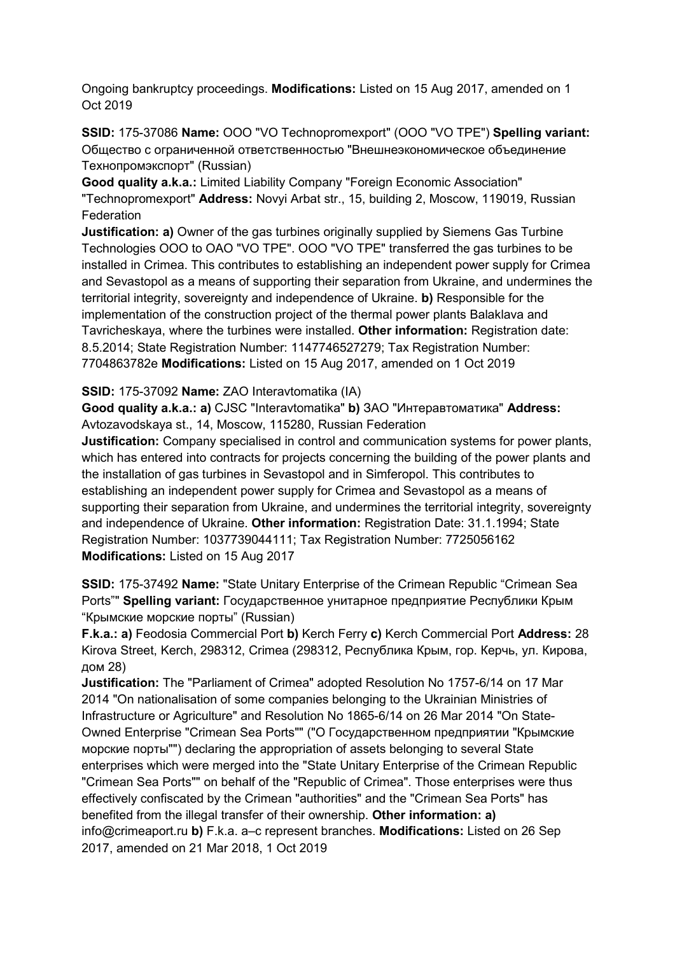Ongoing bankruptcy proceedings. **Modifications:** Listed on 15 Aug 2017, amended on 1 Oct 2019

**SSID:** 175-37086 **Name:** OOO "VO Technopromexport" (OOO "VO TPE") **Spelling variant:**  Общество с ограниченной ответственностью "Внешнеэкономическое объединение Технопромэкспорт" (Russian)

**Good quality a.k.a.:** Limited Liability Company "Foreign Economic Association" "Technopromexport" **Address:** Novyi Arbat str., 15, building 2, Moscow, 119019, Russian Federation

**Justification: a)** Owner of the gas turbines originally supplied by Siemens Gas Turbine Technologies OOO to OAO "VO TPE". OOO "VO TPE" transferred the gas turbines to be installed in Crimea. This contributes to establishing an independent power supply for Crimea and Sevastopol as a means of supporting their separation from Ukraine, and undermines the territorial integrity, sovereignty and independence of Ukraine. **b)** Responsible for the implementation of the construction project of the thermal power plants Balaklava and Tavricheskaya, where the turbines were installed. **Other information:** Registration date: 8.5.2014; State Registration Number: 1147746527279; Tax Registration Number: 7704863782e **Modifications:** Listed on 15 Aug 2017, amended on 1 Oct 2019

**SSID:** 175-37092 **Name:** ZAO Interavtomatika (IA)

**Good quality a.k.a.: a)** CJSC "Interavtomatika" **b)** ЗАО "Интеравтоматика" **Address:** Avtozavodskaya st., 14, Moscow, 115280, Russian Federation

**Justification:** Company specialised in control and communication systems for power plants, which has entered into contracts for projects concerning the building of the power plants and the installation of gas turbines in Sevastopol and in Simferopol. This contributes to establishing an independent power supply for Crimea and Sevastopol as a means of supporting their separation from Ukraine, and undermines the territorial integrity, sovereignty and independence of Ukraine. **Other information:** Registration Date: 31.1.1994; State Registration Number: 1037739044111; Tax Registration Number: 7725056162 **Modifications:** Listed on 15 Aug 2017

**SSID:** 175-37492 **Name:** "State Unitary Enterprise of the Crimean Republic "Crimean Sea Ports"" **Spelling variant:** Государственное унитарное предприятие Республики Крым "Крымские морские порты" (Russian)

**F.k.a.: a)** Feodosia Commercial Port **b)** Kerch Ferry **c)** Kerch Commercial Port **Address:** 28 Kirova Street, Kerch, 298312, Crimea (298312, Республика Крым, гор. Керчь, ул. Кирова, дом 28)

**Justification:** The "Parliament of Crimea" adopted Resolution No 1757-6/14 on 17 Mar 2014 "On nationalisation of some companies belonging to the Ukrainian Ministries of Infrastructure or Agriculture" and Resolution No 1865-6/14 on 26 Mar 2014 "On State-Owned Enterprise "Crimean Sea Ports"" ("О Государственном предприятии "Крымские морские порты"") declaring the appropriation of assets belonging to several State enterprises which were merged into the "State Unitary Enterprise of the Crimean Republic "Crimean Sea Ports"" on behalf of the "Republic of Crimea". Those enterprises were thus effectively confiscated by the Crimean "authorities" and the "Crimean Sea Ports" has benefited from the illegal transfer of their ownership. **Other information: a)**  info@crimeaport.ru **b)** F.k.a. a–c represent branches. **Modifications:** Listed on 26 Sep 2017, amended on 21 Mar 2018, 1 Oct 2019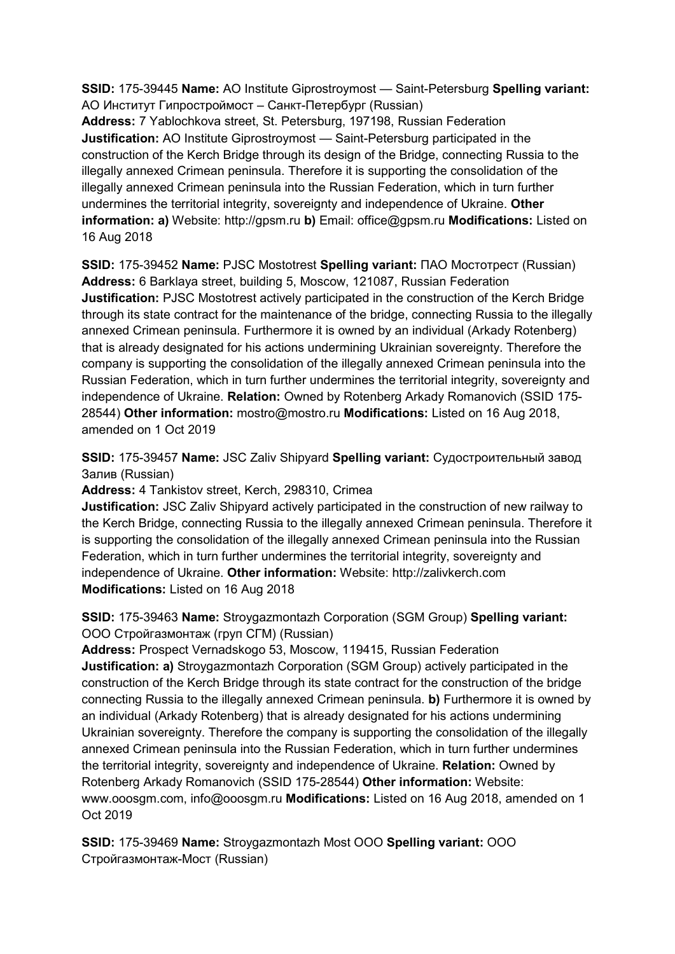**SSID:** 175-39445 **Name:** AO Institute Giprostroymost — Saint-Petersburg **Spelling variant:**  АО Институт Гипростроймост – Санкт-Петербург (Russian)

**Address:** 7 Yablochkova street, St. Petersburg, 197198, Russian Federation **Justification:** AO Institute Giprostroymost — Saint-Petersburg participated in the construction of the Kerch Bridge through its design of the Bridge, connecting Russia to the illegally annexed Crimean peninsula. Therefore it is supporting the consolidation of the illegally annexed Crimean peninsula into the Russian Federation, which in turn further undermines the territorial integrity, sovereignty and independence of Ukraine. **Other information: a)** Website: http://gpsm.ru **b)** Email: office@gpsm.ru **Modifications:** Listed on 16 Aug 2018

**SSID:** 175-39452 **Name:** PJSC Mostotrest **Spelling variant:** ПАО Мостотрест (Russian) **Address:** 6 Barklaya street, building 5, Moscow, 121087, Russian Federation **Justification:** PJSC Mostotrest actively participated in the construction of the Kerch Bridge through its state contract for the maintenance of the bridge, connecting Russia to the illegally annexed Crimean peninsula. Furthermore it is owned by an individual (Arkady Rotenberg) that is already designated for his actions undermining Ukrainian sovereignty. Therefore the company is supporting the consolidation of the illegally annexed Crimean peninsula into the Russian Federation, which in turn further undermines the territorial integrity, sovereignty and independence of Ukraine. **Relation:** Owned by Rotenberg Arkady Romanovich (SSID 175- 28544) **Other information:** mostro@mostro.ru **Modifications:** Listed on 16 Aug 2018, amended on 1 Oct 2019

**SSID:** 175-39457 **Name:** JSC Zaliv Shipyard **Spelling variant:** Судостроительный завод Залив (Russian)

**Address:** 4 Tankistov street, Kerch, 298310, Crimea

**Justification:** JSC Zaliv Shipyard actively participated in the construction of new railway to the Kerch Bridge, connecting Russia to the illegally annexed Crimean peninsula. Therefore it is supporting the consolidation of the illegally annexed Crimean peninsula into the Russian Federation, which in turn further undermines the territorial integrity, sovereignty and independence of Ukraine. **Other information:** Website: http://zalivkerch.com **Modifications:** Listed on 16 Aug 2018

**SSID:** 175-39463 **Name:** Stroygazmontazh Corporation (SGM Group) **Spelling variant:**  ООО Стройгазмонтаж (груп СГМ) (Russian)

**Address:** Prospect Vernadskogo 53, Moscow, 119415, Russian Federation **Justification: a)** Stroygazmontazh Corporation (SGM Group) actively participated in the construction of the Kerch Bridge through its state contract for the construction of the bridge connecting Russia to the illegally annexed Crimean peninsula. **b)** Furthermore it is owned by an individual (Arkady Rotenberg) that is already designated for his actions undermining Ukrainian sovereignty. Therefore the company is supporting the consolidation of the illegally annexed Crimean peninsula into the Russian Federation, which in turn further undermines the territorial integrity, sovereignty and independence of Ukraine. **Relation:** Owned by Rotenberg Arkady Romanovich (SSID 175-28544) **Other information:** Website: www.ooosgm.com, info@ooosgm.ru **Modifications:** Listed on 16 Aug 2018, amended on 1 Oct 2019

**SSID:** 175-39469 **Name:** Stroygazmontazh Most OOO **Spelling variant:** OOO Стройгазмонтаж-Мост (Russian)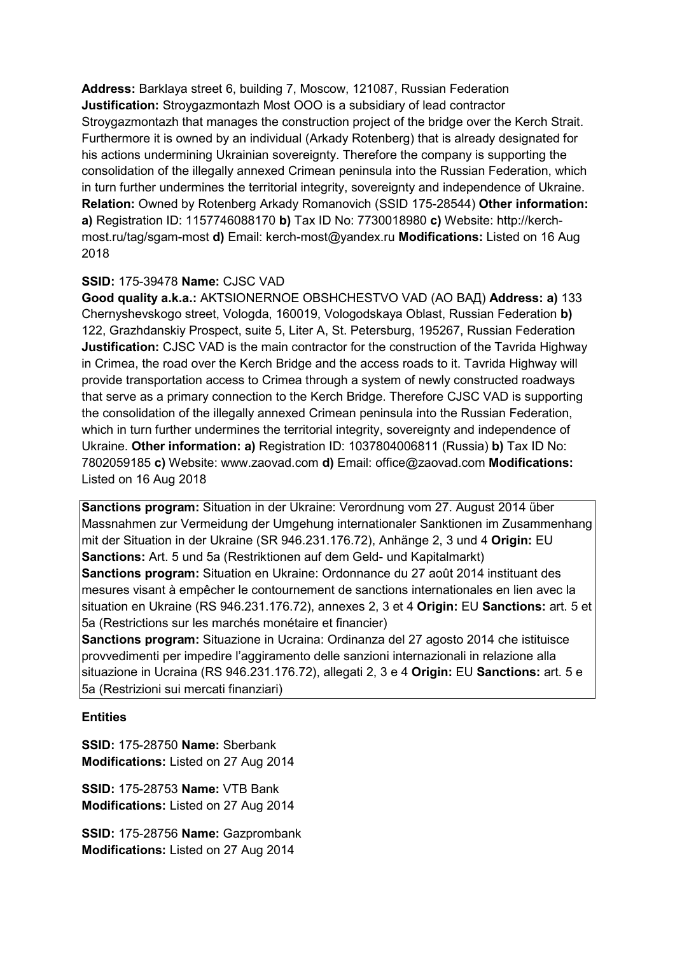**Address:** Barklaya street 6, building 7, Moscow, 121087, Russian Federation **Justification:** Stroygazmontazh Most OOO is a subsidiary of lead contractor Stroygazmontazh that manages the construction project of the bridge over the Kerch Strait. Furthermore it is owned by an individual (Arkady Rotenberg) that is already designated for his actions undermining Ukrainian sovereignty. Therefore the company is supporting the consolidation of the illegally annexed Crimean peninsula into the Russian Federation, which in turn further undermines the territorial integrity, sovereignty and independence of Ukraine. **Relation:** Owned by Rotenberg Arkady Romanovich (SSID 175-28544) **Other information: a)** Registration ID: 1157746088170 **b)** Tax ID No: 7730018980 **c)** Website: http://kerchmost.ru/tag/sgam-most **d)** Email: kerch-most@yandex.ru **Modifications:** Listed on 16 Aug 2018

# **SSID:** 175-39478 **Name:** CJSC VAD

**Good quality a.k.a.:** AKTSIONERNOE OBSHCHESTVO VAD (АО ВАД) **Address: a)** 133 Chernyshevskogo street, Vologda, 160019, Vologodskaya Oblast, Russian Federation **b)**  122, Grazhdanskiy Prospect, suite 5, Liter A, St. Petersburg, 195267, Russian Federation **Justification:** CJSC VAD is the main contractor for the construction of the Tavrida Highway in Crimea, the road over the Kerch Bridge and the access roads to it. Tavrida Highway will provide transportation access to Crimea through a system of newly constructed roadways that serve as a primary connection to the Kerch Bridge. Therefore CJSC VAD is supporting the consolidation of the illegally annexed Crimean peninsula into the Russian Federation, which in turn further undermines the territorial integrity, sovereignty and independence of Ukraine. **Other information: a)** Registration ID: 1037804006811 (Russia) **b)** Tax ID No: 7802059185 **c)** Website: www.zaovad.com **d)** Email: office@zaovad.com **Modifications:**  Listed on 16 Aug 2018

**Sanctions program:** Situation in der Ukraine: Verordnung vom 27. August 2014 über Massnahmen zur Vermeidung der Umgehung internationaler Sanktionen im Zusammenhang mit der Situation in der Ukraine (SR 946.231.176.72), Anhänge 2, 3 und 4 **Origin:** EU **Sanctions:** Art. 5 und 5a (Restriktionen auf dem Geld- und Kapitalmarkt) **Sanctions program:** Situation en Ukraine: Ordonnance du 27 août 2014 instituant des mesures visant à empêcher le contournement de sanctions internationales en lien avec la situation en Ukraine (RS 946.231.176.72), annexes 2, 3 et 4 **Origin:** EU **Sanctions:** art. 5 et 5a (Restrictions sur les marchés monétaire et financier)

**Sanctions program:** Situazione in Ucraina: Ordinanza del 27 agosto 2014 che istituisce provvedimenti per impedire l'aggiramento delle sanzioni internazionali in relazione alla situazione in Ucraina (RS 946.231.176.72), allegati 2, 3 e 4 **Origin:** EU **Sanctions:** art. 5 e 5a (Restrizioni sui mercati finanziari)

### **Entities**

**SSID:** 175-28750 **Name:** Sberbank **Modifications:** Listed on 27 Aug 2014

**SSID:** 175-28753 **Name:** VTB Bank **Modifications:** Listed on 27 Aug 2014

**SSID:** 175-28756 **Name:** Gazprombank **Modifications:** Listed on 27 Aug 2014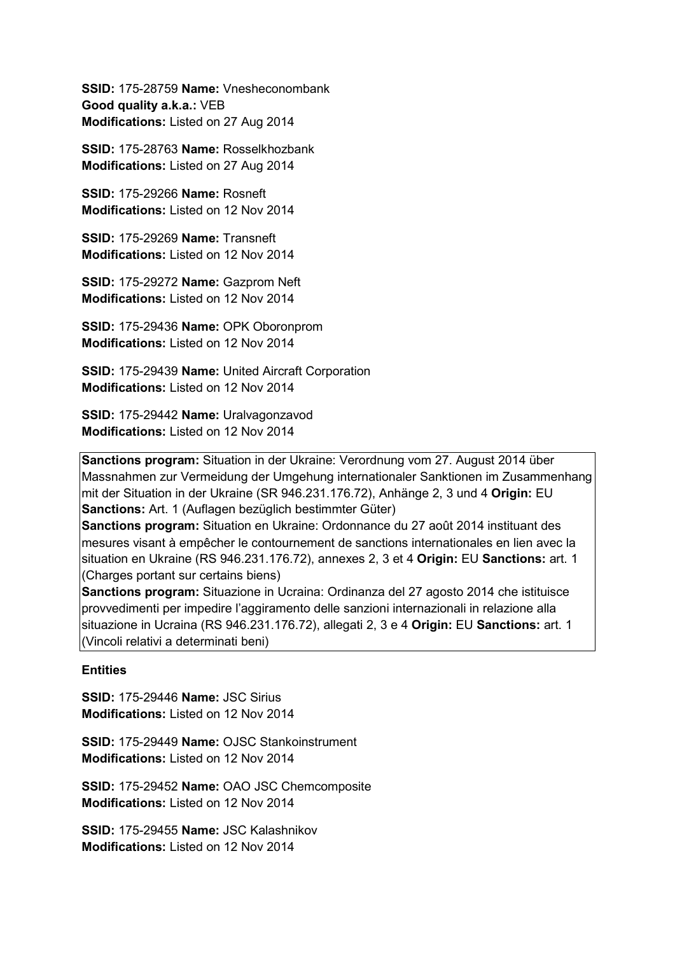**SSID:** 175-28759 **Name:** Vnesheconombank **Good quality a.k.a.:** VEB **Modifications:** Listed on 27 Aug 2014

**SSID:** 175-28763 **Name:** Rosselkhozbank **Modifications:** Listed on 27 Aug 2014

**SSID:** 175-29266 **Name:** Rosneft **Modifications:** Listed on 12 Nov 2014

**SSID:** 175-29269 **Name:** Transneft **Modifications:** Listed on 12 Nov 2014

**SSID:** 175-29272 **Name:** Gazprom Neft **Modifications:** Listed on 12 Nov 2014

**SSID:** 175-29436 **Name:** OPK Oboronprom **Modifications:** Listed on 12 Nov 2014

**SSID:** 175-29439 **Name:** United Aircraft Corporation **Modifications:** Listed on 12 Nov 2014

**SSID:** 175-29442 **Name:** Uralvagonzavod **Modifications:** Listed on 12 Nov 2014

**Sanctions program:** Situation in der Ukraine: Verordnung vom 27. August 2014 über Massnahmen zur Vermeidung der Umgehung internationaler Sanktionen im Zusammenhang mit der Situation in der Ukraine (SR 946.231.176.72), Anhänge 2, 3 und 4 **Origin:** EU **Sanctions:** Art. 1 (Auflagen bezüglich bestimmter Güter)

**Sanctions program:** Situation en Ukraine: Ordonnance du 27 août 2014 instituant des mesures visant à empêcher le contournement de sanctions internationales en lien avec la situation en Ukraine (RS 946.231.176.72), annexes 2, 3 et 4 **Origin:** EU **Sanctions:** art. 1 (Charges portant sur certains biens)

**Sanctions program:** Situazione in Ucraina: Ordinanza del 27 agosto 2014 che istituisce provvedimenti per impedire l'aggiramento delle sanzioni internazionali in relazione alla situazione in Ucraina (RS 946.231.176.72), allegati 2, 3 e 4 **Origin:** EU **Sanctions:** art. 1 (Vincoli relativi a determinati beni)

### **Entities**

**SSID:** 175-29446 **Name:** JSC Sirius **Modifications:** Listed on 12 Nov 2014

**SSID:** 175-29449 **Name:** OJSC Stankoinstrument **Modifications:** Listed on 12 Nov 2014

**SSID:** 175-29452 **Name:** OAO JSC Chemcomposite **Modifications:** Listed on 12 Nov 2014

**SSID:** 175-29455 **Name:** JSC Kalashnikov **Modifications:** Listed on 12 Nov 2014